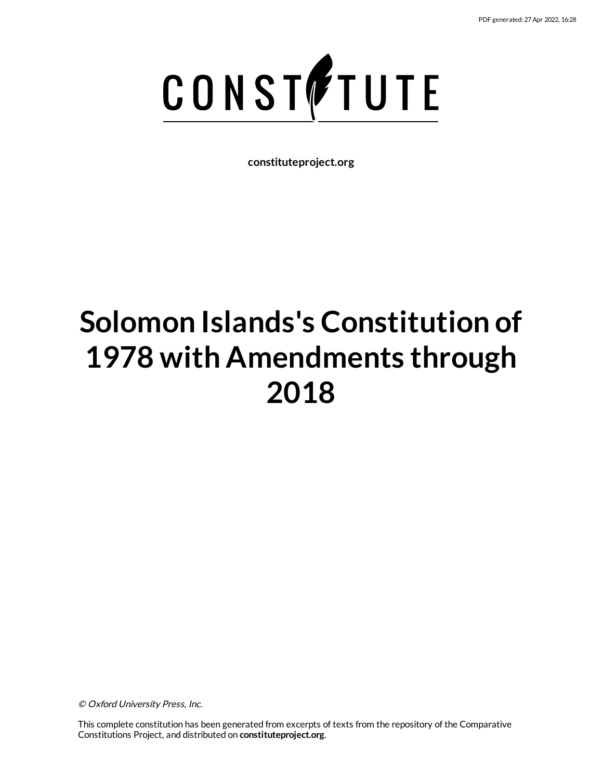

**constituteproject.org**

# **Solomon Islands's Constitution of 1978 with Amendments through 2018**

© Oxford University Press, Inc.

This complete constitution has been generated from excerpts of texts from the repository of the Comparative Constitutions Project, and distributed on **constituteproject.org**.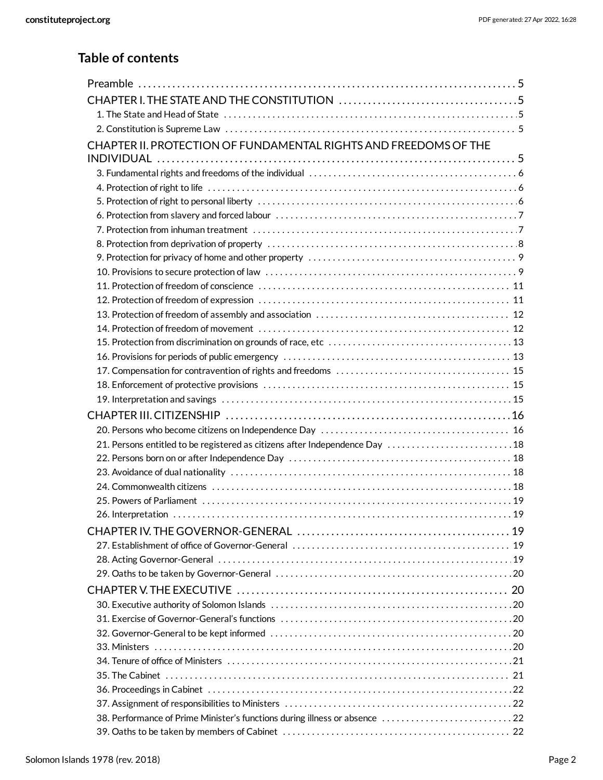## **Table of contents**

| CHAPTER II. PROTECTION OF FUNDAMENTAL RIGHTS AND FREEDOMS OF THE             |  |
|------------------------------------------------------------------------------|--|
|                                                                              |  |
|                                                                              |  |
|                                                                              |  |
|                                                                              |  |
|                                                                              |  |
|                                                                              |  |
|                                                                              |  |
|                                                                              |  |
|                                                                              |  |
|                                                                              |  |
|                                                                              |  |
|                                                                              |  |
|                                                                              |  |
|                                                                              |  |
|                                                                              |  |
|                                                                              |  |
|                                                                              |  |
|                                                                              |  |
|                                                                              |  |
|                                                                              |  |
| 21. Persons entitled to be registered as citizens after Independence Day  18 |  |
|                                                                              |  |
|                                                                              |  |
|                                                                              |  |
|                                                                              |  |
|                                                                              |  |
|                                                                              |  |
|                                                                              |  |
|                                                                              |  |
|                                                                              |  |
|                                                                              |  |
|                                                                              |  |
|                                                                              |  |
|                                                                              |  |
|                                                                              |  |
|                                                                              |  |
|                                                                              |  |
|                                                                              |  |
|                                                                              |  |
| 38. Performance of Prime Minister's functions during illness or absence 22   |  |
|                                                                              |  |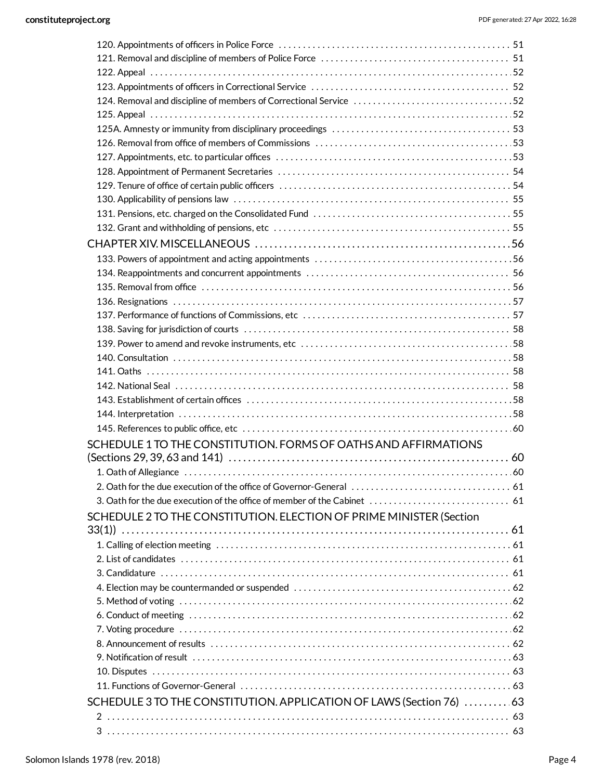| SCHEDULE 3 TO THE CONSTITUTION. APPLICATION OF LAWS (Section 76) 63 |
|---------------------------------------------------------------------|
|                                                                     |
|                                                                     |
|                                                                     |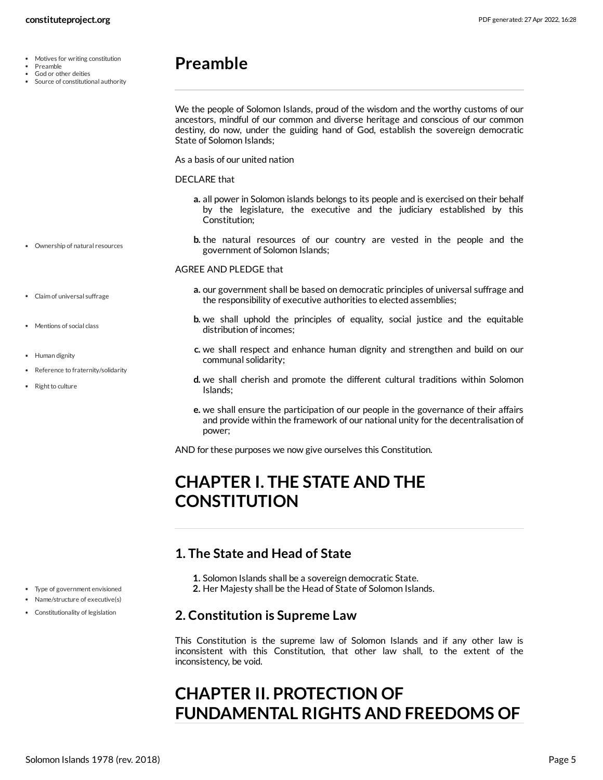- Motives for writing constitution
- Preamble God or other deities
- Source of constitutional authority

Ownership of natural resources

Claim of universal suffrage

• Mentions of social class

• Reference to fraternity/solidarity

• Human dignity

• Right to culture

## <span id="page-4-0"></span>**Preamble**

We the people of Solomon Islands, proud of the wisdom and the worthy customs of our ancestors, mindful of our common and diverse heritage and conscious of our common destiny, do now, under the guiding hand of God, establish the sovereign democratic State of Solomon Islands;

As a basis of our united nation

<span id="page-4-6"></span>DECLARE that

- **a.** all power in Solomon islands belongs to its people and is exercised on their behalf by the legislature, the executive and the judiciary established by this Constitution;
- **b.** the natural resources of our country are vested in the people and the government of Solomon Islands;

<span id="page-4-5"></span>AGREE AND PLEDGE that

- **a.** our government shall be based on democratic principles of universal suffrage and the responsibility of executive authorities to elected assemblies;
- **b.** we shall uphold the principles of equality, social justice and the equitable distribution of incomes;
- **c.** we shall respect and enhance human dignity and strengthen and build on our communal solidarity;
- **d.** we shall cherish and promote the different cultural traditions within Solomon Islands;
- **e.** we shall ensure the participation of our people in the governance of their affairs and provide within the framework of our national unity for the decentralisation of power;

AND for these purposes we now give ourselves this Constitution.

## <span id="page-4-1"></span>**CHAPTER I. THE STATE AND THE CONSTITUTION**

### <span id="page-4-2"></span>**1. The State and Head of State**

- **1.** Solomon Islands shall be a sovereign democratic State.
- **2.** Her Majesty shall be the Head of State of Solomon Islands.

### <span id="page-4-3"></span>**2. Constitution is Supreme Law**

This Constitution is the supreme law of Solomon Islands and if any other law is inconsistent with this Constitution, that other law shall, to the extent of the inconsistency, be void.

## <span id="page-4-4"></span>**CHAPTER II. PROTECTION OF FUNDAMENTAL RIGHTS AND FREEDOMS OF**

- Type of government envisioned
- Name/structure of executive(s)
- Constitutionality of legislation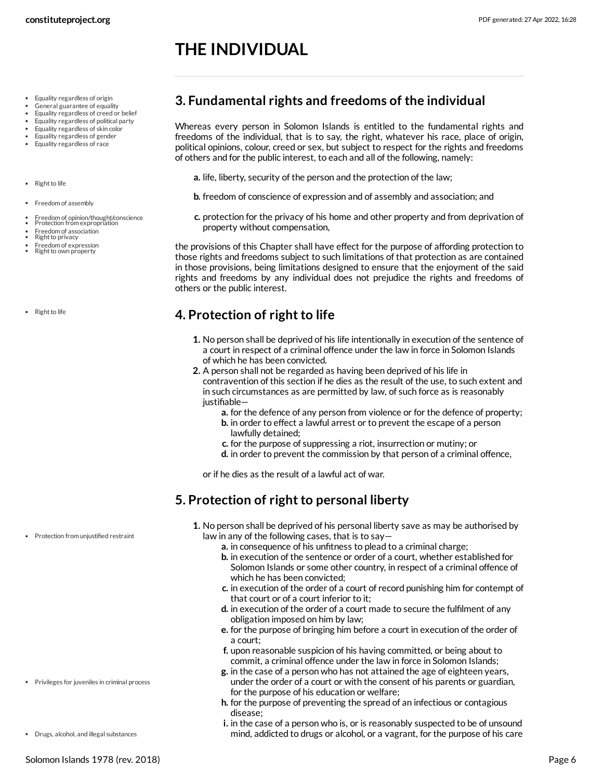## **THE INDIVIDUAL**

- Equality regardless of origin
- General guarantee of equality
- Equality regardless of creed or belief Equality regardless of political party
- Equality regardless of skin color
- Equality regardless of gender
- Equality regardless of race
- Right to life
- Freedom of assembly
- Freedom of opinion/thought/conscience Protection from expropriation
- Freedom of association<br>Right to privacy
- 
- Freedom of expression<br>Right to own property
- Right to life

### <span id="page-5-0"></span>**3. Fundamental rights and freedoms of the individual**

<span id="page-5-3"></span>Whereas every person in Solomon Islands is entitled to the fundamental rights and freedoms of the individual, that is to say, the right, whatever his race, place of origin, political opinions, colour, creed or sex, but subject to respect for the rights and freedoms of others and for the public interest, to each and all of the following, namely:

- **a.** life, liberty, security of the person and the protection of the law;
- **b.** freedom of conscience of expression and of assembly and association; and
- **c.** protection for the privacy of his home and other property and from deprivation of property without compensation,

the provisions of this Chapter shall have effect for the purpose of affording protection to those rights and freedoms subject to such limitations of that protection as are contained in those provisions, being limitations designed to ensure that the enjoyment of the said rights and freedoms by any individual does not prejudice the rights and freedoms of others or the public interest.

### <span id="page-5-1"></span>**4. Protection of right to life**

- **1.** No person shall be deprived of his life intentionally in execution of the sentence of a court in respect of a criminal offence under the law in force in Solomon Islands of which he has been convicted.
- **2.** A person shall not be regarded as having been deprived of his life in contravention of this section if he dies as the result of the use, to such extent and in such circumstances as are permitted by law, of such force as is reasonably justifiable
	- **a.** for the defence of any person from violence or for the defence of property;
	- **b.** in order to effect a lawful arrest or to prevent the escape of a person lawfully detained;
	- **c.** for the purpose of suppressing a riot, insurrection or mutiny; or
	- **d.** in order to prevent the commission by that person of a criminal offence,

or if he dies as the result of a lawful act of war.

### <span id="page-5-2"></span>**5. Protection of right to personal liberty**

- **1.** No person shall be deprived of his personal liberty save as may be authorised by law in any of the following cases, that is to say
	- **a.** in consequence of his unfitness to plead to a criminal charge;
	- **b.** in execution of the sentence or order of a court, whether established for Solomon Islands or some other country, in respect of a criminal offence of which he has been convicted;
	- **c.** in execution of the order of a court of record punishing him for contempt of that court or of a court inferior to it;
	- **d.** in execution of the order of a court made to secure the fulfilment of any obligation imposed on him by law;
	- **e.** for the purpose of bringing him before a court in execution of the order of a court;
	- **f.** upon reasonable suspicion of his having committed, or being about to commit, a criminal offence under the law in force in Solomon Islands;
	- **g.** in the case of a person who has not attained the age of eighteen years, under the order of a court or with the consent of his parents or guardian, for the purpose of his education or welfare;
	- **h.** for the purpose of preventing the spread of an infectious or contagious disease;
	- **i.** in the case of a person who is, or is reasonably suspected to be of unsound mind, addicted to drugs or alcohol, or a vagrant, for the purpose of his care
- Privileges for juveniles in criminal process

• Protection from unjustified restraint

Drugs, alcohol, and illegal substances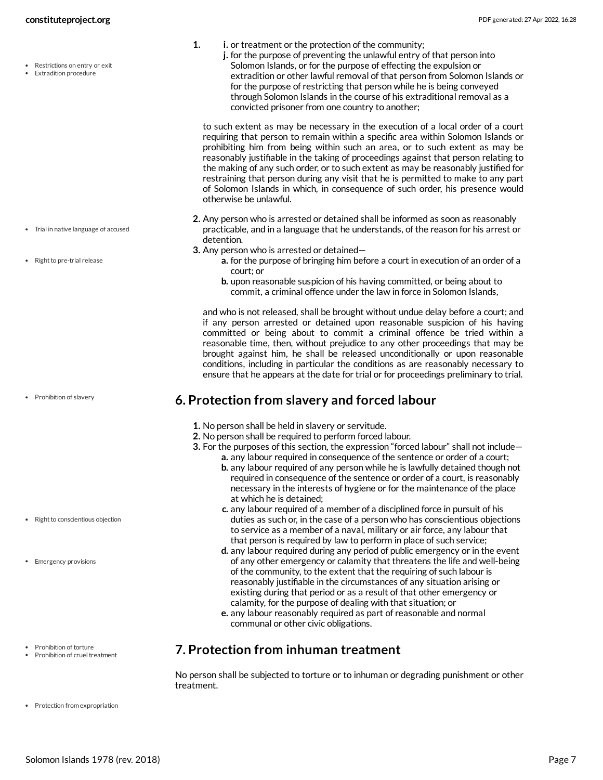- Restrictions on entry or exit
- Extradition procedure

- Trial in native language of accused
- Right to pre-trial release

• Prohibition of slavery

- Right to conscientious objection
- Emergency provisions
- Prohibition of torture Prohibition of cruel treatment
- **1. i.** or treatment or the protection of the community;
	- **j.** for the purpose of preventing the unlawful entry of that person into Solomon Islands, or for the purpose of effecting the expulsion or extradition or other lawful removal of that person from Solomon Islands or for the purpose of restricting that person while he is being conveyed through Solomon Islands in the course of his extraditional removal as a convicted prisoner from one country to another;

to such extent as may be necessary in the execution of a local order of a court requiring that person to remain within a specific area within Solomon Islands or prohibiting him from being within such an area, or to such extent as may be reasonably justifiable in the taking of proceedings against that person relating to the making of any such order, or to such extent as may be reasonably justified for restraining that person during any visit that he is permitted to make to any part of Solomon Islands in which, in consequence of such order, his presence would otherwise be unlawful.

- **2.** Any person who is arrested or detained shall be informed as soon as reasonably practicable, and in a language that he understands, of the reason for his arrest or detention.
- **3.** Any person who is arrested or detained
	- **a.** for the purpose of bringing him before a court in execution of an order of a court; or
	- **b.** upon reasonable suspicion of his having committed, or being about to commit, a criminal offence under the law in force in Solomon Islands,

and who is not released, shall be brought without undue delay before a court; and if any person arrested or detained upon reasonable suspicion of his having committed or being about to commit a criminal offence be tried within a reasonable time, then, without prejudice to any other proceedings that may be brought against him, he shall be released unconditionally or upon reasonable conditions, including in particular the conditions as are reasonably necessary to ensure that he appears at the date for trial or for proceedings preliminary to trial.

### <span id="page-6-0"></span>**6. Protection from slavery and forced labour**

- **1.** No person shall be held in slavery or servitude.
- **2.** No person shall be required to perform forced labour.
- **3.** For the purposes of this section, the expression "forced labour" shall not include
	- **a.** any labour required in consequence of the sentence or order of a court; **b.** any labour required of any person while he is lawfully detained though not required in consequence of the sentence or order of a court, is reasonably necessary in the interests of hygiene or for the maintenance of the place at which he is detained;
	- **c.** any labour required of a member of a disciplined force in pursuit of his duties as such or, in the case of a person who has conscientious objections to service as a member of a naval, military or air force, any labour that that person is required by law to perform in place of such service;
	- **d.** any labour required during any period of public emergency or in the event of any other emergency or calamity that threatens the life and well-being of the community, to the extent that the requiring of such labour is reasonably justifiable in the circumstances of any situation arising or existing during that period or as a result of that other emergency or calamity, for the purpose of dealing with that situation; or
	- **e.** any labour reasonably required as part of reasonable and normal communal or other civic obligations.

### <span id="page-6-1"></span>**7. Protection from inhuman treatment**

<span id="page-6-2"></span>No person shall be subjected to torture or to inhuman or degrading punishment or other treatment.

• Protection from expropriation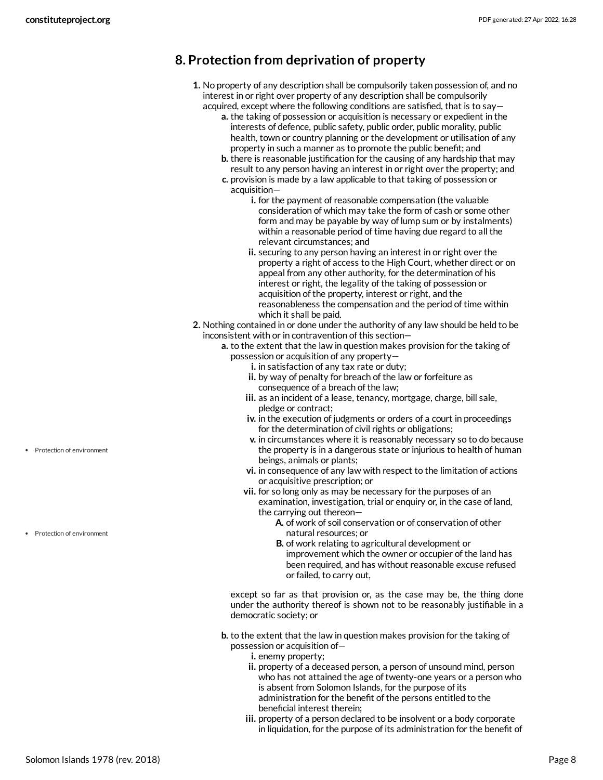## <span id="page-7-0"></span>**8. Protection from deprivation of property**

- **1.** No property of any description shall be compulsorily taken possession of, and no interest in or right over property of any description shall be compulsorily acquired, except where the following conditions are satisfied, that is to say
	- **a.** the taking of possession or acquisition is necessary or expedient in the interests of defence, public safety, public order, public morality, public health, town or country planning or the development or utilisation of any property in such a manner as to promote the public benefit; and
	- **b.** there is reasonable justification for the causing of any hardship that may result to any person having an interest in or right over the property; and **c.** provision is made by a law applicable to that taking of possession or
	- acquisition
		- **i.** for the payment of reasonable compensation (the valuable consideration of which may take the form of cash or some other form and may be payable by way of lump sum or by instalments) within a reasonable period of time having due regard to all the relevant circumstances; and
		- **ii.** securing to any person having an interest in or right over the property a right of access to the High Court, whether direct or on appeal from any other authority, for the determination of his interest or right, the legality of the taking of possession or acquisition of the property, interest or right, and the reasonableness the compensation and the period of time within which it shall be paid.
- **2.** Nothing contained in or done under the authority of any law should be held to be inconsistent with or in contravention of this section
	- **a.** to the extent that the law in question makes provision for the taking of possession or acquisition of any property
		- **i.** in satisfaction of any tax rate or duty;
		- **ii.** by way of penalty for breach of the law or forfeiture as consequence of a breach of the law;
		- **iii.** as an incident of a lease, tenancy, mortgage, charge, bill sale, pledge or contract;
		- **iv.** in the execution of judgments or orders of a court in proceedings for the determination of civil rights or obligations;
		- **v.** in circumstances where it is reasonably necessary so to do because the property is in a dangerous state or injurious to health of human beings, animals or plants;
		- **vi.** in consequence of any law with respect to the limitation of actions or acquisitive prescription; or
		- **vii.** for so long only as may be necessary for the purposes of an examination, investigation, trial or enquiry or, in the case of land, the carrying out thereon—
			- **A.** of work of soil conservation or of conservation of other natural resources; or
			- **B.** of work relating to agricultural development or improvement which the owner or occupier of the land has been required, and has without reasonable excuse refused or failed, to carry out,

except so far as that provision or, as the case may be, the thing done under the authority thereof is shown not to be reasonably justifiable in a democratic society; or

- **b.** to the extent that the law in question makes provision for the taking of possession or acquisition of
	- **i.** enemy property;
	- **ii.** property of a deceased person, a person of unsound mind, person who has not attained the age of twenty-one years or a person who is absent from Solomon Islands, for the purpose of its administration for the benefit of the persons entitled to the beneficial interest therein;
	- **iii.** property of a person declared to be insolvent or a body corporate in liquidation, for the purpose of its administration for the benefit of
- Protection of environment
- Protection of environment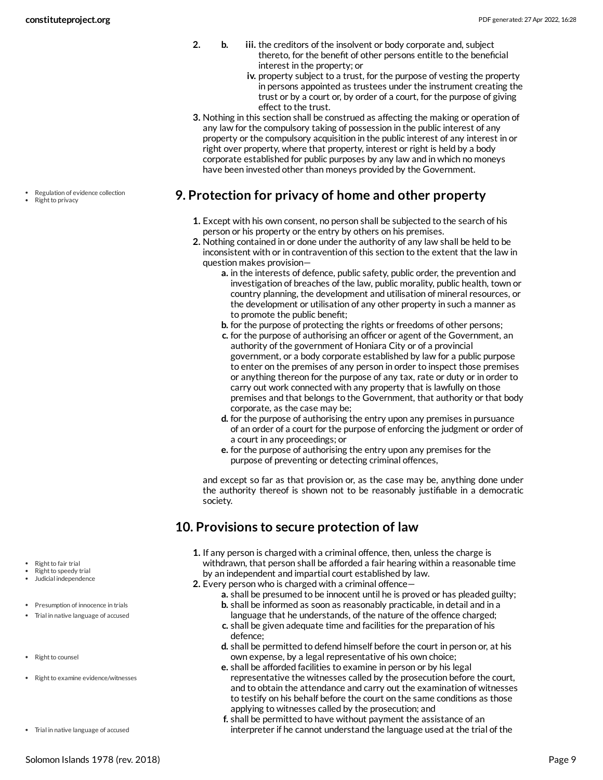- **2. b. iii.** the creditors of the insolvent or body corporate and, subject thereto, for the benefit of other persons entitle to the beneficial interest in the property; or
	- **iv.** property subject to a trust, for the purpose of vesting the property in persons appointed as trustees under the instrument creating the trust or by a court or, by order of a court, for the purpose of giving effect to the trust.
- **3.** Nothing in this section shall be construed as affecting the making or operation of any law for the compulsory taking of possession in the public interest of any property or the compulsory acquisition in the public interest of any interest in or right over property, where that property, interest or right is held by a body corporate established for public purposes by any law and in which no moneys have been invested other than moneys provided by the Government.

### <span id="page-8-0"></span>**9. Protection for privacy of home and other property**

- **1.** Except with his own consent, no person shall be subjected to the search of his person or his property or the entry by others on his premises.
- **2.** Nothing contained in or done under the authority of any law shall be held to be inconsistent with or in contravention of this section to the extent that the law in question makes provision
	- **a.** in the interests of defence, public safety, public order, the prevention and investigation of breaches of the law, public morality, public health, town or country planning, the development and utilisation of mineral resources, or the development or utilisation of any other property in such a manner as to promote the public benefit;
	- **b.** for the purpose of protecting the rights or freedoms of other persons;
	- **c.** for the purpose of authorising an officer or agent of the Government, an authority of the government of Honiara City or of a provincial government, or a body corporate established by law for a public purpose to enter on the premises of any person in order to inspect those premises or anything thereon for the purpose of any tax, rate or duty or in order to carry out work connected with any property that is lawfully on those premises and that belongs to the Government, that authority or that body corporate, as the case may be;
	- **d.** for the purpose of authorising the entry upon any premises in pursuance of an order of a court for the purpose of enforcing the judgment or order of a court in any proceedings; or
	- **e.** for the purpose of authorising the entry upon any premises for the purpose of preventing or detecting criminal offences,

and except so far as that provision or, as the case may be, anything done under the authority thereof is shown not to be reasonably justifiable in a democratic society.

## <span id="page-8-1"></span>**10. Provisions to secure protection of law**

- **1.** If any person is charged with a criminal offence, then, unless the charge is withdrawn, that person shall be afforded a fair hearing within a reasonable time by an independent and impartial court established by law.
- **2.** Every person who is charged with a criminal offence
	- **a.** shall be presumed to be innocent until he is proved or has pleaded guilty; **b.** shall be informed as soon as reasonably practicable, in detail and in a
	- language that he understands, of the nature of the offence charged; **c.** shall be given adequate time and facilities for the preparation of his
	- defence;
	- **d.** shall be permitted to defend himself before the court in person or, at his own expense, by a legal representative of his own choice;
	- **e.** shall be afforded facilities to examine in person or by his legal representative the witnesses called by the prosecution before the court, and to obtain the attendance and carry out the examination of witnesses to testify on his behalf before the court on the same conditions as those applying to witnesses called by the prosecution; and
	- **f.** shall be permitted to have without payment the assistance of an interpreter if he cannot understand the language used at the trial of the
- Regulation of evidence collection
- Right to privacy

- Right to fair trial
- Right to speedy trial
- Judicial independence
- Presumption of innocence in trials
- Trial in native language of accused
- Right to counsel
- Right to examine evidence/witnesses
- Trial in native language of accused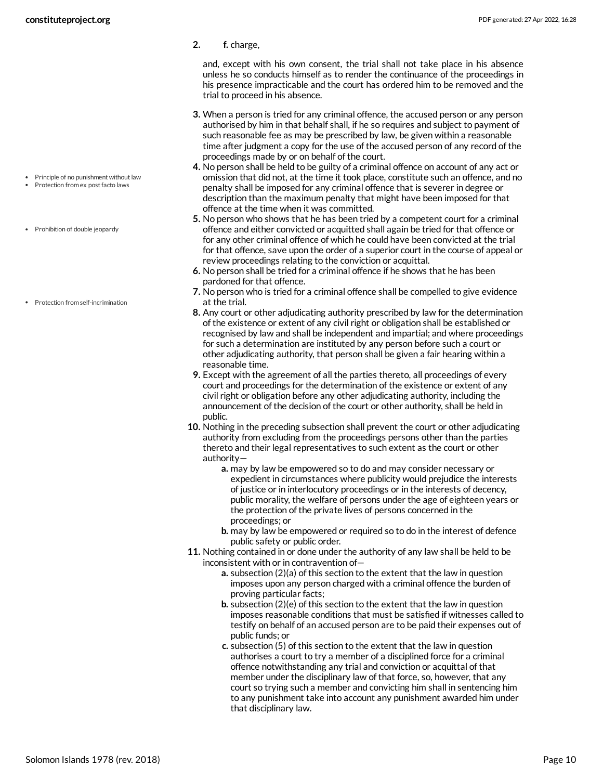**2. f.** charge,

and, except with his own consent, the trial shall not take place in his absence unless he so conducts himself as to render the continuance of the proceedings in his presence impracticable and the court has ordered him to be removed and the trial to proceed in his absence.

- **3.** When a person is tried for any criminal offence, the accused person or any person authorised by him in that behalf shall, if he so requires and subject to payment of such reasonable fee as may be prescribed by law, be given within a reasonable time after judgment a copy for the use of the accused person of any record of the proceedings made by or on behalf of the court.
- **4.** No person shall be held to be guilty of a criminal offence on account of any act or omission that did not, at the time it took place, constitute such an offence, and no penalty shall be imposed for any criminal offence that is severer in degree or description than the maximum penalty that might have been imposed for that offence at the time when it was committed.
- **5.** No person who shows that he has been tried by a competent court for a criminal offence and either convicted or acquitted shall again be tried for that offence or for any other criminal offence of which he could have been convicted at the trial for that offence, save upon the order of a superior court in the course of appeal or review proceedings relating to the conviction or acquittal.
- **6.** No person shall be tried for a criminal offence if he shows that he has been pardoned for that offence.
- **7.** No person who is tried for a criminal offence shall be compelled to give evidence at the trial.
- **8.** Any court or other adjudicating authority prescribed by law for the determination of the existence or extent of any civil right or obligation shall be established or recognised by law and shall be independent and impartial; and where proceedings for such a determination are instituted by any person before such a court or other adjudicating authority, that person shall be given a fair hearing within a reasonable time.
- **9.** Except with the agreement of all the parties thereto, all proceedings of every court and proceedings for the determination of the existence or extent of any civil right or obligation before any other adjudicating authority, including the announcement of the decision of the court or other authority, shall be held in public.
- **10.** Nothing in the preceding subsection shall prevent the court or other adjudicating authority from excluding from the proceedings persons other than the parties thereto and their legal representatives to such extent as the court or other authority
	- **a.** may by law be empowered so to do and may consider necessary or expedient in circumstances where publicity would prejudice the interests of justice or in interlocutory proceedings or in the interests of decency, public morality, the welfare of persons under the age of eighteen years or the protection of the private lives of persons concerned in the proceedings; or
	- **b.** may by law be empowered or required so to do in the interest of defence public safety or public order.
- **11.** Nothing contained in or done under the authority of any law shall be held to be inconsistent with or in contravention of
	- **a.** subsection (2)(a) of this section to the extent that the law in question imposes upon any person charged with a criminal offence the burden of proving particular facts;
	- **b.** subsection (2)(e) of this section to the extent that the law in question imposes reasonable conditions that must be satisfied if witnesses called to testify on behalf of an accused person are to be paid their expenses out of public funds; or
	- **c.** subsection (5) of this section to the extent that the law in question authorises a court to try a member of a disciplined force for a criminal offence notwithstanding any trial and conviction or acquittal of that member under the disciplinary law of that force, so, however, that any court so trying such a member and convicting him shall in sentencing him to any punishment take into account any punishment awarded him under that disciplinary law.

Principle of no punishment without law Protection from ex post facto laws

- Prohibition of double jeopardy
- Protection from self-incrimination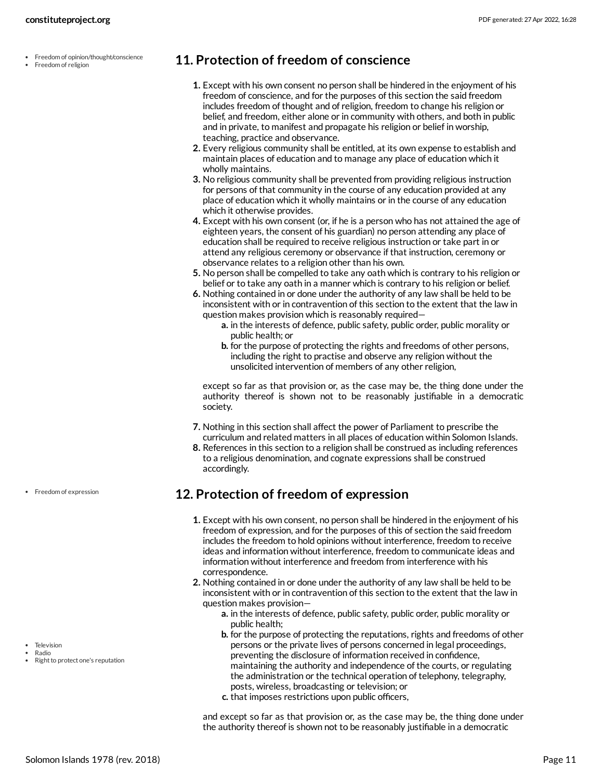• Freedom of religion

### <span id="page-10-0"></span>**11. Protection of freedom of conscience**

- **1.** Except with his own consent no person shall be hindered in the enjoyment of his freedom of conscience, and for the purposes of this section the said freedom includes freedom of thought and of religion, freedom to change his religion or belief, and freedom, either alone or in community with others, and both in public and in private, to manifest and propagate his religion or belief in worship, teaching, practice and observance.
- **2.** Every religious community shall be entitled, at its own expense to establish and maintain places of education and to manage any place of education which it wholly maintains.
- **3.** No religious community shall be prevented from providing religious instruction for persons of that community in the course of any education provided at any place of education which it wholly maintains or in the course of any education which it otherwise provides.
- **4.** Except with his own consent (or, if he is a person who has not attained the age of eighteen years, the consent of his guardian) no person attending any place of education shall be required to receive religious instruction or take part in or attend any religious ceremony or observance if that instruction, ceremony or observance relates to a religion other than his own.
- **5.** No person shall be compelled to take any oath which is contrary to his religion or belief or to take any oath in a manner which is contrary to his religion or belief.
- **6.** Nothing contained in or done under the authority of any law shall be held to be inconsistent with or in contravention of this section to the extent that the law in question makes provision which is reasonably required
	- **a.** in the interests of defence, public safety, public order, public morality or public health; or
	- **b.** for the purpose of protecting the rights and freedoms of other persons, including the right to practise and observe any religion without the unsolicited intervention of members of any other religion,

except so far as that provision or, as the case may be, the thing done under the authority thereof is shown not to be reasonably justifiable in a democratic society.

- **7.** Nothing in this section shall affect the power of Parliament to prescribe the curriculum and related matters in all places of education within Solomon Islands.
- **8.** References in this section to a religion shall be construed as including references to a religious denomination, and cognate expressions shall be construed accordingly.

## <span id="page-10-1"></span>**12. Protection of freedom of expression**

- **1.** Except with his own consent, no person shall be hindered in the enjoyment of his freedom of expression, and for the purposes of this of section the said freedom includes the freedom to hold opinions without interference, freedom to receive ideas and information without interference, freedom to communicate ideas and information without interference and freedom from interference with his correspondence.
- **2.** Nothing contained in or done under the authority of any law shall be held to be inconsistent with or in contravention of this section to the extent that the law in question makes provision
	- **a.** in the interests of defence, public safety, public order, public morality or public health;
	- **b.** for the purpose of protecting the reputations, rights and freedoms of other persons or the private lives of persons concerned in legal proceedings, preventing the disclosure of information received in confidence, maintaining the authority and independence of the courts, or regulating the administration or the technical operation of telephony, telegraphy, posts, wireless, broadcasting or television; or
	- **c.** that imposes restrictions upon public officers,

and except so far as that provision or, as the case may be, the thing done under the authority thereof is shown not to be reasonably justifiable in a democratic

• Freedom of expression

- Television
- Radio
- Right to protect one's reputation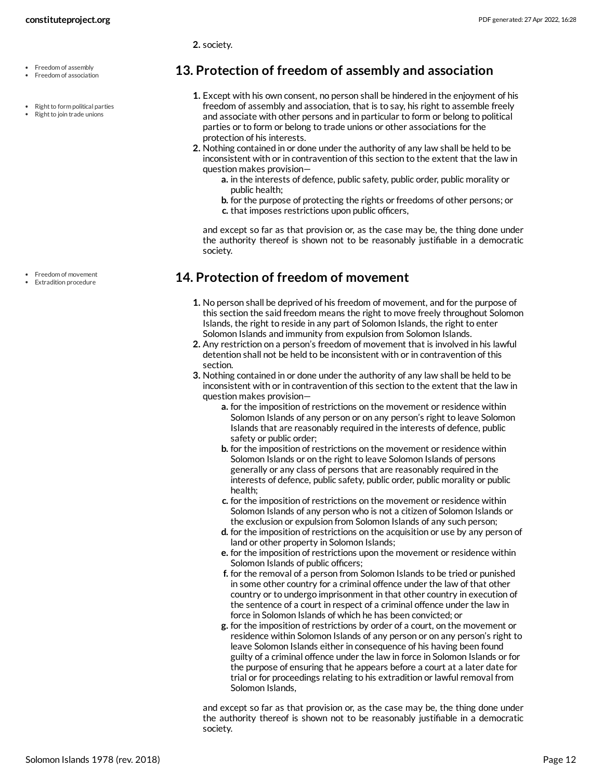**2.** society.

#### Freedom of assembly Freedom of association

- 
- Right to form political parties Right to join trade unions
- <span id="page-11-0"></span>**13. Protection of freedom of assembly and association**
	- **1.** Except with his own consent, no person shall be hindered in the enjoyment of his freedom of assembly and association, that is to say, his right to assemble freely and associate with other persons and in particular to form or belong to political parties or to form or belong to trade unions or other associations for the protection of his interests.
	- **2.** Nothing contained in or done under the authority of any law shall be held to be inconsistent with or in contravention of this section to the extent that the law in question makes provision
		- **a.** in the interests of defence, public safety, public order, public morality or public health;
		- **b.** for the purpose of protecting the rights or freedoms of other persons; or **c.** that imposes restrictions upon public officers,

and except so far as that provision or, as the case may be, the thing done under the authority thereof is shown not to be reasonably justifiable in a democratic society.

### <span id="page-11-1"></span>**14. Protection of freedom of movement**

- **1.** No person shall be deprived of his freedom of movement, and for the purpose of this section the said freedom means the right to move freely throughout Solomon Islands, the right to reside in any part of Solomon Islands, the right to enter Solomon Islands and immunity from expulsion from Solomon Islands.
- **2.** Any restriction on a person's freedom of movement that is involved in his lawful detention shall not be held to be inconsistent with or in contravention of this section.
- **3.** Nothing contained in or done under the authority of any law shall be held to be inconsistent with or in contravention of this section to the extent that the law in question makes provision
	- **a.** for the imposition of restrictions on the movement or residence within Solomon Islands of any person or on any person's right to leave Solomon Islands that are reasonably required in the interests of defence, public safety or public order;
	- **b.** for the imposition of restrictions on the movement or residence within Solomon Islands or on the right to leave Solomon Islands of persons generally or any class of persons that are reasonably required in the interests of defence, public safety, public order, public morality or public health;
	- **c.** for the imposition of restrictions on the movement or residence within Solomon Islands of any person who is not a citizen of Solomon Islands or the exclusion or expulsion from Solomon Islands of any such person;
	- **d.** for the imposition of restrictions on the acquisition or use by any person of land or other property in Solomon Islands;
	- **e.** for the imposition of restrictions upon the movement or residence within Solomon Islands of public officers;
	- **f.** for the removal of a person from Solomon Islands to be tried or punished in some other country for a criminal offence under the law of that other country or to undergo imprisonment in that other country in execution of the sentence of a court in respect of a criminal offence under the law in force in Solomon Islands of which he has been convicted; or
	- **g.** for the imposition of restrictions by order of a court, on the movement or residence within Solomon Islands of any person or on any person's right to leave Solomon Islands either in consequence of his having been found guilty of a criminal offence under the law in force in Solomon Islands or for the purpose of ensuring that he appears before a court at a later date for trial or for proceedings relating to his extradition or lawful removal from Solomon Islands,

and except so far as that provision or, as the case may be, the thing done under the authority thereof is shown not to be reasonably justifiable in a democratic society.

- Freedom of movement
- Extradition procedure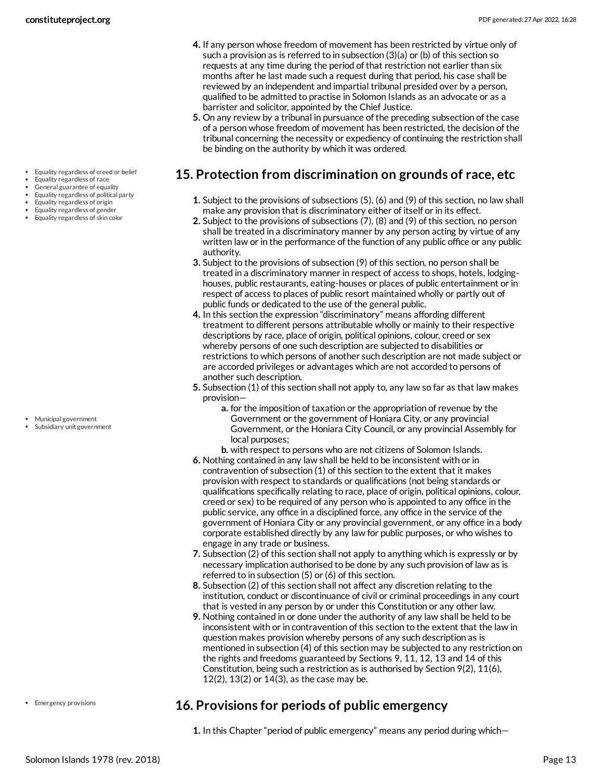- **4.** If any person whose freedom of movement has been restricted by virtue only of such a provision as is referred to in subsection (3)(a) or (b) of this section so requests at any time during the period of that restriction not earlier than six months after he last made such a request during that period, his case shall be reviewed by an independent and impartial tribunal presided over by a person, qualified to be admitted to practise in Solomon Islands as an advocate or as a barrister and solicitor, appointed by the Chief Justice.
- **5.** On any review by a tribunal in pursuance of the preceding subsection of the case of a person whose freedom of movement has been restricted, the decision of the tribunal concerning the necessity or expediency of continuing the restriction shall be binding on the authority by which it was ordered.

### <span id="page-12-0"></span>**15. Protection from discrimination on grounds of race, etc**

- **1.** Subject to the provisions of subsections (5), (6) and (9) of this section, no law shall make any provision that is discriminatory either of itself or in its effect.
- **2.** Subject to the provisions of subsections (7), (8) and (9) of this section, no person shall be treated in a discriminatory manner by any person acting by virtue of any written law or in the performance of the function of any public office or any public authority.
- **3.** Subject to the provisions of subsection (9) of this section, no person shall be treated in a discriminatory manner in respect of access to shops, hotels, lodginghouses, public restaurants, eating-houses or places of public entertainment or in respect of access to places of public resort maintained wholly or partly out of public funds or dedicated to the use of the general public.
- **4.** In this section the expression "discriminatory" means affording different treatment to different persons attributable wholly or mainly to their respective descriptions by race, place of origin, political opinions, colour, creed or sex whereby persons of one such description are subjected to disabilities or restrictions to which persons of another such description are not made subject or are accorded privileges or advantages which are not accorded to persons of another such description.
- **5.** Subsection (1) of this section shall not apply to, any law so far as that law makes provision
	- **a.** for the imposition of taxation or the appropriation of revenue by the Government or the government of Honiara City, or any provincial Government, or the Honiara City Council, or any provincial Assembly for local purposes;
	- **b.** with respect to persons who are not citizens of Solomon Islands.
- **6.** Nothing contained in any law shall be held to be inconsistent with or in contravention of subsection (1) of this section to the extent that it makes provision with respect to standards or qualifications (not being standards or qualifications specifically relating to race, place of origin, political opinions, colour, creed or sex) to be required of any person who is appointed to any office in the public service, any office in a disciplined force, any office in the service of the government of Honiara City or any provincial government, or any office in a body corporate established directly by any law for public purposes, or who wishes to engage in any trade or business.
- **7.** Subsection (2) of this section shall not apply to anything which is expressly or by necessary implication authorised to be done by any such provision of law as is referred to in subsection (5) or (6) of this section.
- **8.** Subsection (2) of this section shall not affect any discretion relating to the institution, conduct or discontinuance of civil or criminal proceedings in any court that is vested in any person by or under this Constitution or any other law.
- **9.** Nothing contained in or done under the authority of any law shall be held to be inconsistent with or in contravention of this section to the extent that the law in question makes provision whereby persons of any such description as is mentioned in subsection (4) of this section may be subjected to any restriction on the rights and freedoms guaranteed by Sections 9, 11, 12, 13 and 14 of this Constitution, being such a restriction as is authorised by Section 9(2), 11(6), 12(2), 13(2) or 14(3), as the case may be.

## <span id="page-12-1"></span>**16. Provisions for periods of public emergency**

**1.** In this Chapter "period of public emergency" means any period during which—

- Equality regardless of creed or belief
- $\bullet$ Equality regardless of race
- General guarantee of equality
- Equality regardless of political party Equality regardless of origin
- Equality regardless of gender
- Equality regardless of skin color

- Municipal government
- Subsidiary unit government

• Emergency provisions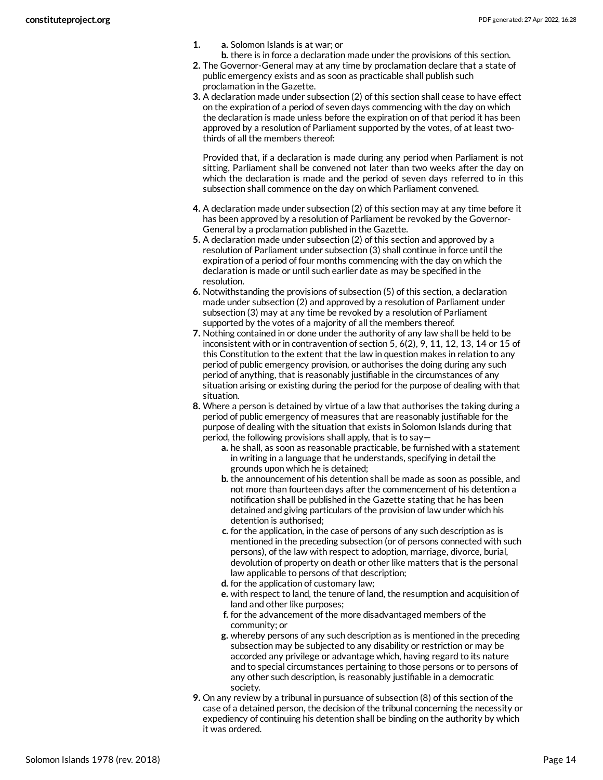- **1. a.** Solomon Islands is at war; or
- **b.** there is in force a declaration made under the provisions of this section. **2.** The Governor-General may at any time by proclamation declare that a state of
- public emergency exists and as soon as practicable shall publish such proclamation in the Gazette.
- **3.** A declaration made under subsection (2) of this section shall cease to have effect on the expiration of a period of seven days commencing with the day on which the declaration is made unless before the expiration on of that period it has been approved by a resolution of Parliament supported by the votes, of at least twothirds of all the members thereof:

Provided that, if a declaration is made during any period when Parliament is not sitting, Parliament shall be convened not later than two weeks after the day on which the declaration is made and the period of seven days referred to in this subsection shall commence on the day on which Parliament convened.

- **4.** A declaration made under subsection (2) of this section may at any time before it has been approved by a resolution of Parliament be revoked by the Governor-General by a proclamation published in the Gazette.
- **5.** A declaration made under subsection (2) of this section and approved by a resolution of Parliament under subsection (3) shall continue in force until the expiration of a period of four months commencing with the day on which the declaration is made or until such earlier date as may be specified in the resolution.
- **6.** Notwithstanding the provisions of subsection (5) of this section, a declaration made under subsection (2) and approved by a resolution of Parliament under subsection (3) may at any time be revoked by a resolution of Parliament supported by the votes of a majority of all the members thereof.
- **7.** Nothing contained in or done under the authority of any law shall be held to be inconsistent with or in contravention of section 5, 6(2), 9, 11, 12, 13, 14 or 15 of this Constitution to the extent that the law in question makes in relation to any period of public emergency provision, or authorises the doing during any such period of anything, that is reasonably justifiable in the circumstances of any situation arising or existing during the period for the purpose of dealing with that situation.
- **8.** Where a person is detained by virtue of a law that authorises the taking during a period of public emergency of measures that are reasonably justifiable for the purpose of dealing with the situation that exists in Solomon Islands during that period, the following provisions shall apply, that is to say
	- **a.** he shall, as soon as reasonable practicable, be furnished with a statement in writing in a language that he understands, specifying in detail the grounds upon which he is detained;
	- **b.** the announcement of his detention shall be made as soon as possible, and not more than fourteen days after the commencement of his detention a notification shall be published in the Gazette stating that he has been detained and giving particulars of the provision of law under which his detention is authorised;
	- **c.** for the application, in the case of persons of any such description as is mentioned in the preceding subsection (or of persons connected with such persons), of the law with respect to adoption, marriage, divorce, burial, devolution of property on death or other like matters that is the personal law applicable to persons of that description;
	- **d.** for the application of customary law;
	- **e.** with respect to land, the tenure of land, the resumption and acquisition of land and other like purposes;
	- **f.** for the advancement of the more disadvantaged members of the community; or
	- **g.** whereby persons of any such description as is mentioned in the preceding subsection may be subjected to any disability or restriction or may be accorded any privilege or advantage which, having regard to its nature and to special circumstances pertaining to those persons or to persons of any other such description, is reasonably justifiable in a democratic society.
- **9.** On any review by a tribunal in pursuance of subsection (8) of this section of the case of a detained person, the decision of the tribunal concerning the necessity or expediency of continuing his detention shall be binding on the authority by which it was ordered.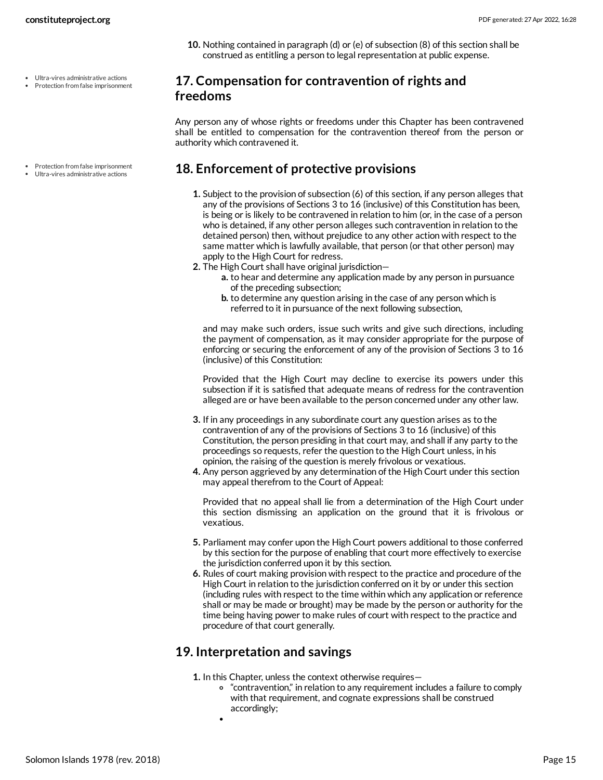- **10.** Nothing contained in paragraph (d) or (e) of subsection (8) of this section shall be construed as entitling a person to legal representation at public expense.
- <span id="page-14-0"></span>**17. Compensation for contravention of rights and freedoms**

Any person any of whose rights or freedoms under this Chapter has been contravened shall be entitled to compensation for the contravention thereof from the person or authority which contravened it.

### <span id="page-14-1"></span>**18. Enforcement of protective provisions**

- **1.** Subject to the provision of subsection (6) of this section, if any person alleges that any of the provisions of Sections 3 to 16 (inclusive) of this Constitution has been, is being or is likely to be contravened in relation to him (or, in the case of a person who is detained, if any other person alleges such contravention in relation to the detained person) then, without prejudice to any other action with respect to the same matter which is lawfully available, that person (or that other person) may apply to the High Court for redress.
- **2.** The High Court shall have original jurisdiction
	- **a.** to hear and determine any application made by any person in pursuance of the preceding subsection;
	- **b.** to determine any question arising in the case of any person which is referred to it in pursuance of the next following subsection,

and may make such orders, issue such writs and give such directions, including the payment of compensation, as it may consider appropriate for the purpose of enforcing or securing the enforcement of any of the provision of Sections 3 to 16 (inclusive) of this Constitution:

Provided that the High Court may decline to exercise its powers under this subsection if it is satisfied that adequate means of redress for the contravention alleged are or have been available to the person concerned under any other law.

- **3.** If in any proceedings in any subordinate court any question arises as to the contravention of any of the provisions of Sections 3 to 16 (inclusive) of this Constitution, the person presiding in that court may, and shall if any party to the proceedings so requests, refer the question to the High Court unless, in his opinion, the raising of the question is merely frivolous or vexatious.
- **4.** Any person aggrieved by any determination of the High Court under this section may appeal therefrom to the Court of Appeal:

Provided that no appeal shall lie from a determination of the High Court under this section dismissing an application on the ground that it is frivolous or vexatious.

- **5.** Parliament may confer upon the High Court powers additional to those conferred by this section for the purpose of enabling that court more effectively to exercise the jurisdiction conferred upon it by this section.
- **6.** Rules of court making provision with respect to the practice and procedure of the High Court in relation to the jurisdiction conferred on it by or under this section (including rules with respect to the time within which any application or reference shall or may be made or brought) may be made by the person or authority for the time being having power to make rules of court with respect to the practice and procedure of that court generally.

## <span id="page-14-2"></span>**19. Interpretation and savings**

- **1.** In this Chapter, unless the context otherwise requires—
	- "contravention," in relation to any requirement includes a failure to comply with that requirement, and cognate expressions shall be construed accordingly;
	-

Protection from false imprisonment Ultra-vires administrative actions

Ultra-vires administrative actions • Protection from false imprisonment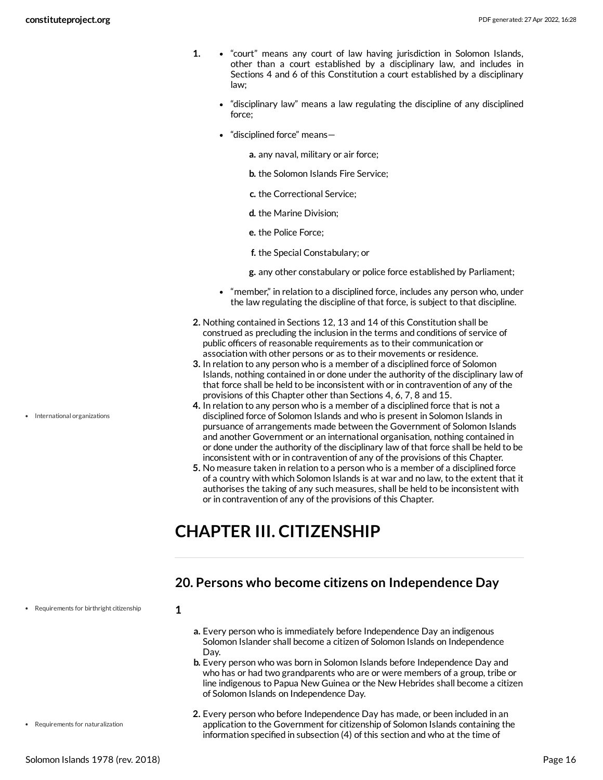- **1.** "court" means any court of law having jurisdiction in Solomon Islands, other than a court established by a disciplinary law, and includes in Sections 4 and 6 of this Constitution a court established by a disciplinary law;
	- "disciplinary law" means a law regulating the discipline of any disciplined force;
	- "disciplined force" means—

**a.** any naval, military or air force;

**b.** the Solomon Islands Fire Service;

**c.** the Correctional Service;

- **d.** the Marine Division;
- **e.** the Police Force;
- **f.** the Special Constabulary; or
- **g.** any other constabulary or police force established by Parliament;
- "member," in relation to a disciplined force, includes any person who, under the law regulating the discipline of that force, is subject to that discipline.
- **2.** Nothing contained in Sections 12, 13 and 14 of this Constitution shall be construed as precluding the inclusion in the terms and conditions of service of public officers of reasonable requirements as to their communication or association with other persons or as to their movements or residence.
- **3.** In relation to any person who is a member of a disciplined force of Solomon Islands, nothing contained in or done under the authority of the disciplinary law of that force shall be held to be inconsistent with or in contravention of any of the provisions of this Chapter other than Sections 4, 6, 7, 8 and 15.
- **4.** In relation to any person who is a member of a disciplined force that is not a disciplined force of Solomon Islands and who is present in Solomon Islands in pursuance of arrangements made between the Government of Solomon Islands and another Government or an international organisation, nothing contained in or done under the authority of the disciplinary law of that force shall be held to be inconsistent with or in contravention of any of the provisions of this Chapter.
- **5.** No measure taken in relation to a person who is a member of a disciplined force of a country with which Solomon Islands is at war and no law, to the extent that it authorises the taking of any such measures, shall be held to be inconsistent with or in contravention of any of the provisions of this Chapter.

## <span id="page-15-0"></span>**CHAPTER III. CITIZENSHIP**

## <span id="page-15-1"></span>**20. Persons who become citizens on Independence Day**

Requirements for birthright citizenship

- <span id="page-15-2"></span>**1**
- **a.** Every person who is immediately before Independence Day an indigenous Solomon Islander shall become a citizen of Solomon Islands on Independence Day.
- **b.** Every person who was born in Solomon Islands before Independence Day and who has or had two grandparents who are or were members of a group, tribe or line indigenous to Papua New Guinea or the New Hebrides shall become a citizen of Solomon Islands on Independence Day.
- **2.** Every person who before Independence Day has made, or been included in an application to the Government for citizenship of Solomon Islands containing the information specified in subsection (4) of this section and who at the time of

• International organizations

• Requirements for naturalization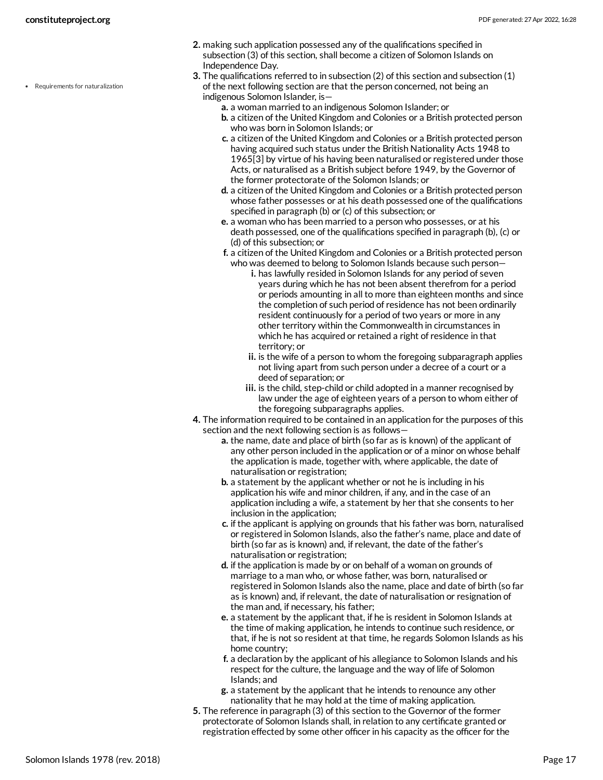- **2.** making such application possessed any of the qualifications specified in subsection (3) of this section, shall become a citizen of Solomon Islands on Independence Day.
- **3.** The qualifications referred to in subsection (2) of this section and subsection (1) of the next following section are that the person concerned, not being an indigenous Solomon Islander, is
	- **a.** a woman married to an indigenous Solomon Islander; or
		- **b.** a citizen of the United Kingdom and Colonies or a British protected person who was born in Solomon Islands; or
		- **c.** a citizen of the United Kingdom and Colonies or a British protected person having acquired such status under the British Nationality Acts 1948 to 1965[3] by virtue of his having been naturalised or registered under those Acts, or naturalised as a British subject before 1949, by the Governor of the former protectorate of the Solomon Islands; or
		- **d.** a citizen of the United Kingdom and Colonies or a British protected person whose father possesses or at his death possessed one of the qualifications specified in paragraph (b) or (c) of this subsection; or
		- **e.** a woman who has been married to a person who possesses, or at his death possessed, one of the qualifications specified in paragraph (b), (c) or (d) of this subsection; or
		- **f.** a citizen of the United Kingdom and Colonies or a British protected person who was deemed to belong to Solomon Islands because such person
			- **i.** has lawfully resided in Solomon Islands for any period of seven years during which he has not been absent therefrom for a period or periods amounting in all to more than eighteen months and since the completion of such period of residence has not been ordinarily resident continuously for a period of two years or more in any other territory within the Commonwealth in circumstances in which he has acquired or retained a right of residence in that territory; or
			- **ii.** is the wife of a person to whom the foregoing subparagraph applies not living apart from such person under a decree of a court or a deed of separation; or
			- **iii.** is the child, step-child or child adopted in a manner recognised by law under the age of eighteen years of a person to whom either of the foregoing subparagraphs applies.
- **4.** The information required to be contained in an application for the purposes of this section and the next following section is as follows
	- **a.** the name, date and place of birth (so far as is known) of the applicant of any other person included in the application or of a minor on whose behalf the application is made, together with, where applicable, the date of naturalisation or registration;
	- **b.** a statement by the applicant whether or not he is including in his application his wife and minor children, if any, and in the case of an application including a wife, a statement by her that she consents to her inclusion in the application;
	- **c.** if the applicant is applying on grounds that his father was born, naturalised or registered in Solomon Islands, also the father's name, place and date of birth (so far as is known) and, if relevant, the date of the father's naturalisation or registration;
	- **d.** if the application is made by or on behalf of a woman on grounds of marriage to a man who, or whose father, was born, naturalised or registered in Solomon Islands also the name, place and date of birth (so far as is known) and, if relevant, the date of naturalisation or resignation of the man and, if necessary, his father;
	- **e.** a statement by the applicant that, if he is resident in Solomon Islands at the time of making application, he intends to continue such residence, or that, if he is not so resident at that time, he regards Solomon Islands as his home country;
	- **f.** a declaration by the applicant of his allegiance to Solomon Islands and his respect for the culture, the language and the way of life of Solomon Islands; and
	- **g.** a statement by the applicant that he intends to renounce any other nationality that he may hold at the time of making application.
- **5.** The reference in paragraph (3) of this section to the Governor of the former protectorate of Solomon Islands shall, in relation to any certificate granted or registration effected by some other officer in his capacity as the officer for the

• Requirements for naturalization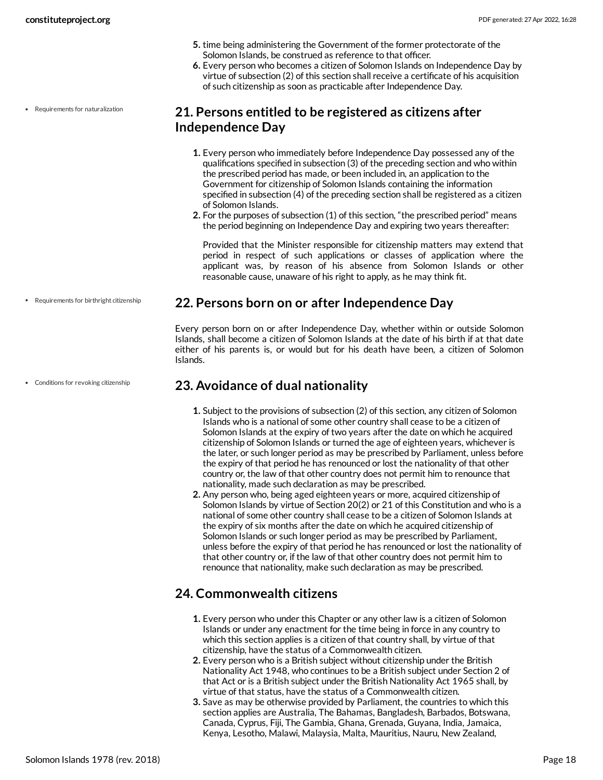- **5.** time being administering the Government of the former protectorate of the Solomon Islands, be construed as reference to that officer.
- **6.** Every person who becomes a citizen of Solomon Islands on Independence Day by virtue of subsection (2) of this section shall receive a certificate of his acquisition of such citizenship as soon as practicable after Independence Day.

#### Requirements for naturalization

### <span id="page-17-0"></span>**21. Persons entitled to be registered as citizens after Independence Day**

- **1.** Every person who immediately before Independence Day possessed any of the qualifications specified in subsection (3) of the preceding section and who within the prescribed period has made, or been included in, an application to the Government for citizenship of Solomon Islands containing the information specified in subsection (4) of the preceding section shall be registered as a citizen of Solomon Islands.
- **2.** For the purposes of subsection (1) of this section, "the prescribed period" means the period beginning on Independence Day and expiring two years thereafter:

Provided that the Minister responsible for citizenship matters may extend that period in respect of such applications or classes of application where the applicant was, by reason of his absence from Solomon Islands or other reasonable cause, unaware of his right to apply, as he may think fit.

### <span id="page-17-1"></span>**22. Persons born on or after Independence Day**

Every person born on or after Independence Day, whether within or outside Solomon Islands, shall become a citizen of Solomon Islands at the date of his birth if at that date either of his parents is, or would but for his death have been, a citizen of Solomon Islands.

### <span id="page-17-2"></span>**23. Avoidance of dual nationality**

- **1.** Subject to the provisions of subsection (2) of this section, any citizen of Solomon Islands who is a national of some other country shall cease to be a citizen of Solomon Islands at the expiry of two years after the date on which he acquired citizenship of Solomon Islands or turned the age of eighteen years, whichever is the later, or such longer period as may be prescribed by Parliament, unless before the expiry of that period he has renounced or lost the nationality of that other country or, the law of that other country does not permit him to renounce that nationality, made such declaration as may be prescribed.
- **2.** Any person who, being aged eighteen years or more, acquired citizenship of Solomon Islands by virtue of Section 20(2) or 21 of this Constitution and who is a national of some other country shall cease to be a citizen of Solomon Islands at the expiry of six months after the date on which he acquired citizenship of Solomon Islands or such longer period as may be prescribed by Parliament, unless before the expiry of that period he has renounced or lost the nationality of that other country or, if the law of that other country does not permit him to renounce that nationality, make such declaration as may be prescribed.

### <span id="page-17-3"></span>**24. Commonwealth citizens**

- **1.** Every person who under this Chapter or any other law is a citizen of Solomon Islands or under any enactment for the time being in force in any country to which this section applies is a citizen of that country shall, by virtue of that citizenship, have the status of a Commonwealth citizen.
- **2.** Every person who is a British subject without citizenship under the British Nationality Act 1948, who continues to be a British subject under Section 2 of that Act or is a British subject under the British Nationality Act 1965 shall, by virtue of that status, have the status of a Commonwealth citizen.
- **3.** Save as may be otherwise provided by Parliament, the countries to which this section applies are Australia, The Bahamas, Bangladesh, Barbados, Botswana, Canada, Cyprus, Fiji, The Gambia, Ghana, Grenada, Guyana, India, Jamaica, Kenya, Lesotho, Malawi, Malaysia, Malta, Mauritius, Nauru, New Zealand,

• Requirements for birthright citizenship

Conditions for revoking citizenship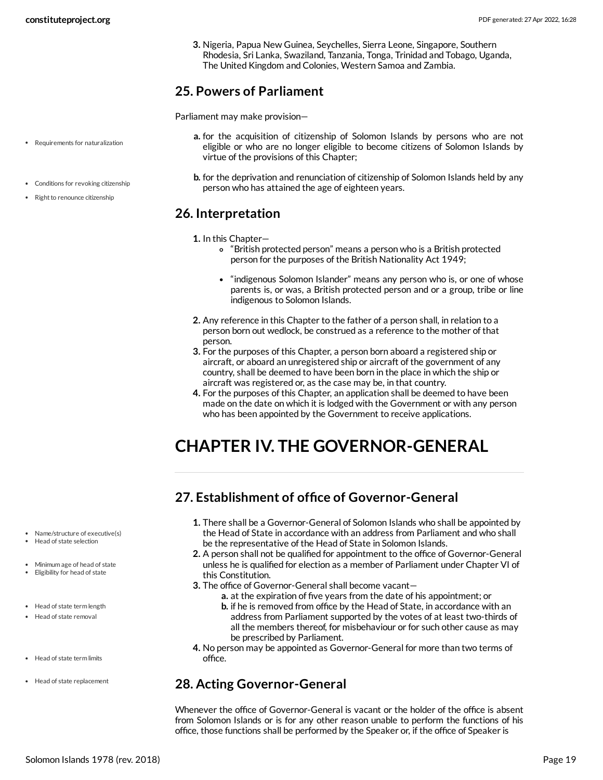**3.** Nigeria, Papua New Guinea, Seychelles, Sierra Leone, Singapore, Southern Rhodesia, Sri Lanka, Swaziland, Tanzania, Tonga, Trinidad and Tobago, Uganda, The United Kingdom and Colonies, Western Samoa and Zambia.

## <span id="page-18-0"></span>**25. Powers of Parliament**

<span id="page-18-5"></span>Parliament may make provision—

- **a.** for the acquisition of citizenship of Solomon Islands by persons who are not eligible or who are no longer eligible to become citizens of Solomon Islands by virtue of the provisions of this Chapter;
- **b.** for the deprivation and renunciation of citizenship of Solomon Islands held by any person who has attained the age of eighteen years.

## <span id="page-18-1"></span>**26. Interpretation**

- **1.** In this Chapter—
	- "British protected person" means a person who is a British protected person for the purposes of the British Nationality Act 1949;
	- "indigenous Solomon Islander" means any person who is, or one of whose parents is, or was, a British protected person and or a group, tribe or line indigenous to Solomon Islands.
- **2.** Any reference in this Chapter to the father of a person shall, in relation to a person born out wedlock, be construed as a reference to the mother of that person.
- **3.** For the purposes of this Chapter, a person born aboard a registered ship or aircraft, or aboard an unregistered ship or aircraft of the government of any country, shall be deemed to have been born in the place in which the ship or aircraft was registered or, as the case may be, in that country.
- **4.** For the purposes of this Chapter, an application shall be deemed to have been made on the date on which it is lodged with the Government or with any person who has been appointed by the Government to receive applications.

## <span id="page-18-2"></span>**CHAPTER IV. THE GOVERNOR-GENERAL**

## <span id="page-18-3"></span>**27. Establishment of office of Governor-General**

- **1.** There shall be a Governor-General of Solomon Islands who shall be appointed by the Head of State in accordance with an address from Parliament and who shall be the representative of the Head of State in Solomon Islands.
- **2.** A person shall not be qualified for appointment to the office of Governor-General unless he is qualified for election as a member of Parliament under Chapter VI of this Constitution.
- **3.** The office of Governor-General shall become vacant
	- **a.** at the expiration of five years from the date of his appointment; or
		- **b.** if he is removed from office by the Head of State, in accordance with an address from Parliament supported by the votes of at least two-thirds of all the members thereof, for misbehaviour or for such other cause as may be prescribed by Parliament.
- **4.** No person may be appointed as Governor-General for more than two terms of office.

## <span id="page-18-4"></span>**28. Acting Governor-General**

Whenever the office of Governor-General is vacant or the holder of the office is absent from Solomon Islands or is for any other reason unable to perform the functions of his office, those functions shall be performed by the Speaker or, if the office of Speaker is

- Requirements for naturalization
- Conditions for revoking citizenship
- Right to renounce citizenship

- Name/structure of executive(s)
- Head of state selection
- Minimum age of head of state
- Eligibility for head of state
- Head of state term length
- Head of state removal
- Head of state term limits
- Head of state replacement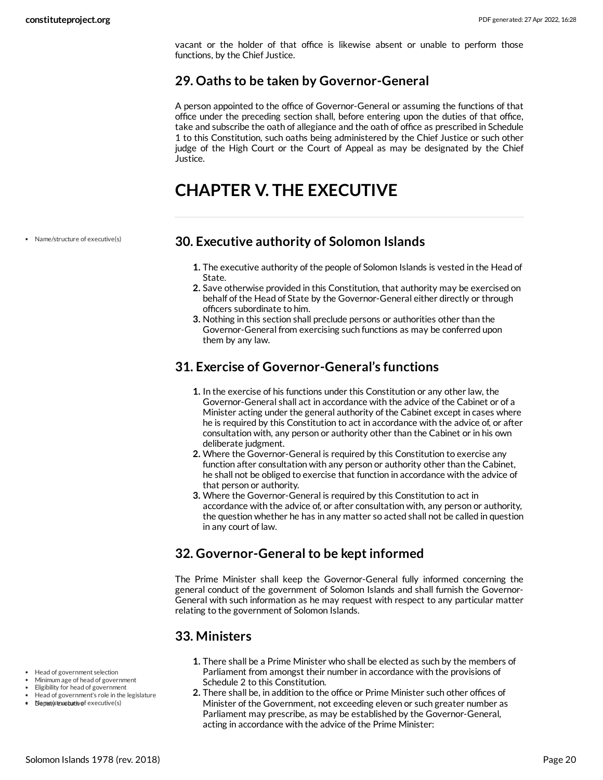vacant or the holder of that office is likewise absent or unable to perform those functions, by the Chief Justice.

### <span id="page-19-0"></span>**29. Oaths to be taken by Governor-General**

A person appointed to the office of Governor-General or assuming the functions of that office under the preceding section shall, before entering upon the duties of that office, take and subscribe the oath of allegiance and the oath of office as prescribed in Schedule 1 to this Constitution, such oaths being administered by the Chief Justice or such other judge of the High Court or the Court of Appeal as may be designated by the Chief Justice.

## <span id="page-19-1"></span>**CHAPTER V. THE EXECUTIVE**

Name/structure of executive(s)

### <span id="page-19-2"></span>**30. Executive authority of Solomon Islands**

- **1.** The executive authority of the people of Solomon Islands is vested in the Head of State.
- **2.** Save otherwise provided in this Constitution, that authority may be exercised on behalf of the Head of State by the Governor-General either directly or through officers subordinate to him.
- **3.** Nothing in this section shall preclude persons or authorities other than the Governor-General from exercising such functions as may be conferred upon them by any law.

## <span id="page-19-3"></span>**31. Exercise of Governor-General's functions**

- **1.** In the exercise of his functions under this Constitution or any other law, the Governor-General shall act in accordance with the advice of the Cabinet or of a Minister acting under the general authority of the Cabinet except in cases where he is required by this Constitution to act in accordance with the advice of, or after consultation with, any person or authority other than the Cabinet or in his own deliberate judgment.
- **2.** Where the Governor-General is required by this Constitution to exercise any function after consultation with any person or authority other than the Cabinet, he shall not be obliged to exercise that function in accordance with the advice of that person or authority.
- **3.** Where the Governor-General is required by this Constitution to act in accordance with the advice of, or after consultation with, any person or authority, the question whether he has in any matter so acted shall not be called in question in any court of law.

## <span id="page-19-4"></span>**32. Governor-General to be kept informed**

The Prime Minister shall keep the Governor-General fully informed concerning the general conduct of the government of Solomon Islands and shall furnish the Governor-General with such information as he may request with respect to any particular matter relating to the government of Solomon Islands.

### <span id="page-19-5"></span>**33. Ministers**

- **1.** There shall be a Prime Minister who shall be elected as such by the members of Parliament from amongst their number in accordance with the provisions of Schedule 2 to this Constitution.
- **2.** There shall be, in addition to the office or Prime Minister such other offices of Minister of the Government, not exceeding eleven or such greater number as Parliament may prescribe, as may be established by the Governor-General, acting in accordance with the advice of the Prime Minister:
- Head of government selection
- Minimum age of head of government
- Eligibility for head of government
- Head of government's role in the legislature  $\bullet$  Namet/stexustuute/of executive(s)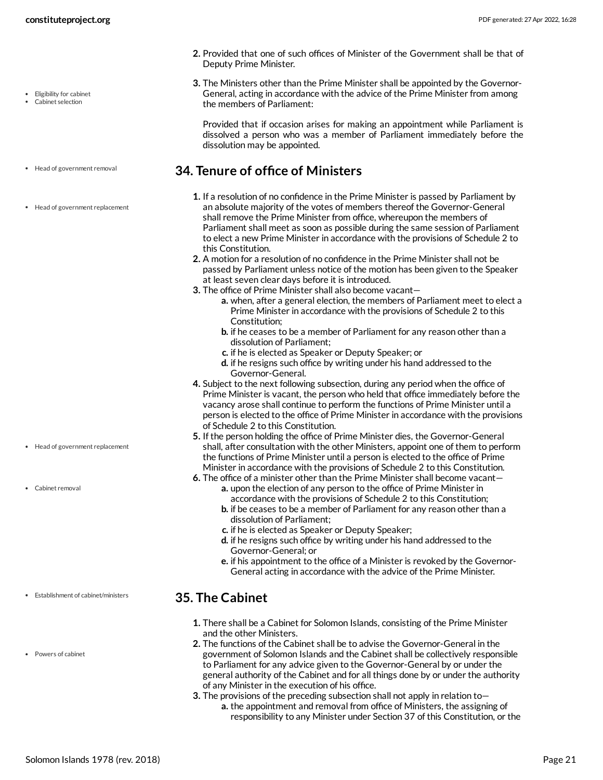- Eligibility for cabinet
- Cabinet selection
- Head of government removal
- Head of government replacement

- Head of government replacement
- Cabinet removal

- Establishment of cabinet/ministers
- Powers of cabinet
- **2.** Provided that one of such offices of Minister of the Government shall be that of Deputy Prime Minister.
- **3.** The Ministers other than the Prime Minister shall be appointed by the Governor-General, acting in accordance with the advice of the Prime Minister from among the members of Parliament:

Provided that if occasion arises for making an appointment while Parliament is dissolved a person who was a member of Parliament immediately before the dissolution may be appointed.

### <span id="page-20-0"></span>**34. Tenure of office of Ministers**

- **1.** If a resolution of no confidence in the Prime Minister is passed by Parliament by an absolute majority of the votes of members thereof the Governor-General shall remove the Prime Minister from office, whereupon the members of Parliament shall meet as soon as possible during the same session of Parliament to elect a new Prime Minister in accordance with the provisions of Schedule 2 to this Constitution.
- **2.** A motion for a resolution of no confidence in the Prime Minister shall not be passed by Parliament unless notice of the motion has been given to the Speaker at least seven clear days before it is introduced.
- **3.** The office of Prime Minister shall also become vacant
	- **a.** when, after a general election, the members of Parliament meet to elect a Prime Minister in accordance with the provisions of Schedule 2 to this Constitution;
		- **b.** if he ceases to be a member of Parliament for any reason other than a dissolution of Parliament;
		- **c.** if he is elected as Speaker or Deputy Speaker; or
		- **d.** if he resigns such office by writing under his hand addressed to the Governor-General.
- **4.** Subject to the next following subsection, during any period when the office of Prime Minister is vacant, the person who held that office immediately before the vacancy arose shall continue to perform the functions of Prime Minister until a person is elected to the office of Prime Minister in accordance with the provisions of Schedule 2 to this Constitution.
- **5.** If the person holding the office of Prime Minister dies, the Governor-General shall, after consultation with the other Ministers, appoint one of them to perform the functions of Prime Minister until a person is elected to the office of Prime Minister in accordance with the provisions of Schedule 2 to this Constitution.
- **6.** The office of a minister other than the Prime Minister shall become vacant
	- **a.** upon the election of any person to the office of Prime Minister in accordance with the provisions of Schedule 2 to this Constitution;
	- **b.** if be ceases to be a member of Parliament for any reason other than a dissolution of Parliament;
	- **c.** if he is elected as Speaker or Deputy Speaker;
	- **d.** if he resigns such office by writing under his hand addressed to the Governor-General; or
	- **e.** if his appointment to the office of a Minister is revoked by the Governor-General acting in accordance with the advice of the Prime Minister.

## <span id="page-20-1"></span>**35. The Cabinet**

- **1.** There shall be a Cabinet for Solomon Islands, consisting of the Prime Minister and the other Ministers.
- **2.** The functions of the Cabinet shall be to advise the Governor-General in the government of Solomon Islands and the Cabinet shall be collectively responsible to Parliament for any advice given to the Governor-General by or under the general authority of the Cabinet and for all things done by or under the authority of any Minister in the execution of his office.
- **3.** The provisions of the preceding subsection shall not apply in relation to
	- **a.** the appointment and removal from office of Ministers, the assigning of responsibility to any Minister under Section 37 of this Constitution, or the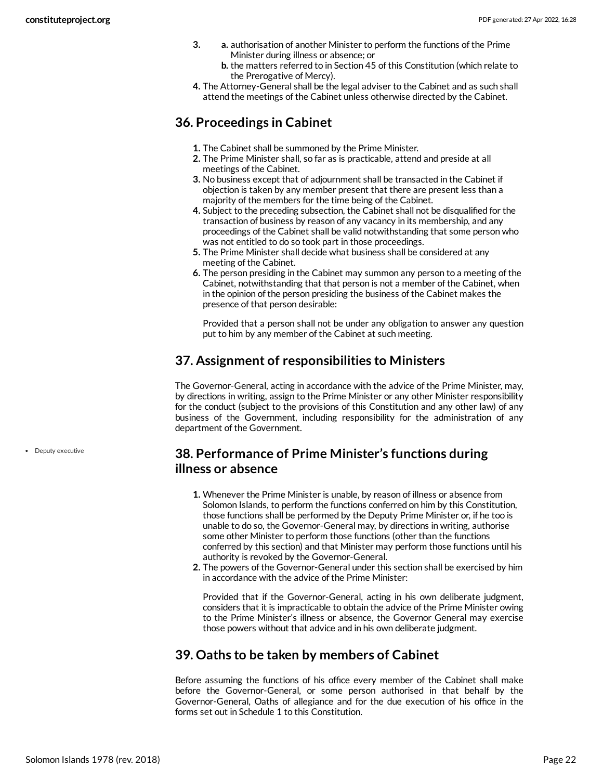- **3. a.** authorisation of another Minister to perform the functions of the Prime Minister during illness or absence; or
	- **b.** the matters referred to in Section 45 of this Constitution (which relate to the Prerogative of Mercy).
- **4.** The Attorney-General shall be the legal adviser to the Cabinet and as such shall attend the meetings of the Cabinet unless otherwise directed by the Cabinet.

## <span id="page-21-0"></span>**36. Proceedings in Cabinet**

- **1.** The Cabinet shall be summoned by the Prime Minister.
- **2.** The Prime Minister shall, so far as is practicable, attend and preside at all meetings of the Cabinet.
- **3.** No business except that of adjournment shall be transacted in the Cabinet if objection is taken by any member present that there are present less than a majority of the members for the time being of the Cabinet.
- **4.** Subject to the preceding subsection, the Cabinet shall not be disqualified for the transaction of business by reason of any vacancy in its membership, and any proceedings of the Cabinet shall be valid notwithstanding that some person who was not entitled to do so took part in those proceedings.
- **5.** The Prime Minister shall decide what business shall be considered at any meeting of the Cabinet.
- **6.** The person presiding in the Cabinet may summon any person to a meeting of the Cabinet, notwithstanding that that person is not a member of the Cabinet, when in the opinion of the person presiding the business of the Cabinet makes the presence of that person desirable:

Provided that a person shall not be under any obligation to answer any question put to him by any member of the Cabinet at such meeting.

## <span id="page-21-1"></span>**37. Assignment of responsibilities to Ministers**

The Governor-General, acting in accordance with the advice of the Prime Minister, may, by directions in writing, assign to the Prime Minister or any other Minister responsibility for the conduct (subject to the provisions of this Constitution and any other law) of any business of the Government, including responsibility for the administration of any department of the Government.

### <span id="page-21-2"></span>**38. Performance of Prime Minister's functions during illness or absence**

- **1.** Whenever the Prime Minister is unable, by reason of illness or absence from Solomon Islands, to perform the functions conferred on him by this Constitution, those functions shall be performed by the Deputy Prime Minister or, if he too is unable to do so, the Governor-General may, by directions in writing, authorise some other Minister to perform those functions (other than the functions conferred by this section) and that Minister may perform those functions until his authority is revoked by the Governor-General.
- **2.** The powers of the Governor-General under this section shall be exercised by him in accordance with the advice of the Prime Minister:

Provided that if the Governor-General, acting in his own deliberate judgment, considers that it is impracticable to obtain the advice of the Prime Minister owing to the Prime Minister's illness or absence, the Governor General may exercise those powers without that advice and in his own deliberate judgment.

## <span id="page-21-3"></span>**39. Oaths to be taken by members of Cabinet**

Before assuming the functions of his office every member of the Cabinet shall make before the Governor-General, or some person authorised in that behalf by the Governor-General, Oaths of allegiance and for the due execution of his office in the forms set out in Schedule 1 to this Constitution.

Deputy executive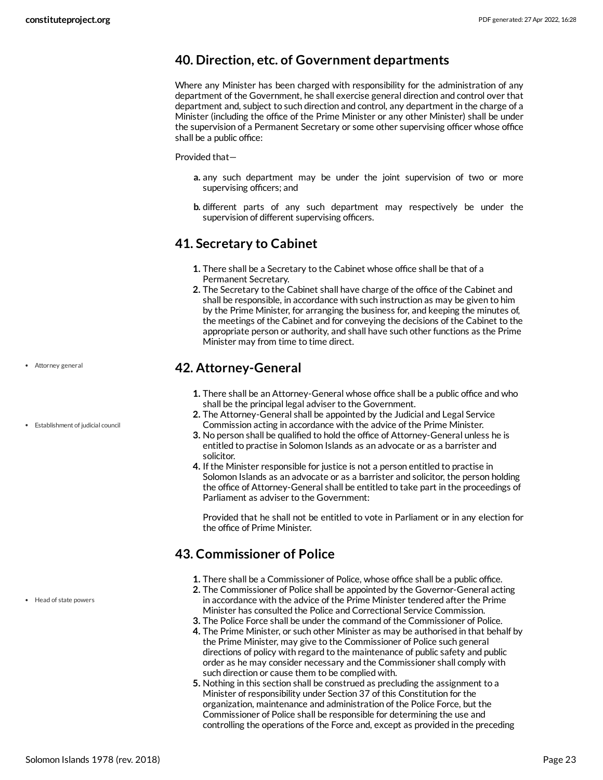### <span id="page-22-0"></span>**40. Direction, etc. of Government departments**

Where any Minister has been charged with responsibility for the administration of any department of the Government, he shall exercise general direction and control over that department and, subject to such direction and control, any department in the charge of a Minister (including the office of the Prime Minister or any other Minister) shall be under the supervision of a Permanent Secretary or some other supervising officer whose office shall be a public office:

#### Provided that—

- **a.** any such department may be under the joint supervision of two or more supervising officers; and
- **b.** different parts of any such department may respectively be under the supervision of different supervising officers.

### <span id="page-22-1"></span>**41. Secretary to Cabinet**

- **1.** There shall be a Secretary to the Cabinet whose office shall be that of a Permanent Secretary.
- **2.** The Secretary to the Cabinet shall have charge of the office of the Cabinet and shall be responsible, in accordance with such instruction as may be given to him by the Prime Minister, for arranging the business for, and keeping the minutes of, the meetings of the Cabinet and for conveying the decisions of the Cabinet to the appropriate person or authority, and shall have such other functions as the Prime Minister may from time to time direct.

### <span id="page-22-2"></span>**42. Attorney-General**

- **1.** There shall be an Attorney-General whose office shall be a public office and who shall be the principal legal adviser to the Government.
- **2.** The Attorney-General shall be appointed by the Judicial and Legal Service Commission acting in accordance with the advice of the Prime Minister.
- **3.** No person shall be qualified to hold the office of Attorney-General unless he is entitled to practise in Solomon Islands as an advocate or as a barrister and solicitor.
- **4.** If the Minister responsible for justice is not a person entitled to practise in Solomon Islands as an advocate or as a barrister and solicitor, the person holding the office of Attorney-General shall be entitled to take part in the proceedings of Parliament as adviser to the Government:

Provided that he shall not be entitled to vote in Parliament or in any election for the office of Prime Minister.

### <span id="page-22-3"></span>**43. Commissioner of Police**

- **1.** There shall be a Commissioner of Police, whose office shall be a public office.
- **2.** The Commissioner of Police shall be appointed by the Governor-General acting in accordance with the advice of the Prime Minister tendered after the Prime Minister has consulted the Police and Correctional Service Commission.
- **3.** The Police Force shall be under the command of the Commissioner of Police.
- **4.** The Prime Minister, or such other Minister as may be authorised in that behalf by the Prime Minister, may give to the Commissioner of Police such general directions of policy with regard to the maintenance of public safety and public order as he may consider necessary and the Commissioner shall comply with such direction or cause them to be complied with.
- **5.** Nothing in this section shall be construed as precluding the assignment to a Minister of responsibility under Section 37 of this Constitution for the organization, maintenance and administration of the Police Force, but the Commissioner of Police shall be responsible for determining the use and controlling the operations of the Force and, except as provided in the preceding

Attorney general

Establishment of judicial council

• Head of state powers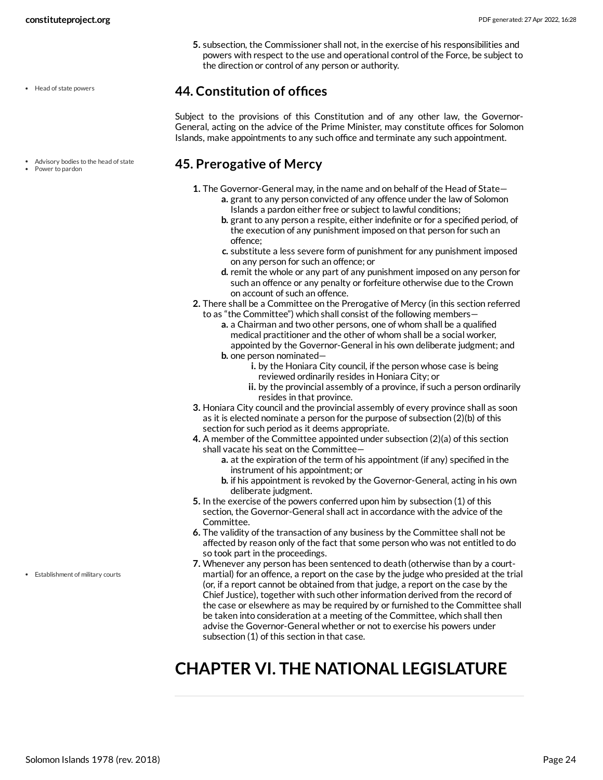**5.** subsection, the Commissioner shall not, in the exercise of his responsibilities and powers with respect to the use and operational control of the Force, be subject to the direction or control of any person or authority.

## <span id="page-23-0"></span>**44. Constitution of offices**

Subject to the provisions of this Constitution and of any other law, the Governor-General, acting on the advice of the Prime Minister, may constitute offices for Solomon Islands, make appointments to any such office and terminate any such appointment.

### <span id="page-23-1"></span>**45. Prerogative of Mercy**

- **1.** The Governor-General may, in the name and on behalf of the Head of State
	- **a.** grant to any person convicted of any offence under the law of Solomon Islands a pardon either free or subject to lawful conditions;
	- **b.** grant to any person a respite, either indefinite or for a specified period, of the execution of any punishment imposed on that person for such an offence;
	- **c.** substitute a less severe form of punishment for any punishment imposed on any person for such an offence; or
	- **d.** remit the whole or any part of any punishment imposed on any person for such an offence or any penalty or forfeiture otherwise due to the Crown on account of such an offence.
- **2.** There shall be a Committee on the Prerogative of Mercy (in this section referred to as "the Committee") which shall consist of the following members
	- **a.** a Chairman and two other persons, one of whom shall be a qualified medical practitioner and the other of whom shall be a social worker, appointed by the Governor-General in his own deliberate judgment; and **b.** one person nominated
		- **i.** by the Honiara City council, if the person whose case is being reviewed ordinarily resides in Honiara City; or
		- **ii.** by the provincial assembly of a province, if such a person ordinarily resides in that province.
- **3.** Honiara City council and the provincial assembly of every province shall as soon as it is elected nominate a person for the purpose of subsection (2)(b) of this section for such period as it deems appropriate.
- **4.** A member of the Committee appointed under subsection (2)(a) of this section shall vacate his seat on the Committee
	- **a.** at the expiration of the term of his appointment (if any) specified in the instrument of his appointment; or
	- **b.** if his appointment is revoked by the Governor-General, acting in his own deliberate judgment.
- **5.** In the exercise of the powers conferred upon him by subsection (1) of this section, the Governor-General shall act in accordance with the advice of the Committee.
- **6.** The validity of the transaction of any business by the Committee shall not be affected by reason only of the fact that some person who was not entitled to do so took part in the proceedings.
- **7.** Whenever any person has been sentenced to death (otherwise than by a courtmartial) for an offence, a report on the case by the judge who presided at the trial (or, if a report cannot be obtained from that judge, a report on the case by the Chief Justice), together with such other information derived from the record of the case or elsewhere as may be required by or furnished to the Committee shall be taken into consideration at a meeting of the Committee, which shall then advise the Governor-General whether or not to exercise his powers under subsection (1) of this section in that case.

## <span id="page-23-2"></span>**CHAPTER VI. THE NATIONAL LEGISLATURE**

- Head of state powers
- Advisory bodies to the head of state Power to pardon

Establishment of military courts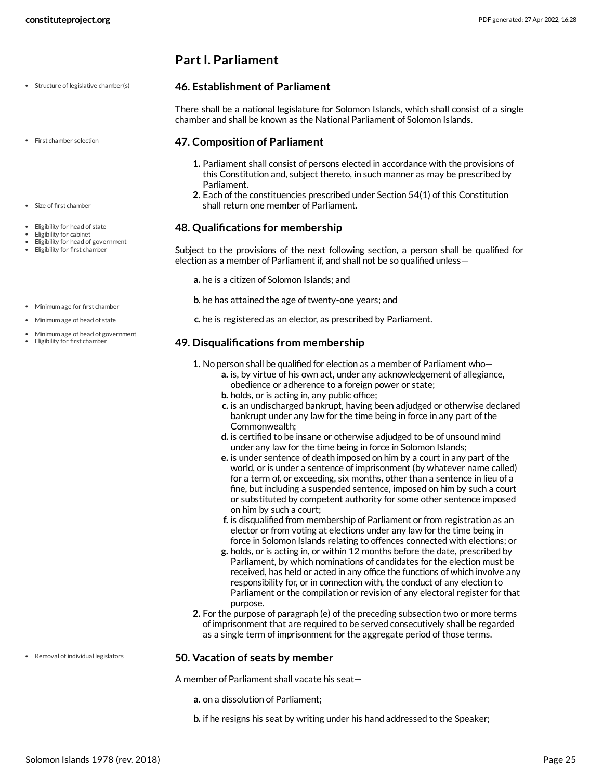### <span id="page-24-0"></span>**Part I. Parliament**

- Structure of legislative chamber(s)
- <span id="page-24-6"></span>**46. Establishment of Parliament**

There shall be a national legislature for Solomon Islands, which shall consist of a single chamber and shall be known as the National Parliament of Solomon Islands.

#### <span id="page-24-3"></span>**47. Composition of Parliament**

- **1.** Parliament shall consist of persons elected in accordance with the provisions of this Constitution and, subject thereto, in such manner as may be prescribed by Parliament.
- **2.** Each of the constituencies prescribed under Section 54(1) of this Constitution shall return one member of Parliament.

#### <span id="page-24-2"></span>**48. Qualifications for membership**

<span id="page-24-4"></span>Subject to the provisions of the next following section, a person shall be qualified for election as a member of Parliament if, and shall not be so qualified unless—

**a.** he is a citizen of Solomon Islands; and

- **b.** he has attained the age of twenty-one years; and
- **c.** he is registered as an elector, as prescribed by Parliament.

### **49. Disqualifications from membership**

- **1.** No person shall be qualified for election as a member of Parliament who
	- **a.** is, by virtue of his own act, under any acknowledgement of allegiance, obedience or adherence to a foreign power or state;
	- **b.** holds, or is acting in, any public office;
	- **c.** is an undischarged bankrupt, having been adjudged or otherwise declared bankrupt under any law for the time being in force in any part of the Commonwealth;
	- **d.** is certified to be insane or otherwise adjudged to be of unsound mind under any law for the time being in force in Solomon Islands;
	- **e.** is under sentence of death imposed on him by a court in any part of the world, or is under a sentence of imprisonment (by whatever name called) for a term of, or exceeding, six months, other than a sentence in lieu of a fine, but including a suspended sentence, imposed on him by such a court or substituted by competent authority for some other sentence imposed on him by such a court;
	- **f.** is disqualified from membership of Parliament or from registration as an elector or from voting at elections under any law for the time being in force in Solomon Islands relating to offences connected with elections; or
	- **g.** holds, or is acting in, or within 12 months before the date, prescribed by Parliament, by which nominations of candidates for the election must be received, has held or acted in any office the functions of which involve any responsibility for, or in connection with, the conduct of any election to Parliament or the compilation or revision of any electoral register for that purpose.
- **2.** For the purpose of paragraph (e) of the preceding subsection two or more terms of imprisonment that are required to be served consecutively shall be regarded as a single term of imprisonment for the aggregate period of those terms.

<span id="page-24-5"></span>**50. Vacation of seats by member**

<span id="page-24-1"></span>A member of Parliament shall vacate his seat—

**a.** on a dissolution of Parliament;

**b.** if he resigns his seat by writing under his hand addressed to the Speaker;

Size of first chamber

First chamber selection

- Eligibility for head of state
- Eligibility for cabinet
- Eligibility for head of government Eligibility for first chamber
- Minimum age for first chamber
- Minimum age of head of state
- Minimum age of head of government Eligibility for first chamber

Removal of individual legislators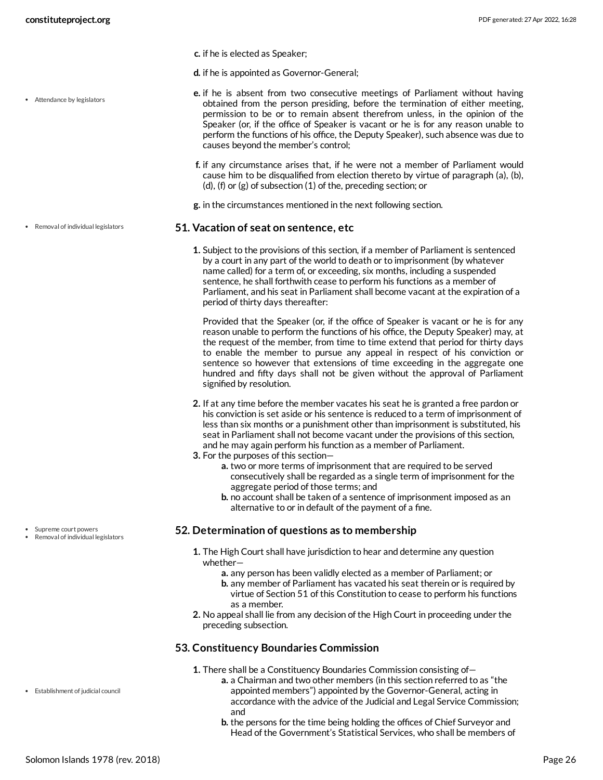• Attendance by legislators

- **c.** if he is elected as Speaker;
- **d.** if he is appointed as Governor-General;
- **e.** if he is absent from two consecutive meetings of Parliament without having obtained from the person presiding, before the termination of either meeting, permission to be or to remain absent therefrom unless, in the opinion of the Speaker (or, if the office of Speaker is vacant or he is for any reason unable to perform the functions of his office, the Deputy Speaker), such absence was due to causes beyond the member's control;
	- **f.** if any circumstance arises that, if he were not a member of Parliament would cause him to be disqualified from election thereto by virtue of paragraph (a), (b), (d), (f) or (g) of subsection (1) of the, preceding section; or

**g.** in the circumstances mentioned in the next following section.

#### <span id="page-25-1"></span>**51. Vacation of seat on sentence, etc**

**1.** Subject to the provisions of this section, if a member of Parliament is sentenced by a court in any part of the world to death or to imprisonment (by whatever name called) for a term of, or exceeding, six months, including a suspended sentence, he shall forthwith cease to perform his functions as a member of Parliament, and his seat in Parliament shall become vacant at the expiration of a period of thirty days thereafter:

Provided that the Speaker (or, if the office of Speaker is vacant or he is for any reason unable to perform the functions of his office, the Deputy Speaker) may, at the request of the member, from time to time extend that period for thirty days to enable the member to pursue any appeal in respect of his conviction or sentence so however that extensions of time exceeding in the aggregate one hundred and fifty days shall not be given without the approval of Parliament signified by resolution.

- **2.** If at any time before the member vacates his seat he is granted a free pardon or his conviction is set aside or his sentence is reduced to a term of imprisonment of less than six months or a punishment other than imprisonment is substituted, his seat in Parliament shall not become vacant under the provisions of this section, and he may again perform his function as a member of Parliament.
- **3.** For the purposes of this section
	- **a.** two or more terms of imprisonment that are required to be served consecutively shall be regarded as a single term of imprisonment for the aggregate period of those terms; and
	- **b.** no account shall be taken of a sentence of imprisonment imposed as an alternative to or in default of the payment of a fine.

### <span id="page-25-2"></span>**52. Determination of questions as to membership**

- **1.** The High Court shall have jurisdiction to hear and determine any question whether
	- **a.** any person has been validly elected as a member of Parliament; or
	- **b.** any member of Parliament has vacated his seat therein or is required by virtue of Section 51 of this Constitution to cease to perform his functions as a member.
- **2.** No appeal shall lie from any decision of the High Court in proceeding under the preceding subsection.

### <span id="page-25-0"></span>**53. Constituency Boundaries Commission**

- **1.** There shall be a Constituency Boundaries Commission consisting of
	- **a.** a Chairman and two other members (in this section referred to as "the appointed members") appointed by the Governor-General, acting in accordance with the advice of the Judicial and Legal Service Commission; and
	- **b.** the persons for the time being holding the offices of Chief Surveyor and Head of the Government's Statistical Services, who shall be members of

Removal of individual legislators

Supreme court powers

Removal of individual legislators

Establishment of judicial council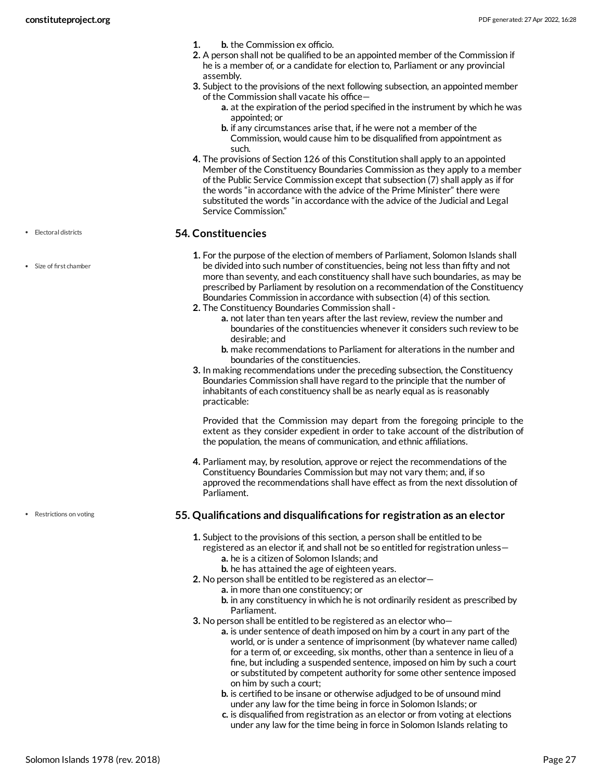- **1. b.** the Commission ex officio.
- **2.** A person shall not be qualified to be an appointed member of the Commission if he is a member of, or a candidate for election to, Parliament or any provincial assembly.
- **3.** Subject to the provisions of the next following subsection, an appointed member of the Commission shall vacate his office
	- **a.** at the expiration of the period specified in the instrument by which he was appointed; or
	- **b.** if any circumstances arise that, if he were not a member of the Commission, would cause him to be disqualified from appointment as such.
- **4.** The provisions of Section 126 of this Constitution shall apply to an appointed Member of the Constituency Boundaries Commission as they apply to a member of the Public Service Commission except that subsection (7) shall apply as if for the words "in accordance with the advice of the Prime Minister" there were substituted the words "in accordance with the advice of the Judicial and Legal Service Commission."

### <span id="page-26-0"></span>**54. Constituencies**

- **1.** For the purpose of the election of members of Parliament, Solomon Islands shall be divided into such number of constituencies, being not less than fifty and not more than seventy, and each constituency shall have such boundaries, as may be prescribed by Parliament by resolution on a recommendation of the Constituency Boundaries Commission in accordance with subsection (4) of this section.
- **2.** The Constituency Boundaries Commission shall
	- **a.** not later than ten years after the last review, review the number and boundaries of the constituencies whenever it considers such review to be desirable; and
	- **b.** make recommendations to Parliament for alterations in the number and boundaries of the constituencies.
- **3.** In making recommendations under the preceding subsection, the Constituency Boundaries Commission shall have regard to the principle that the number of inhabitants of each constituency shall be as nearly equal as is reasonably practicable:

Provided that the Commission may depart from the foregoing principle to the extent as they consider expedient in order to take account of the distribution of the population, the means of communication, and ethnic affiliations.

**4.** Parliament may, by resolution, approve or reject the recommendations of the Constituency Boundaries Commission but may not vary them; and, if so approved the recommendations shall have effect as from the next dissolution of Parliament.

### <span id="page-26-1"></span>**55. Qualifications and disqualifications for registration as an elector**

- **1.** Subject to the provisions of this section, a person shall be entitled to be registered as an elector if, and shall not be so entitled for registration unless
	- **a.** he is a citizen of Solomon Islands; and
		- **b.** he has attained the age of eighteen years.
- **2.** No person shall be entitled to be registered as an elector
	- **a.** in more than one constituency; or
		- **b.** in any constituency in which he is not ordinarily resident as prescribed by Parliament.
- **3.** No person shall be entitled to be registered as an elector who
	- **a.** is under sentence of death imposed on him by a court in any part of the world, or is under a sentence of imprisonment (by whatever name called) for a term of, or exceeding, six months, other than a sentence in lieu of a fine, but including a suspended sentence, imposed on him by such a court or substituted by competent authority for some other sentence imposed on him by such a court;
	- **b.** is certified to be insane or otherwise adjudged to be of unsound mind under any law for the time being in force in Solomon Islands; or
	- **c.** is disqualified from registration as an elector or from voting at elections under any law for the time being in force in Solomon Islands relating to

• Electoral districts

Size of first chamber

• Restrictions on voting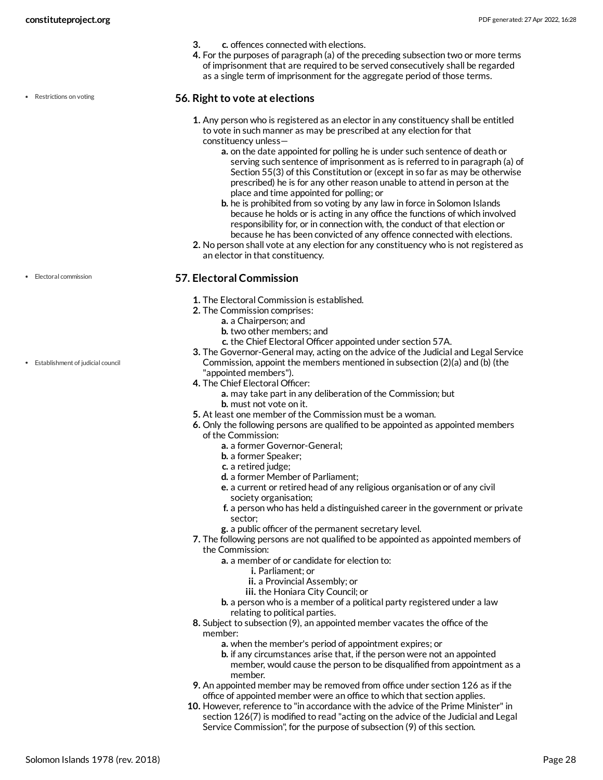• Restrictions on voting

- **3. c.** offences connected with elections.
- **4.** For the purposes of paragraph (a) of the preceding subsection two or more terms of imprisonment that are required to be served consecutively shall be regarded as a single term of imprisonment for the aggregate period of those terms.

#### <span id="page-27-1"></span>**56.** Right to vote at elections

- **1.** Any person who is registered as an elector in any constituency shall be entitled to vote in such manner as may be prescribed at any election for that constituency unless
	- **a.** on the date appointed for polling he is under such sentence of death or serving such sentence of imprisonment as is referred to in paragraph (a) of Section 55(3) of this Constitution or (except in so far as may be otherwise prescribed) he is for any other reason unable to attend in person at the place and time appointed for polling; or
	- **b.** he is prohibited from so voting by any law in force in Solomon Islands because he holds or is acting in any office the functions of which involved responsibility for, or in connection with, the conduct of that election or because he has been convicted of any offence connected with elections.
- **2.** No person shall vote at any election for any constituency who is not registered as an elector in that constituency.

#### <span id="page-27-0"></span>**57. Electoral Commission**

- **1.** The Electoral Commission is established.
- **2.** The Commission comprises:
	- **a.** a Chairperson; and
		- **b.** two other members; and
	- **c.** the Chief Electoral Officer appointed under section 57A.
- **3.** The Governor-General may, acting on the advice of the Judicial and Legal Service Commission, appoint the members mentioned in subsection (2)(a) and (b) (the "appointed members").
- **4.** The Chief Electoral Officer:
	- **a.** may take part in any deliberation of the Commission; but **b.** must not vote on it.
- **5.** At least one member of the Commission must be a woman.
- **6.** Only the following persons are qualified to be appointed as appointed members of the Commission:
	- **a.** a former Governor-General;
	- **b.** a former Speaker;
	- **c.** a retired judge;
	- **d.** a former Member of Parliament;
	- **e.** a current or retired head of any religious organisation or of any civil society organisation;
	- **f.** a person who has held a distinguished career in the government or private sector;
	- **g.** a public officer of the permanent secretary level.
- **7.** The following persons are not qualified to be appointed as appointed members of the Commission:
	- **a.** a member of or candidate for election to:
		- **i.** Parliament; or
		- **ii.** a Provincial Assembly; or
		- **iii.** the Honiara City Council; or
	- **b.** a person who is a member of a political party registered under a law relating to political parties.
- **8.** Subject to subsection (9), an appointed member vacates the office of the member:
	- **a.** when the member's period of appointment expires; or
	- **b.** if any circumstances arise that, if the person were not an appointed member, would cause the person to be disqualified from appointment as a member.
- **9.** An appointed member may be removed from office under section 126 as if the office of appointed member were an office to which that section applies.
- **10.** However, reference to "in accordance with the advice of the Prime Minister" in section 126(7) is modified to read "acting on the advice of the Judicial and Legal Service Commission", for the purpose of subsection (9) of this section.

• Flectoral commission

Establishment of judicial council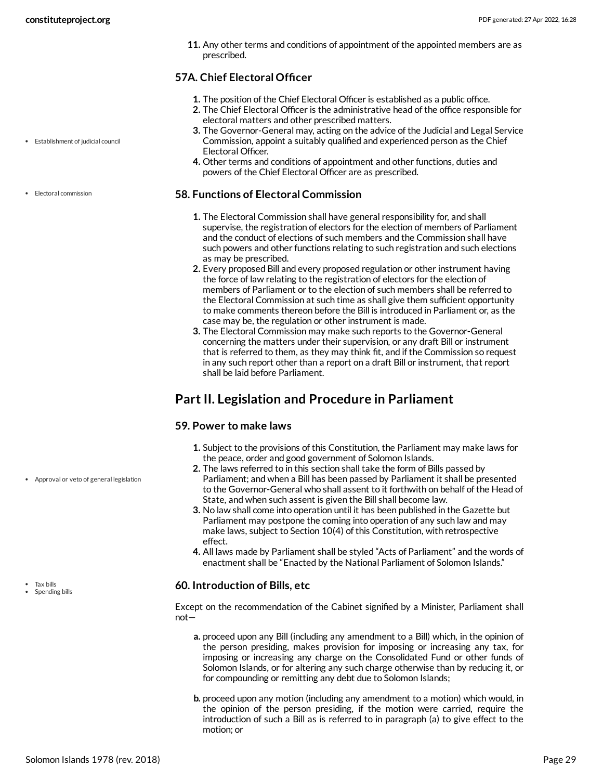**11.** Any other terms and conditions of appointment of the appointed members are as prescribed.

### <span id="page-28-3"></span>**57A. Chief Electoral Officer**

- **1.** The position of the Chief Electoral Officer is established as a public office.
- **2.** The Chief Electoral Officer is the administrative head of the office responsible for electoral matters and other prescribed matters.
- **3.** The Governor-General may, acting on the advice of the Judicial and Legal Service Commission, appoint a suitably qualified and experienced person as the Chief Electoral Officer.
- **4.** Other terms and conditions of appointment and other functions, duties and powers of the Chief Electoral Officer are as prescribed.

### <span id="page-28-2"></span>**58. Functions of Electoral Commission**

- **1.** The Electoral Commission shall have general responsibility for, and shall supervise, the registration of electors for the election of members of Parliament and the conduct of elections of such members and the Commission shall have such powers and other functions relating to such registration and such elections as may be prescribed.
- **2.** Every proposed Bill and every proposed regulation or other instrument having the force of law relating to the registration of electors for the election of members of Parliament or to the election of such members shall be referred to the Electoral Commission at such time as shall give them sufficient opportunity to make comments thereon before the Bill is introduced in Parliament or, as the case may be, the regulation or other instrument is made.
- **3.** The Electoral Commission may make such reports to the Governor-General concerning the matters under their supervision, or any draft Bill or instrument that is referred to them, as they may think fit, and if the Commission so request in any such report other than a report on a draft Bill or instrument, that report shall be laid before Parliament.

## <span id="page-28-0"></span>**Part II. Legislation and Procedure in Parliament**

### <span id="page-28-1"></span>**59. Power to make laws**

- **1.** Subject to the provisions of this Constitution, the Parliament may make laws for the peace, order and good government of Solomon Islands.
- **2.** The laws referred to in this section shall take the form of Bills passed by Parliament; and when a Bill has been passed by Parliament it shall be presented to the Governor-General who shall assent to it forthwith on behalf of the Head of State, and when such assent is given the Bill shall become law.
- **3.** No law shall come into operation until it has been published in the Gazette but Parliament may postpone the coming into operation of any such law and may make laws, subject to Section 10(4) of this Constitution, with retrospective effect.
- **4.** All laws made by Parliament shall be styled "Acts of Parliament" and the words of enactment shall be "Enacted by the National Parliament of Solomon Islands."

### <span id="page-28-4"></span>**60. Introduction of Bills, etc**

Except on the recommendation of the Cabinet signified by a Minister, Parliament shall not—

- **a.** proceed upon any Bill (including any amendment to a Bill) which, in the opinion of the person presiding, makes provision for imposing or increasing any tax, for imposing or increasing any charge on the Consolidated Fund or other funds of Solomon Islands, or for altering any such charge otherwise than by reducing it, or for compounding or remitting any debt due to Solomon Islands;
- **b.** proceed upon any motion (including any amendment to a motion) which would, in the opinion of the person presiding, if the motion were carried, require the introduction of such a Bill as is referred to in paragraph (a) to give effect to the motion; or

• Flectoral commission

Establishment of judicial council

Approval or veto of general legislation

Tax bills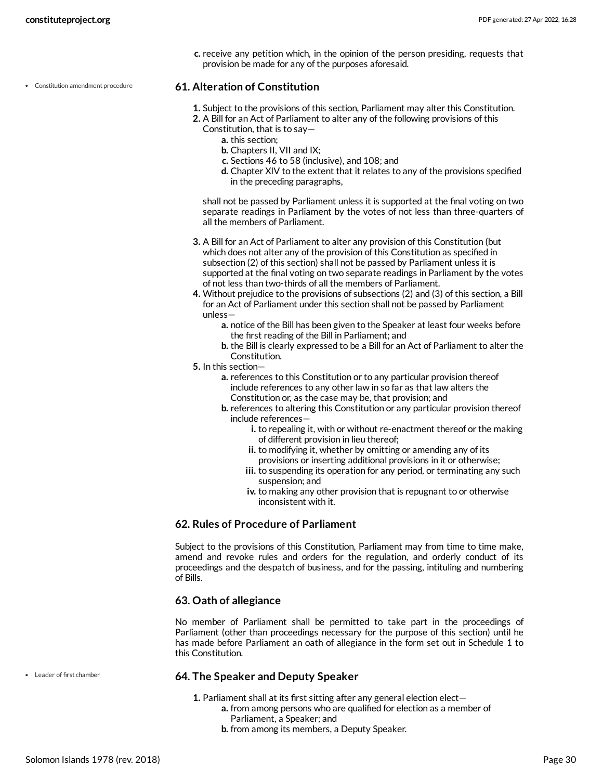Constitution amendment procedure

**c.** receive any petition which, in the opinion of the person presiding, requests that provision be made for any of the purposes aforesaid.

### <span id="page-29-0"></span>**61. Alteration of Constitution**

- **1.** Subject to the provisions of this section, Parliament may alter this Constitution.
- **2.** A Bill for an Act of Parliament to alter any of the following provisions of this Constitution, that is to say
	- **a.** this section;
	- **b.** Chapters II, VII and IX;
	- **c.** Sections 46 to 58 (inclusive), and 108; and
	- **d.** Chapter XIV to the extent that it relates to any of the provisions specified in the preceding paragraphs,

shall not be passed by Parliament unless it is supported at the final voting on two separate readings in Parliament by the votes of not less than three-quarters of all the members of Parliament.

- **3.** A Bill for an Act of Parliament to alter any provision of this Constitution (but which does not alter any of the provision of this Constitution as specified in subsection (2) of this section) shall not be passed by Parliament unless it is supported at the final voting on two separate readings in Parliament by the votes of not less than two-thirds of all the members of Parliament.
- **4.** Without prejudice to the provisions of subsections (2) and (3) of this section, a Bill for an Act of Parliament under this section shall not be passed by Parliament unless
	- **a.** notice of the Bill has been given to the Speaker at least four weeks before the first reading of the Bill in Parliament; and
	- **b.** the Bill is clearly expressed to be a Bill for an Act of Parliament to alter the Constitution.
- **5.** In this section
	- **a.** references to this Constitution or to any particular provision thereof include references to any other law in so far as that law alters the Constitution or, as the case may be, that provision; and
	- **b.** references to altering this Constitution or any particular provision thereof include references
		- **i.** to repealing it, with or without re-enactment thereof or the making of different provision in lieu thereof;
		- **ii.** to modifying it, whether by omitting or amending any of its provisions or inserting additional provisions in it or otherwise;
		- **iii.** to suspending its operation for any period, or terminating any such suspension; and
		- **iv.** to making any other provision that is repugnant to or otherwise inconsistent with it.

### **62. Rules of Procedure of Parliament**

Subject to the provisions of this Constitution, Parliament may from time to time make, amend and revoke rules and orders for the regulation, and orderly conduct of its proceedings and the despatch of business, and for the passing, intituling and numbering of Bills.

### **63. Oath of allegiance**

No member of Parliament shall be permitted to take part in the proceedings of Parliament (other than proceedings necessary for the purpose of this section) until he has made before Parliament an oath of allegiance in the form set out in Schedule 1 to this Constitution.

Leader of first chamber

- <span id="page-29-1"></span>**64. The Speaker and Deputy Speaker**
	- **1.** Parliament shall at its first sitting after any general election elect
		- **a.** from among persons who are qualified for election as a member of Parliament, a Speaker; and
			- **b.** from among its members, a Deputy Speaker.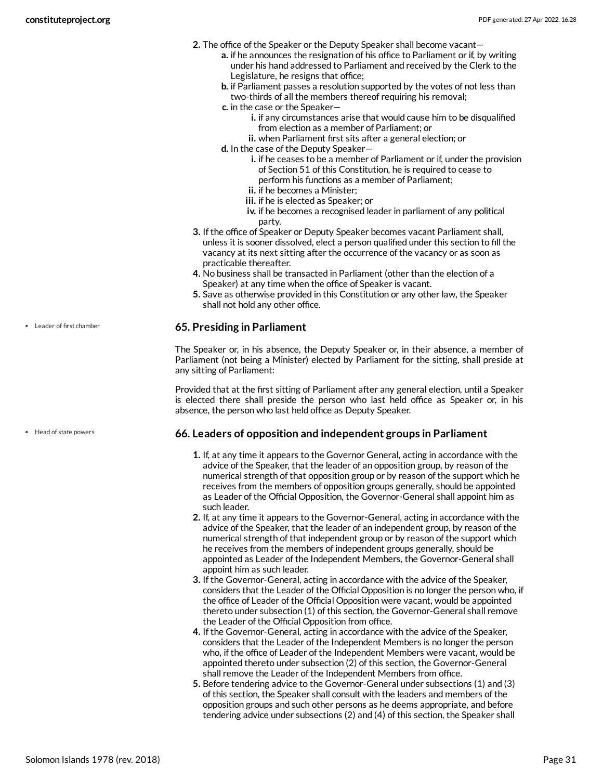- **2.** The office of the Speaker or the Deputy Speaker shall become vacant
	- **a.** if he announces the resignation of his office to Parliament or if, by writing under his hand addressed to Parliament and received by the Clerk to the Legislature, he resigns that office;
	- **b.** if Parliament passes a resolution supported by the votes of not less than two-thirds of all the members thereof requiring his removal;
	- **c.** in the case or the Speaker
		- **i.** if any circumstances arise that would cause him to be disqualified from election as a member of Parliament; or
		- **ii.** when Parliament first sits after a general election; or
	- **d.** In the case of the Deputy Speaker
		- **i.** if he ceases to be a member of Parliament or if, under the provision of Section 51 of this Constitution, he is required to cease to perform his functions as a member of Parliament;
		- **ii.** if he becomes a Minister;
		- **iii.** if he is elected as Speaker; or
		- **iv.** if he becomes a recognised leader in parliament of any political party.
- **3.** If the office of Speaker or Deputy Speaker becomes vacant Parliament shall, unless it is sooner dissolved, elect a person qualified under this section to fill the vacancy at its next sitting after the occurrence of the vacancy or as soon as practicable thereafter.
- **4.** No business shall be transacted in Parliament (other than the election of a Speaker) at any time when the office of Speaker is vacant.
- **5.** Save as otherwise provided in this Constitution or any other law, the Speaker shall not hold any other office.

### <span id="page-30-1"></span>**65. Presiding in Parliament**

The Speaker or, in his absence, the Deputy Speaker or, in their absence, a member of Parliament (not being a Minister) elected by Parliament for the sitting, shall preside at any sitting of Parliament:

Provided that at the first sitting of Parliament after any general election, until a Speaker is elected there shall preside the person who last held office as Speaker or, in his absence, the person who last held office as Deputy Speaker.

### <span id="page-30-0"></span>**66. Leaders of opposition and independent groups in Parliament**

- **1.** If, at any time it appears to the Governor General, acting in accordance with the advice of the Speaker, that the leader of an opposition group, by reason of the numerical strength of that opposition group or by reason of the support which he receives from the members of opposition groups generally, should be appointed as Leader of the Official Opposition, the Governor-General shall appoint him as such leader.
- **2.** If, at any time it appears to the Governor-General, acting in accordance with the advice of the Speaker, that the leader of an independent group, by reason of the numerical strength of that independent group or by reason of the support which he receives from the members of independent groups generally, should be appointed as Leader of the Independent Members, the Governor-General shall appoint him as such leader.
- **3.** If the Governor-General, acting in accordance with the advice of the Speaker, considers that the Leader of the Official Opposition is no longer the person who, if the office of Leader of the Official Opposition were vacant, would be appointed thereto under subsection (1) of this section, the Governor-General shall remove the Leader of the Official Opposition from office.
- **4.** If the Governor-General, acting in accordance with the advice of the Speaker, considers that the Leader of the Independent Members is no longer the person who, if the office of Leader of the Independent Members were vacant, would be appointed thereto under subsection (2) of this section, the Governor-General shall remove the Leader of the Independent Members from office.
- **5.** Before tendering advice to the Governor-General under subsections (1) and (3) of this section, the Speaker shall consult with the leaders and members of the opposition groups and such other persons as he deems appropriate, and before tendering advice under subsections (2) and (4) of this section, the Speaker shall

Leader of first chamber

### Head of state powers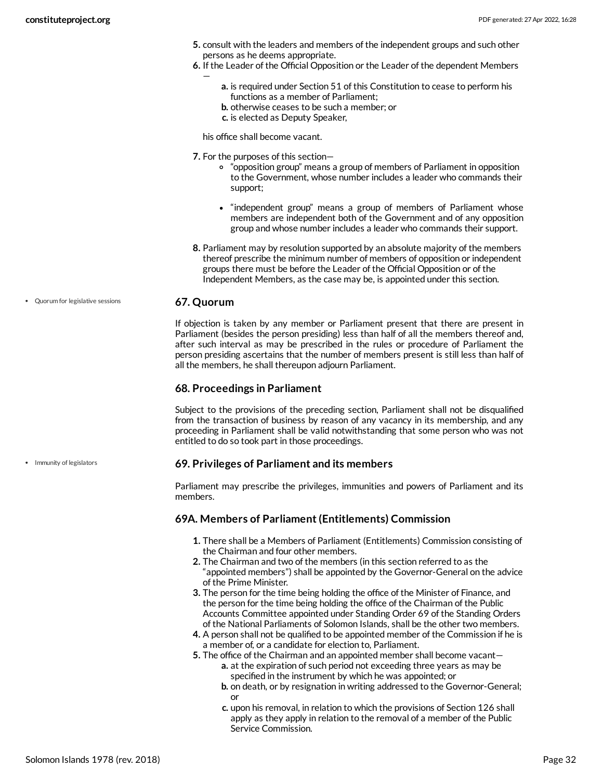- **5.** consult with the leaders and members of the independent groups and such other persons as he deems appropriate.
- **6.** If the Leader of the Official Opposition or the Leader of the dependent Members
	- **a.** is required under Section 51 of this Constitution to cease to perform his functions as a member of Parliament;
	- **b.** otherwise ceases to be such a member; or
	- **c.** is elected as Deputy Speaker,

his office shall become vacant.

—

- **7.** For the purposes of this section—
	- "opposition group" means a group of members of Parliament in opposition to the Government, whose number includes a leader who commands their support;
	- "independent group" means a group of members of Parliament whose members are independent both of the Government and of any opposition group and whose number includes a leader who commands their support.
- **8.** Parliament may by resolution supported by an absolute majority of the members thereof prescribe the minimum number of members of opposition or independent groups there must be before the Leader of the Official Opposition or of the Independent Members, as the case may be, is appointed under this section.
- **67. Quorum** Quorum for legislative sessions

<span id="page-31-1"></span>If objection is taken by any member or Parliament present that there are present in Parliament (besides the person presiding) less than half of all the members thereof and, after such interval as may be prescribed in the rules or procedure of Parliament the person presiding ascertains that the number of members present is still less than half of all the members, he shall thereupon adjourn Parliament.

### **68. Proceedings in Parliament**

Subject to the provisions of the preceding section, Parliament shall not be disqualified from the transaction of business by reason of any vacancy in its membership, and any proceeding in Parliament shall be valid notwithstanding that some person who was not entitled to do so took part in those proceedings.

• Immunity of legislators

### <span id="page-31-0"></span>**69. Privileges of Parliament and its members**

Parliament may prescribe the privileges, immunities and powers of Parliament and its members.

### **69A. Members of Parliament(Entitlements) Commission**

- **1.** There shall be a Members of Parliament (Entitlements) Commission consisting of the Chairman and four other members.
- **2.** The Chairman and two of the members (in this section referred to as the "appointed members") shall be appointed by the Governor-General on the advice of the Prime Minister.
- **3.** The person for the time being holding the office of the Minister of Finance, and the person for the time being holding the office of the Chairman of the Public Accounts Committee appointed under Standing Order 69 of the Standing Orders of the National Parliaments of Solomon Islands, shall be the other two members.
- **4.** A person shall not be qualified to be appointed member of the Commission if he is a member of, or a candidate for election to, Parliament.
- **5.** The office of the Chairman and an appointed member shall become vacant
	- **a.** at the expiration of such period not exceeding three years as may be specified in the instrument by which he was appointed; or
	- **b.** on death, or by resignation in writing addressed to the Governor-General; or
	- **c.** upon his removal, in relation to which the provisions of Section 126 shall apply as they apply in relation to the removal of a member of the Public Service Commission.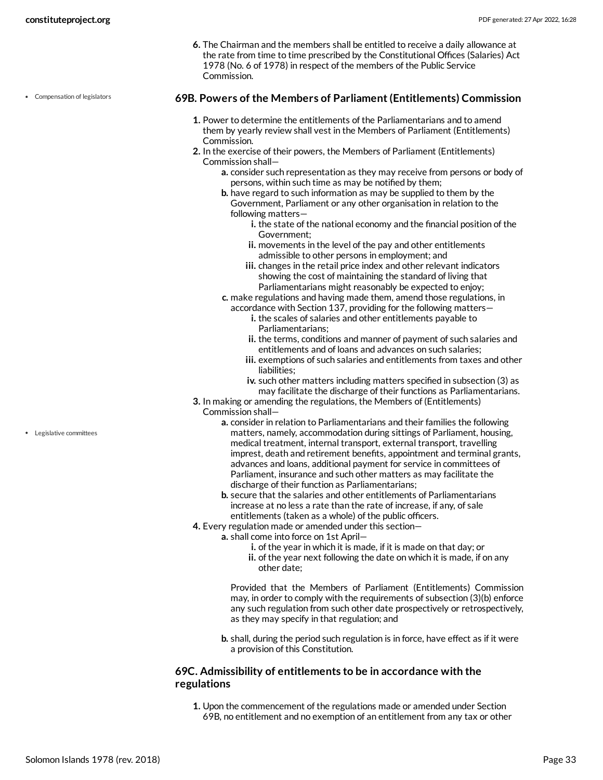**6.** The Chairman and the members shall be entitled to receive a daily allowance at the rate from time to time prescribed by the Constitutional Offices (Salaries) Act 1978 (No. 6 of 1978) in respect of the members of the Public Service Commission.

Compensation of legislators

- <span id="page-32-0"></span>**69B. Powers of the Members of Parliament(Entitlements) Commission**
	- **1.** Power to determine the entitlements of the Parliamentarians and to amend them by yearly review shall vest in the Members of Parliament (Entitlements) Commission.
	- **2.** In the exercise of their powers, the Members of Parliament (Entitlements) Commission shall
		- **a.** consider such representation as they may receive from persons or body of persons, within such time as may be notified by them;
		- **b.** have regard to such information as may be supplied to them by the Government, Parliament or any other organisation in relation to the following matters
			- **i.** the state of the national economy and the financial position of the Government;
			- **ii.** movements in the level of the pay and other entitlements admissible to other persons in employment; and
			- **iii.** changes in the retail price index and other relevant indicators showing the cost of maintaining the standard of living that Parliamentarians might reasonably be expected to enjoy;
		- **c.** make regulations and having made them, amend those regulations, in
			- accordance with Section 137, providing for the following matters **i.** the scales of salaries and other entitlements payable to Parliamentarians;
				- **ii.** the terms, conditions and manner of payment of such salaries and entitlements and of loans and advances on such salaries;
				- **iii.** exemptions of such salaries and entitlements from taxes and other liabilities;
				- **iv.** such other matters including matters specified in subsection (3) as may facilitate the discharge of their functions as Parliamentarians.
	- **3.** In making or amending the regulations, the Members of (Entitlements) Commission shall
		- **a.** consider in relation to Parliamentarians and their families the following matters, namely, accommodation during sittings of Parliament, housing, medical treatment, internal transport, external transport, travelling imprest, death and retirement benefits, appointment and terminal grants, advances and loans, additional payment for service in committees of Parliament, insurance and such other matters as may facilitate the discharge of their function as Parliamentarians;
		- **b.** secure that the salaries and other entitlements of Parliamentarians increase at no less a rate than the rate of increase, if any, of sale entitlements (taken as a whole) of the public officers.
	- **4.** Every regulation made or amended under this section
		- **a.** shall come into force on 1st April
			- **i.** of the year in which it is made, if it is made on that day; or **ii.** of the year next following the date on which it is made, if on any other date;

Provided that the Members of Parliament (Entitlements) Commission may, in order to comply with the requirements of subsection (3)(b) enforce any such regulation from such other date prospectively or retrospectively, as they may specify in that regulation; and

**b.** shall, during the period such regulation is in force, have effect as if it were a provision of this Constitution.

### **69C. Admissibility of entitlements to be in accordance with the regulations**

**1.** Upon the commencement of the regulations made or amended under Section 69B, no entitlement and no exemption of an entitlement from any tax or other

Legislative committees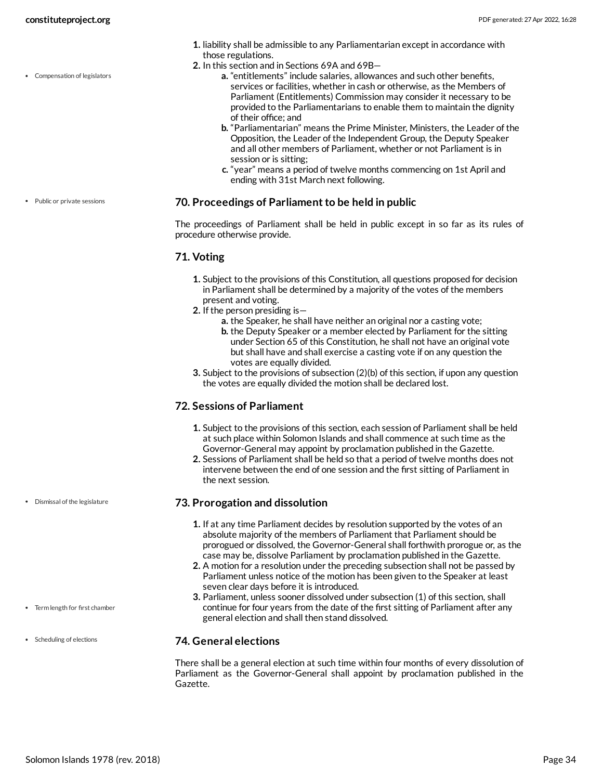Public or private sessions

- **1.** liability shall be admissible to any Parliamentarian except in accordance with those regulations.
- **2.** In this section and in Sections 69A and 69B
	- **a.** "entitlements" include salaries, allowances and such other benefits, services or facilities, whether in cash or otherwise, as the Members of Parliament (Entitlements) Commission may consider it necessary to be provided to the Parliamentarians to enable them to maintain the dignity of their office; and
	- **b.** "Parliamentarian" means the Prime Minister, Ministers, the Leader of the Opposition, the Leader of the Independent Group, the Deputy Speaker and all other members of Parliament, whether or not Parliament is in session or is sitting;
	- **c.** "year" means a period of twelve months commencing on 1st April and ending with 31st March next following.

### <span id="page-33-1"></span>**70. Proceedings of Parliamentto be held in public**

The proceedings of Parliament shall be held in public except in so far as its rules of procedure otherwise provide.

### **71. Voting**

- **1.** Subject to the provisions of this Constitution, all questions proposed for decision in Parliament shall be determined by a majority of the votes of the members present and voting.
- **2.** If the person presiding is
	- **a.** the Speaker, he shall have neither an original nor a casting vote; **b.** the Deputy Speaker or a member elected by Parliament for the sitting under Section 65 of this Constitution, he shall not have an original vote but shall have and shall exercise a casting vote if on any question the votes are equally divided.
- **3.** Subject to the provisions of subsection (2)(b) of this section, if upon any question the votes are equally divided the motion shall be declared lost.

### **72. Sessions of Parliament**

- **1.** Subject to the provisions of this section, each session of Parliament shall be held at such place within Solomon Islands and shall commence at such time as the Governor-General may appoint by proclamation published in the Gazette.
- **2.** Sessions of Parliament shall be held so that a period of twelve months does not intervene between the end of one session and the first sitting of Parliament in the next session.

### <span id="page-33-0"></span>**73. Prorogation and dissolution**

- **1.** If at any time Parliament decides by resolution supported by the votes of an absolute majority of the members of Parliament that Parliament should be prorogued or dissolved, the Governor-General shall forthwith prorogue or, as the case may be, dissolve Parliament by proclamation published in the Gazette.
- **2.** A motion for a resolution under the preceding subsection shall not be passed by Parliament unless notice of the motion has been given to the Speaker at least seven clear days before it is introduced.
- **3.** Parliament, unless sooner dissolved under subsection (1) of this section, shall continue for four years from the date of the first sitting of Parliament after any general election and shall then stand dissolved.

### <span id="page-33-2"></span>**74. General elections**

There shall be a general election at such time within four months of every dissolution of Parliament as the Governor-General shall appoint by proclamation published in the Gazette.

Dismissal of the legislature

- Term length for first chamber
- Scheduling of elections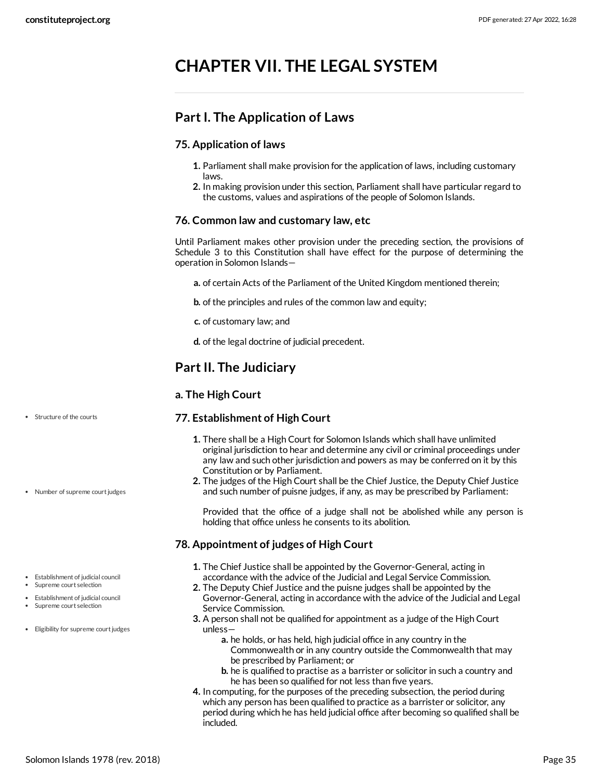## <span id="page-34-0"></span>**CHAPTER VII. THE LEGAL SYSTEM**

## <span id="page-34-1"></span>**Part I. The Application of Laws**

### **75. Application of laws**

- **1.** Parliament shall make provision for the application of laws, including customary laws.
- **2.** In making provision under this section, Parliament shall have particular regard to the customs, values and aspirations of the people of Solomon Islands.

### **76. Common law and customary law, etc**

Until Parliament makes other provision under the preceding section, the provisions of Schedule 3 to this Constitution shall have effect for the purpose of determining the operation in Solomon Islands—

**a.** of certain Acts of the Parliament of the United Kingdom mentioned therein;

**b.** of the principles and rules of the common law and equity;

- **c.** of customary law; and
- **d.** of the legal doctrine of judicial precedent.

## <span id="page-34-2"></span>**Part II. The Judiciary**

### **a. The High Court**

### <span id="page-34-4"></span>**77. Establishment of High Court**

- **1.** There shall be a High Court for Solomon Islands which shall have unlimited original jurisdiction to hear and determine any civil or criminal proceedings under any law and such other jurisdiction and powers as may be conferred on it by this Constitution or by Parliament.
- **2.** The judges of the High Court shall be the Chief Justice, the Deputy Chief Justice and such number of puisne judges, if any, as may be prescribed by Parliament:

Provided that the office of a judge shall not be abolished while any person is holding that office unless he consents to its abolition.

### <span id="page-34-3"></span>**78. Appointment of judges of High Court**

- **1.** The Chief Justice shall be appointed by the Governor-General, acting in accordance with the advice of the Judicial and Legal Service Commission.
- **2.** The Deputy Chief Justice and the puisne judges shall be appointed by the Governor-General, acting in accordance with the advice of the Judicial and Legal Service Commission.
- **3.** A person shall not be qualified for appointment as a judge of the High Court unless
	- **a.** he holds, or has held, high judicial office in any country in the Commonwealth or in any country outside the Commonwealth that may be prescribed by Parliament; or
	- **b.** he is qualified to practise as a barrister or solicitor in such a country and he has been so qualified for not less than five years.
- **4.** In computing, for the purposes of the preceding subsection, the period during which any person has been qualified to practice as a barrister or solicitor, any period during which he has held judicial office after becoming so qualified shall be included.
- Structure of the courts
- Number of supreme court judges
- Establishment of judicial council • Supreme court selection
- Establishment of judicial council
- Supreme court selection
- Eligibility for supreme court judges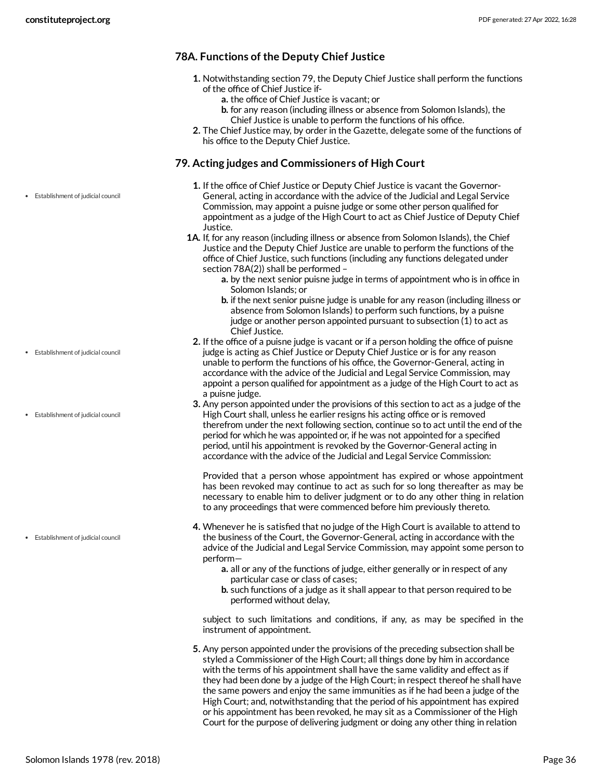### **78A. Functions of the Deputy Chief Justice**

- **1.** Notwithstanding section 79, the Deputy Chief Justice shall perform the functions of the office of Chief Justice if
	- **a.** the office of Chief Justice is vacant; or
	- **b.** for any reason (including illness or absence from Solomon Islands), the Chief Justice is unable to perform the functions of his office.
- **2.** The Chief Justice may, by order in the Gazette, delegate some of the functions of his office to the Deputy Chief Justice.

### <span id="page-35-0"></span>**79. Acting judges and Commissioners of High Court**

- **1.** If the office of Chief Justice or Deputy Chief Justice is vacant the Governor-General, acting in accordance with the advice of the Judicial and Legal Service Commission, may appoint a puisne judge or some other person qualified for appointment as a judge of the High Court to act as Chief Justice of Deputy Chief Justice.
- **1A.** If, for any reason (including illness or absence from Solomon Islands), the Chief Justice and the Deputy Chief Justice are unable to perform the functions of the office of Chief Justice, such functions (including any functions delegated under section 78A(2)) shall be performed –
	- **a.** by the next senior puisne judge in terms of appointment who is in office in Solomon Islands; or
	- **b.** if the next senior puisne judge is unable for any reason (including illness or absence from Solomon Islands) to perform such functions, by a puisne judge or another person appointed pursuant to subsection (1) to act as Chief Justice.
- **2.** If the office of a puisne judge is vacant or if a person holding the office of puisne judge is acting as Chief Justice or Deputy Chief Justice or is for any reason unable to perform the functions of his office, the Governor-General, acting in accordance with the advice of the Judicial and Legal Service Commission, may appoint a person qualified for appointment as a judge of the High Court to act as a puisne judge.
- **3.** Any person appointed under the provisions of this section to act as a judge of the High Court shall, unless he earlier resigns his acting office or is removed therefrom under the next following section, continue so to act until the end of the period for which he was appointed or, if he was not appointed for a specified period, until his appointment is revoked by the Governor-General acting in accordance with the advice of the Judicial and Legal Service Commission:

Provided that a person whose appointment has expired or whose appointment has been revoked may continue to act as such for so long thereafter as may be necessary to enable him to deliver judgment or to do any other thing in relation to any proceedings that were commenced before him previously thereto.

- **4.** Whenever he is satisfied that no judge of the High Court is available to attend to the business of the Court, the Governor-General, acting in accordance with the advice of the Judicial and Legal Service Commission, may appoint some person to perform
	- **a.** all or any of the functions of judge, either generally or in respect of any particular case or class of cases;
	- **b.** such functions of a judge as it shall appear to that person required to be performed without delay,

subject to such limitations and conditions, if any, as may be specified in the instrument of appointment.

**5.** Any person appointed under the provisions of the preceding subsection shall be styled a Commissioner of the High Court; all things done by him in accordance with the terms of his appointment shall have the same validity and effect as if they had been done by a judge of the High Court; in respect thereof he shall have the same powers and enjoy the same immunities as if he had been a judge of the High Court; and, notwithstanding that the period of his appointment has expired or his appointment has been revoked, he may sit as a Commissioner of the High Court for the purpose of delivering judgment or doing any other thing in relation

Establishment of judicial council

- Establishment of judicial council
- Establishment of judicial council

Establishment of judicial council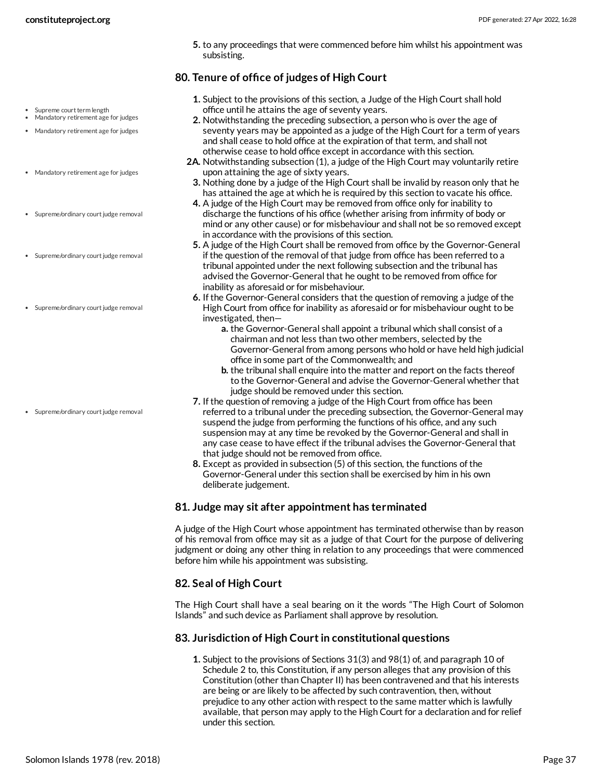- Supreme court term length
- Mandatory retirement age for judges
- Mandatory retirement age for judges
- Mandatory retirement age for judges
- Supreme/ordinary court judge removal
- Supreme/ordinary court judge removal
- Supreme/ordinary court judge removal

• Supreme/ordinary court judge removal

**5.** to any proceedings that were commenced before him whilst his appointment was subsisting.

### <span id="page-36-0"></span>**80. Tenure of office of judges of High Court**

- **1.** Subject to the provisions of this section, a Judge of the High Court shall hold office until he attains the age of seventy years.
- **2.** Notwithstanding the preceding subsection, a person who is over the age of seventy years may be appointed as a judge of the High Court for a term of years and shall cease to hold office at the expiration of that term, and shall not otherwise cease to hold office except in accordance with this section.
- **2A.** Notwithstanding subsection (1), a judge of the High Court may voluntarily retire upon attaining the age of sixty years.
- **3.** Nothing done by a judge of the High Court shall be invalid by reason only that he has attained the age at which he is required by this section to vacate his office.
- **4.** A judge of the High Court may be removed from office only for inability to discharge the functions of his office (whether arising from infirmity of body or mind or any other cause) or for misbehaviour and shall not be so removed except in accordance with the provisions of this section.
- **5.** A judge of the High Court shall be removed from office by the Governor-General if the question of the removal of that judge from office has been referred to a tribunal appointed under the next following subsection and the tribunal has advised the Governor-General that he ought to be removed from office for inability as aforesaid or for misbehaviour.
- **6.** If the Governor-General considers that the question of removing a judge of the High Court from office for inability as aforesaid or for misbehaviour ought to be investigated, then
	- **a.** the Governor-General shall appoint a tribunal which shall consist of a chairman and not less than two other members, selected by the Governor-General from among persons who hold or have held high judicial office in some part of the Commonwealth; and
	- **b.** the tribunal shall enquire into the matter and report on the facts thereof to the Governor-General and advise the Governor-General whether that judge should be removed under this section.
- **7.** If the question of removing a judge of the High Court from office has been referred to a tribunal under the preceding subsection, the Governor-General may suspend the judge from performing the functions of his office, and any such suspension may at any time be revoked by the Governor-General and shall in any case cease to have effect if the tribunal advises the Governor-General that that judge should not be removed from office.
- **8.** Except as provided in subsection (5) of this section, the functions of the Governor-General under this section shall be exercised by him in his own deliberate judgement.

### **81. Judge may sit after appointment has terminated**

A judge of the High Court whose appointment has terminated otherwise than by reason of his removal from office may sit as a judge of that Court for the purpose of delivering judgment or doing any other thing in relation to any proceedings that were commenced before him while his appointment was subsisting.

### **82. Seal of High Court**

The High Court shall have a seal bearing on it the words "The High Court of Solomon Islands" and such device as Parliament shall approve by resolution.

### **83. Jurisdiction of High Courtin constitutional questions**

**1.** Subject to the provisions of Sections 31(3) and 98(1) of, and paragraph 10 of Schedule 2 to, this Constitution, if any person alleges that any provision of this Constitution (other than Chapter II) has been contravened and that his interests are being or are likely to be affected by such contravention, then, without prejudice to any other action with respect to the same matter which is lawfully available, that person may apply to the High Court for a declaration and for relief under this section.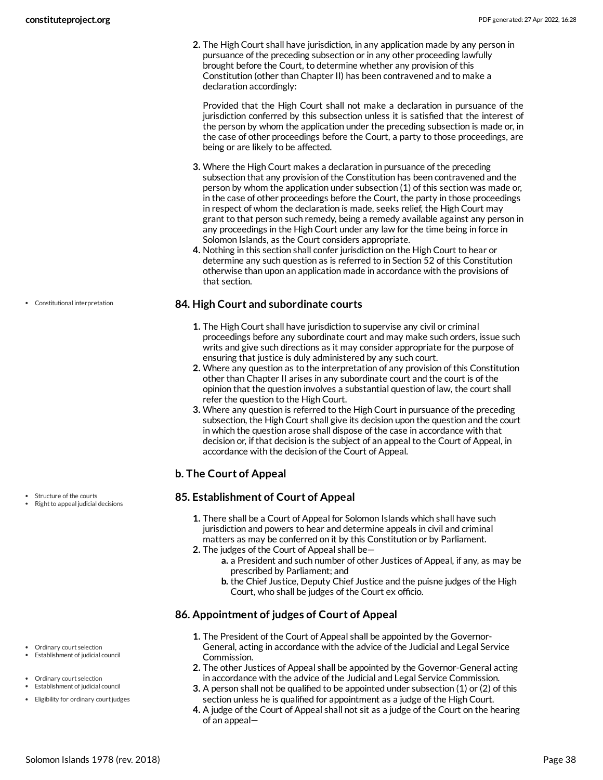**2.** The High Court shall have jurisdiction, in any application made by any person in pursuance of the preceding subsection or in any other proceeding lawfully brought before the Court, to determine whether any provision of this Constitution (other than Chapter II) has been contravened and to make a declaration accordingly:

Provided that the High Court shall not make a declaration in pursuance of the jurisdiction conferred by this subsection unless it is satisfied that the interest of the person by whom the application under the preceding subsection is made or, in the case of other proceedings before the Court, a party to those proceedings, are being or are likely to be affected.

- **3.** Where the High Court makes a declaration in pursuance of the preceding subsection that any provision of the Constitution has been contravened and the person by whom the application under subsection (1) of this section was made or, in the case of other proceedings before the Court, the party in those proceedings in respect of whom the declaration is made, seeks relief, the High Court may grant to that person such remedy, being a remedy available against any person in any proceedings in the High Court under any law for the time being in force in Solomon Islands, as the Court considers appropriate.
- **4.** Nothing in this section shall confer jurisdiction on the High Court to hear or determine any such question as is referred to in Section 52 of this Constitution otherwise than upon an application made in accordance with the provisions of that section.

### <span id="page-37-0"></span>**84. High Court and subordinate courts**

- **1.** The High Court shall have jurisdiction to supervise any civil or criminal proceedings before any subordinate court and may make such orders, issue such writs and give such directions as it may consider appropriate for the purpose of ensuring that justice is duly administered by any such court.
- **2.** Where any question as to the interpretation of any provision of this Constitution other than Chapter II arises in any subordinate court and the court is of the opinion that the question involves a substantial question of law, the court shall refer the question to the High Court.
- **3.** Where any question is referred to the High Court in pursuance of the preceding subsection, the High Court shall give its decision upon the question and the court in which the question arose shall dispose of the case in accordance with that decision or, if that decision is the subject of an appeal to the Court of Appeal, in accordance with the decision of the Court of Appeal.

### **b. The Court of Appeal**

### <span id="page-37-2"></span>**85. Establishment of Court of Appeal**

- **1.** There shall be a Court of Appeal for Solomon Islands which shall have such jurisdiction and powers to hear and determine appeals in civil and criminal matters as may be conferred on it by this Constitution or by Parliament.
- **2.** The judges of the Court of Appeal shall be
	- **a.** a President and such number of other Justices of Appeal, if any, as may be prescribed by Parliament; and
		- **b.** the Chief Justice, Deputy Chief Justice and the puisne judges of the High Court, who shall be judges of the Court ex officio.

### <span id="page-37-1"></span>**86. Appointment of judges of Court of Appeal**

- **1.** The President of the Court of Appeal shall be appointed by the Governor-General, acting in accordance with the advice of the Judicial and Legal Service Commission.
- **2.** The other Justices of Appeal shall be appointed by the Governor-General acting in accordance with the advice of the Judicial and Legal Service Commission.
- **3.** A person shall not be qualified to be appointed under subsection (1) or (2) of this section unless he is qualified for appointment as a judge of the High Court.
- **4.** A judge of the Court of Appeal shall not sit as a judge of the Court on the hearing of an appeal—

Constitutional interpretation

Structure of the courts

Right to appeal judicial decisions

- Ordinary court selection Establishment of judicial council
- Ordinary court selection
- Establishment of judicial council
- Eligibility for ordinary court judges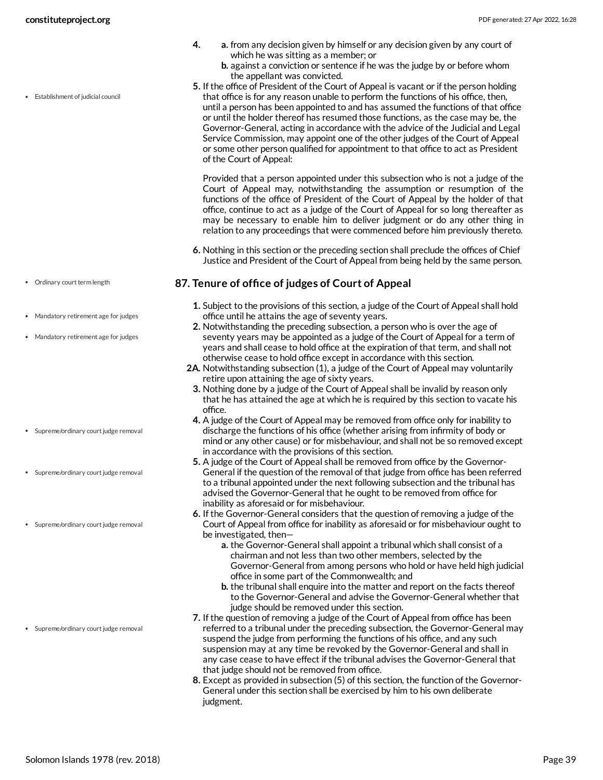Establishment of judicial council

- **4. a.** from any decision given by himself or any decision given by any court of which he was sitting as a member; or
	- **b.** against a conviction or sentence if he was the judge by or before whom the appellant was convicted.
- **5.** If the office of President of the Court of Appeal is vacant or if the person holding that office is for any reason unable to perform the functions of his office, then, until a person has been appointed to and has assumed the functions of that office or until the holder thereof has resumed those functions, as the case may be, the Governor-General, acting in accordance with the advice of the Judicial and Legal Service Commission, may appoint one of the other judges of the Court of Appeal or some other person qualified for appointment to that office to act as President of the Court of Appeal:

Provided that a person appointed under this subsection who is not a judge of the Court of Appeal may, notwithstanding the assumption or resumption of the functions of the office of President of the Court of Appeal by the holder of that office, continue to act as a judge of the Court of Appeal for so long thereafter as may be necessary to enable him to deliver judgment or do any other thing in relation to any proceedings that were commenced before him previously thereto.

**6.** Nothing in this section or the preceding section shall preclude the offices of Chief Justice and President of the Court of Appeal from being held by the same person.

### <span id="page-38-0"></span>**87. Tenure of office of judges of Court of Appeal**

- **1.** Subject to the provisions of this section, a judge of the Court of Appeal shall hold office until he attains the age of seventy years.
- **2.** Notwithstanding the preceding subsection, a person who is over the age of seventy years may be appointed as a judge of the Court of Appeal for a term of years and shall cease to hold office at the expiration of that term, and shall not otherwise cease to hold office except in accordance with this section.
- **2A.** Notwithstanding subsection (1), a judge of the Court of Appeal may voluntarily retire upon attaining the age of sixty years.
- **3.** Nothing done by a judge of the Court of Appeal shall be invalid by reason only that he has attained the age at which he is required by this section to vacate his office.
- **4.** A judge of the Court of Appeal may be removed from office only for inability to discharge the functions of his office (whether arising from infirmity of body or mind or any other cause) or for misbehaviour, and shall not be so removed except in accordance with the provisions of this section.
- **5.** A judge of the Court of Appeal shall be removed from office by the Governor-General if the question of the removal of that judge from office has been referred to a tribunal appointed under the next following subsection and the tribunal has advised the Governor-General that he ought to be removed from office for inability as aforesaid or for misbehaviour.
- **6.** If the Governor-General considers that the question of removing a judge of the Court of Appeal from office for inability as aforesaid or for misbehaviour ought to be investigated, then
	- **a.** the Governor-General shall appoint a tribunal which shall consist of a chairman and not less than two other members, selected by the Governor-General from among persons who hold or have held high judicial office in some part of the Commonwealth; and
	- **b.** the tribunal shall enquire into the matter and report on the facts thereof to the Governor-General and advise the Governor-General whether that judge should be removed under this section.
- **7.** If the question of removing a judge of the Court of Appeal from office has been referred to a tribunal under the preceding subsection, the Governor-General may suspend the judge from performing the functions of his office, and any such suspension may at any time be revoked by the Governor-General and shall in any case cease to have effect if the tribunal advises the Governor-General that that judge should not be removed from office.
- **8.** Except as provided in subsection (5) of this section, the function of the Governor-General under this section shall be exercised by him to his own deliberate judgment.

• Ordinary court term length

- Mandatory retirement age for judges
- Mandatory retirement age for judges

- Supreme/ordinary court judge removal
- Supreme/ordinary court judge removal
- Supreme/ordinary court judge removal

• Supreme/ordinary court judge removal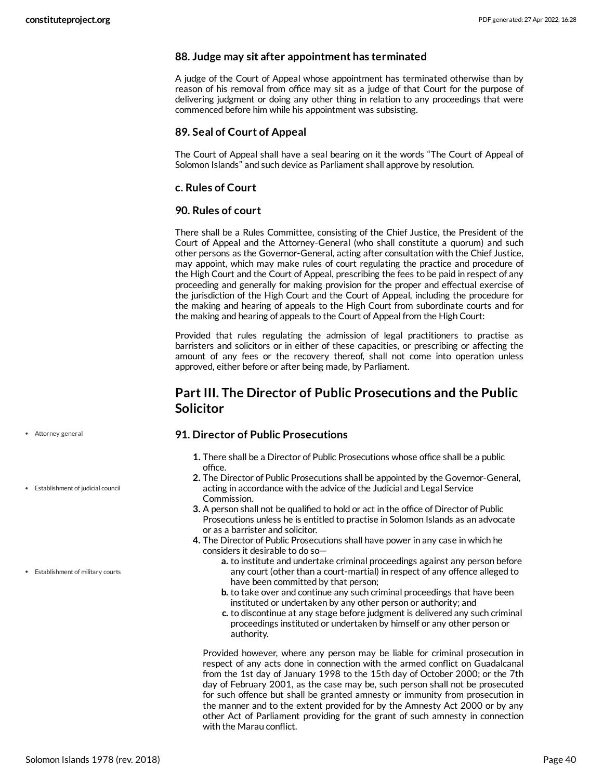### **88. Judge may sit after appointment has terminated**

A judge of the Court of Appeal whose appointment has terminated otherwise than by reason of his removal from office may sit as a judge of that Court for the purpose of delivering judgment or doing any other thing in relation to any proceedings that were commenced before him while his appointment was subsisting.

### **89. Seal of Court of Appeal**

The Court of Appeal shall have a seal bearing on it the words "The Court of Appeal of Solomon Islands" and such device as Parliament shall approve by resolution.

### **c. Rules of Court**

### **90. Rules of court**

There shall be a Rules Committee, consisting of the Chief Justice, the President of the Court of Appeal and the Attorney-General (who shall constitute a quorum) and such other persons as the Governor-General, acting after consultation with the Chief Justice, may appoint, which may make rules of court regulating the practice and procedure of the High Court and the Court of Appeal, prescribing the fees to be paid in respect of any proceeding and generally for making provision for the proper and effectual exercise of the jurisdiction of the High Court and the Court of Appeal, including the procedure for the making and hearing of appeals to the High Court from subordinate courts and for the making and hearing of appeals to the Court of Appeal from the High Court:

Provided that rules regulating the admission of legal practitioners to practise as barristers and solicitors or in either of these capacities, or prescribing or affecting the amount of any fees or the recovery thereof, shall not come into operation unless approved, either before or after being made, by Parliament.

### <span id="page-39-0"></span>**Part III. The Director of Public Prosecutions and the Public Solicitor**

### <span id="page-39-1"></span>**91. Director of Public Prosecutions**

- **1.** There shall be a Director of Public Prosecutions whose office shall be a public office.
- **2.** The Director of Public Prosecutions shall be appointed by the Governor-General, acting in accordance with the advice of the Judicial and Legal Service Commission.
- **3.** A person shall not be qualified to hold or act in the office of Director of Public Prosecutions unless he is entitled to practise in Solomon Islands as an advocate or as a barrister and solicitor.
- **4.** The Director of Public Prosecutions shall have power in any case in which he considers it desirable to do so
	- **a.** to institute and undertake criminal proceedings against any person before any court (other than a court-martial) in respect of any offence alleged to have been committed by that person;
	- **b.** to take over and continue any such criminal proceedings that have been instituted or undertaken by any other person or authority; and
	- **c.** to discontinue at any stage before judgment is delivered any such criminal proceedings instituted or undertaken by himself or any other person or authority.

Provided however, where any person may be liable for criminal prosecution in respect of any acts done in connection with the armed conflict on Guadalcanal from the 1st day of January 1998 to the 15th day of October 2000; or the 7th day of February 2001, as the case may be, such person shall not be prosecuted for such offence but shall be granted amnesty or immunity from prosecution in the manner and to the extent provided for by the Amnesty Act 2000 or by any other Act of Parliament providing for the grant of such amnesty in connection with the Marau conflict.

Attorney general

- Establishment of judicial council
- Establishment of military courts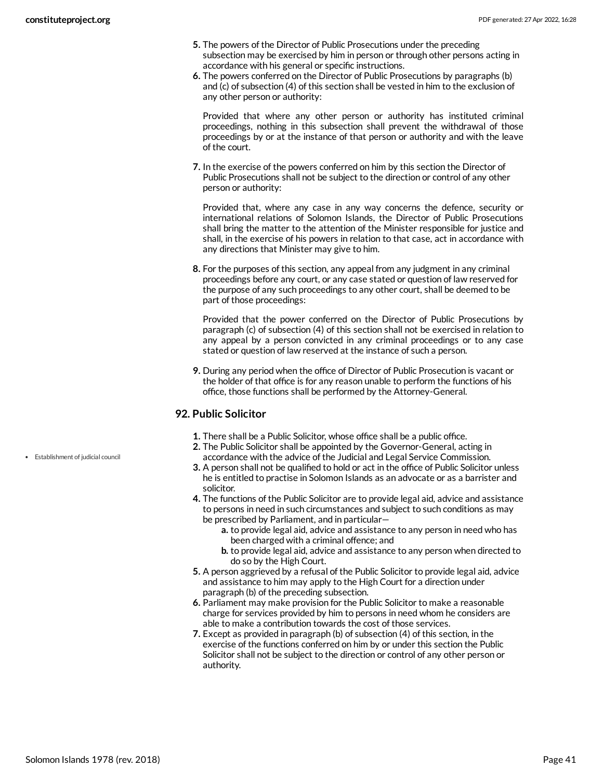- **5.** The powers of the Director of Public Prosecutions under the preceding subsection may be exercised by him in person or through other persons acting in accordance with his general or specific instructions.
- **6.** The powers conferred on the Director of Public Prosecutions by paragraphs (b) and (c) of subsection (4) of this section shall be vested in him to the exclusion of any other person or authority:

Provided that where any other person or authority has instituted criminal proceedings, nothing in this subsection shall prevent the withdrawal of those proceedings by or at the instance of that person or authority and with the leave of the court.

**7.** In the exercise of the powers conferred on him by this section the Director of Public Prosecutions shall not be subject to the direction or control of any other person or authority:

Provided that, where any case in any way concerns the defence, security or international relations of Solomon Islands, the Director of Public Prosecutions shall bring the matter to the attention of the Minister responsible for justice and shall, in the exercise of his powers in relation to that case, act in accordance with any directions that Minister may give to him.

**8.** For the purposes of this section, any appeal from any judgment in any criminal proceedings before any court, or any case stated or question of law reserved for the purpose of any such proceedings to any other court, shall be deemed to be part of those proceedings:

Provided that the power conferred on the Director of Public Prosecutions by paragraph (c) of subsection (4) of this section shall not be exercised in relation to any appeal by a person convicted in any criminal proceedings or to any case stated or question of law reserved at the instance of such a person.

**9.** During any period when the office of Director of Public Prosecution is vacant or the holder of that office is for any reason unable to perform the functions of his office, those functions shall be performed by the Attorney-General.

### <span id="page-40-0"></span>**92. Public Solicitor**

- **1.** There shall be a Public Solicitor, whose office shall be a public office.
- **2.** The Public Solicitor shall be appointed by the Governor-General, acting in accordance with the advice of the Judicial and Legal Service Commission.
- **3.** A person shall not be qualified to hold or act in the office of Public Solicitor unless he is entitled to practise in Solomon Islands as an advocate or as a barrister and solicitor.
- **4.** The functions of the Public Solicitor are to provide legal aid, advice and assistance to persons in need in such circumstances and subject to such conditions as may be prescribed by Parliament, and in particular
	- **a.** to provide legal aid, advice and assistance to any person in need who has been charged with a criminal offence; and
	- **b.** to provide legal aid, advice and assistance to any person when directed to do so by the High Court.
- **5.** A person aggrieved by a refusal of the Public Solicitor to provide legal aid, advice and assistance to him may apply to the High Court for a direction under paragraph (b) of the preceding subsection.
- **6.** Parliament may make provision for the Public Solicitor to make a reasonable charge for services provided by him to persons in need whom he considers are able to make a contribution towards the cost of those services.
- **7.** Except as provided in paragraph (b) of subsection (4) of this section, in the exercise of the functions conferred on him by or under this section the Public Solicitor shall not be subject to the direction or control of any other person or authority.

Establishment of judicial council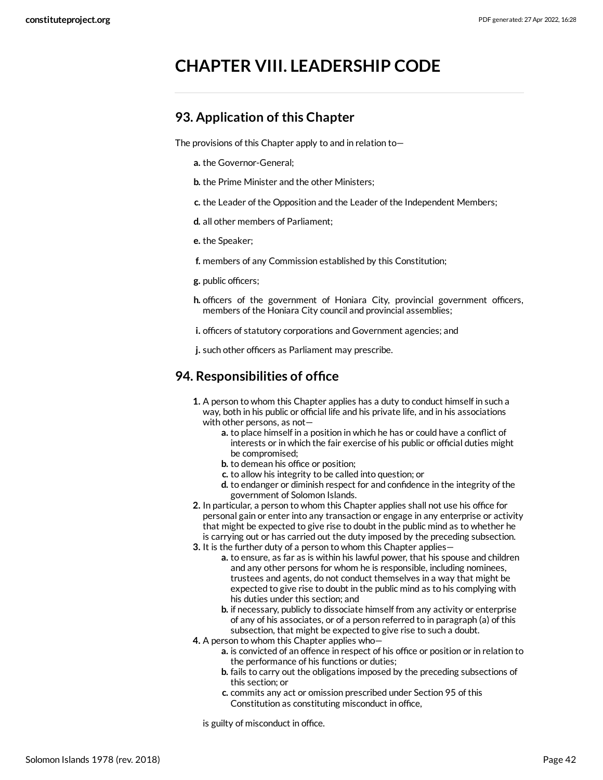## <span id="page-41-0"></span>**CHAPTER VIII. LEADERSHIP CODE**

### <span id="page-41-1"></span>**93. Application of this Chapter**

The provisions of this Chapter apply to and in relation to—

- **a.** the Governor-General;
- **b.** the Prime Minister and the other Ministers;
- **c.** the Leader of the Opposition and the Leader of the Independent Members;
- **d.** all other members of Parliament;
- **e.** the Speaker;
- **f.** members of any Commission established by this Constitution;
- **g.** public officers;
- **h.** officers of the government of Honiara City, provincial government officers, members of the Honiara City council and provincial assemblies;
- **i.** officers of statutory corporations and Government agencies; and
- **j.** such other officers as Parliament may prescribe.

### <span id="page-41-2"></span>**94. Responsibilities of office**

- **1.** A person to whom this Chapter applies has a duty to conduct himself in such a way, both in his public or official life and his private life, and in his associations with other persons, as not
	- **a.** to place himself in a position in which he has or could have a conflict of interests or in which the fair exercise of his public or official duties might be compromised;
	- **b.** to demean his office or position;
	- **c.** to allow his integrity to be called into question; or
	- **d.** to endanger or diminish respect for and confidence in the integrity of the government of Solomon Islands.
- **2.** In particular, a person to whom this Chapter applies shall not use his office for personal gain or enter into any transaction or engage in any enterprise or activity that might be expected to give rise to doubt in the public mind as to whether he is carrying out or has carried out the duty imposed by the preceding subsection.
- **3.** It is the further duty of a person to whom this Chapter applies
	- **a.** to ensure, as far as is within his lawful power, that his spouse and children and any other persons for whom he is responsible, including nominees, trustees and agents, do not conduct themselves in a way that might be expected to give rise to doubt in the public mind as to his complying with his duties under this section; and
	- **b.** if necessary, publicly to dissociate himself from any activity or enterprise of any of his associates, or of a person referred to in paragraph (a) of this subsection, that might be expected to give rise to such a doubt.
- **4.** A person to whom this Chapter applies who
	- **a.** is convicted of an offence in respect of his office or position or in relation to the performance of his functions or duties;
	- **b.** fails to carry out the obligations imposed by the preceding subsections of this section; or
	- **c.** commits any act or omission prescribed under Section 95 of this Constitution as constituting misconduct in office,

is guilty of misconduct in office.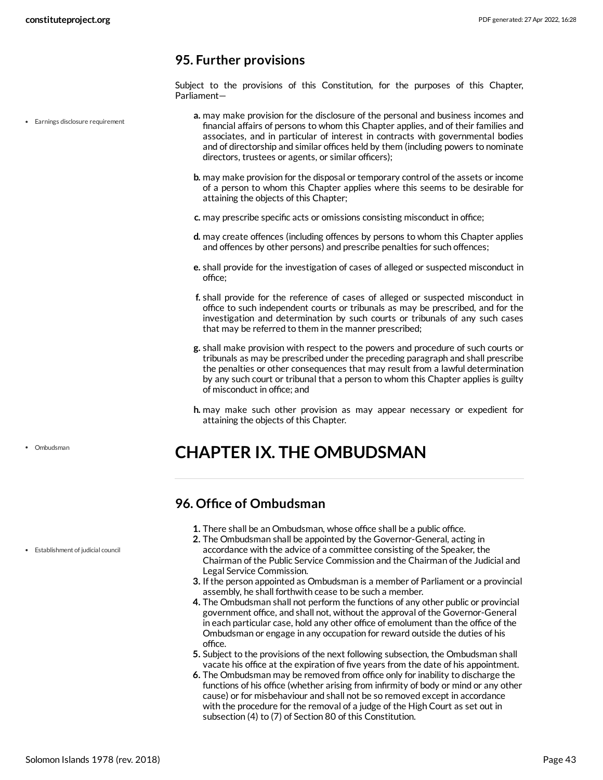### <span id="page-42-0"></span>**95. Further provisions**

<span id="page-42-3"></span>Subject to the provisions of this Constitution, for the purposes of this Chapter, Parliament—

- Earnings disclosure requirement
- **a.** may make provision for the disclosure of the personal and business incomes and financial affairs of persons to whom this Chapter applies, and of their families and associates, and in particular of interest in contracts with governmental bodies and of directorship and similar offices held by them (including powers to nominate directors, trustees or agents, or similar officers);
- **b.** may make provision for the disposal or temporary control of the assets or income of a person to whom this Chapter applies where this seems to be desirable for attaining the objects of this Chapter;
- **c.** may prescribe specific acts or omissions consisting misconduct in office;
- **d.** may create offences (including offences by persons to whom this Chapter applies and offences by other persons) and prescribe penalties for such offences;
- **e.** shall provide for the investigation of cases of alleged or suspected misconduct in office;
- **f.** shall provide for the reference of cases of alleged or suspected misconduct in office to such independent courts or tribunals as may be prescribed, and for the investigation and determination by such courts or tribunals of any such cases that may be referred to them in the manner prescribed;
- **g.** shall make provision with respect to the powers and procedure of such courts or tribunals as may be prescribed under the preceding paragraph and shall prescribe the penalties or other consequences that may result from a lawful determination by any such court or tribunal that a person to whom this Chapter applies is guilty of misconduct in office; and
- **h.** may make such other provision as may appear necessary or expedient for attaining the objects of this Chapter.

## <span id="page-42-1"></span>**CHAPTER IX. THE OMBUDSMAN**

### <span id="page-42-2"></span>**96. Office of Ombudsman**

- **1.** There shall be an Ombudsman, whose office shall be a public office.
- **2.** The Ombudsman shall be appointed by the Governor-General, acting in accordance with the advice of a committee consisting of the Speaker, the Chairman of the Public Service Commission and the Chairman of the Judicial and Legal Service Commission.
- **3.** If the person appointed as Ombudsman is a member of Parliament or a provincial assembly, he shall forthwith cease to be such a member.
- **4.** The Ombudsman shall not perform the functions of any other public or provincial government office, and shall not, without the approval of the Governor-General in each particular case, hold any other office of emolument than the office of the Ombudsman or engage in any occupation for reward outside the duties of his office.
- **5.** Subject to the provisions of the next following subsection, the Ombudsman shall vacate his office at the expiration of five years from the date of his appointment.
- **6.** The Ombudsman may be removed from office only for inability to discharge the functions of his office (whether arising from infirmity of body or mind or any other cause) or for misbehaviour and shall not be so removed except in accordance with the procedure for the removal of a judge of the High Court as set out in subsection (4) to (7) of Section 80 of this Constitution.

• Ombudsman

Establishment of judicial council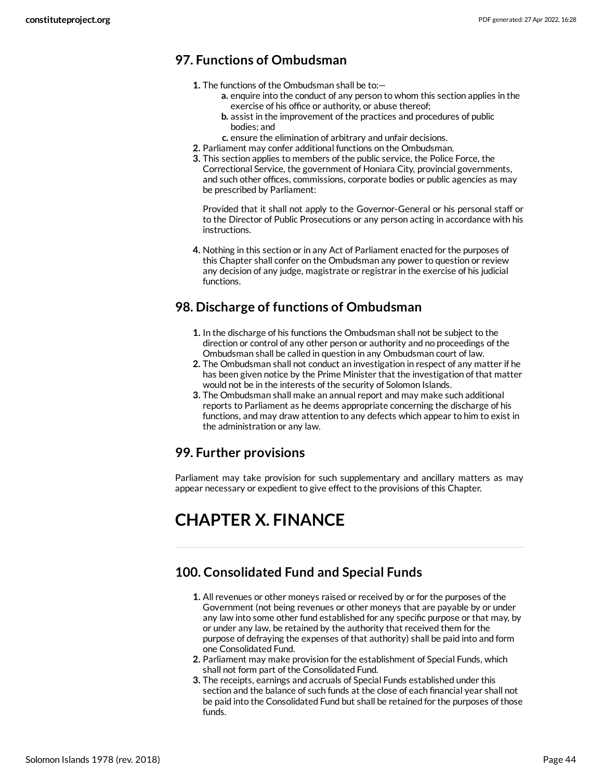## <span id="page-43-0"></span>**97. Functions of Ombudsman**

- **1.** The functions of the Ombudsman shall be to:
	- **a.** enquire into the conduct of any person to whom this section applies in the exercise of his office or authority, or abuse thereof;
	- **b.** assist in the improvement of the practices and procedures of public bodies; and
	- **c.** ensure the elimination of arbitrary and unfair decisions.
- **2.** Parliament may confer additional functions on the Ombudsman.
- **3.** This section applies to members of the public service, the Police Force, the Correctional Service, the government of Honiara City, provincial governments, and such other offices, commissions, corporate bodies or public agencies as may be prescribed by Parliament:

Provided that it shall not apply to the Governor-General or his personal staff or to the Director of Public Prosecutions or any person acting in accordance with his instructions.

**4.** Nothing in this section or in any Act of Parliament enacted for the purposes of this Chapter shall confer on the Ombudsman any power to question or review any decision of any judge, magistrate or registrar in the exercise of his judicial functions.

## <span id="page-43-1"></span>**98. Discharge of functions of Ombudsman**

- **1.** In the discharge of his functions the Ombudsman shall not be subject to the direction or control of any other person or authority and no proceedings of the Ombudsman shall be called in question in any Ombudsman court of law.
- **2.** The Ombudsman shall not conduct an investigation in respect of any matter if he has been given notice by the Prime Minister that the investigation of that matter would not be in the interests of the security of Solomon Islands.
- **3.** The Ombudsman shall make an annual report and may make such additional reports to Parliament as he deems appropriate concerning the discharge of his functions, and may draw attention to any defects which appear to him to exist in the administration or any law.

### <span id="page-43-2"></span>**99. Further provisions**

Parliament may take provision for such supplementary and ancillary matters as may appear necessary or expedient to give effect to the provisions of this Chapter.

## <span id="page-43-3"></span>**CHAPTER X. FINANCE**

## <span id="page-43-4"></span>**100. Consolidated Fund and Special Funds**

- **1.** All revenues or other moneys raised or received by or for the purposes of the Government (not being revenues or other moneys that are payable by or under any law into some other fund established for any specific purpose or that may, by or under any law, be retained by the authority that received them for the purpose of defraying the expenses of that authority) shall be paid into and form one Consolidated Fund.
- **2.** Parliament may make provision for the establishment of Special Funds, which shall not form part of the Consolidated Fund.
- **3.** The receipts, earnings and accruals of Special Funds established under this section and the balance of such funds at the close of each financial year shall not be paid into the Consolidated Fund but shall be retained for the purposes of those funds.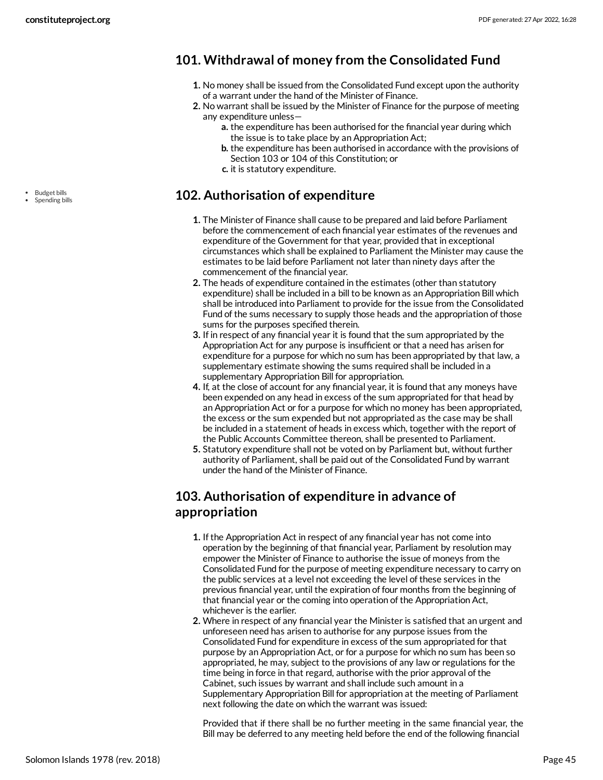Budget bills

Spending bills

## <span id="page-44-0"></span>**101. Withdrawal of money from the Consolidated Fund**

- **1.** No money shall be issued from the Consolidated Fund except upon the authority of a warrant under the hand of the Minister of Finance.
- **2.** No warrant shall be issued by the Minister of Finance for the purpose of meeting any expenditure unless
	- **a.** the expenditure has been authorised for the financial year during which the issue is to take place by an Appropriation Act;
	- **b.** the expenditure has been authorised in accordance with the provisions of Section 103 or 104 of this Constitution; or
	- **c.** it is statutory expenditure.

### <span id="page-44-1"></span>**102. Authorisation of expenditure**

- **1.** The Minister of Finance shall cause to be prepared and laid before Parliament before the commencement of each financial year estimates of the revenues and expenditure of the Government for that year, provided that in exceptional circumstances which shall be explained to Parliament the Minister may cause the estimates to be laid before Parliament not later than ninety days after the commencement of the financial year.
- **2.** The heads of expenditure contained in the estimates (other than statutory expenditure) shall be included in a bill to be known as an Appropriation Bill which shall be introduced into Parliament to provide for the issue from the Consolidated Fund of the sums necessary to supply those heads and the appropriation of those sums for the purposes specified therein.
- **3.** If in respect of any financial year it is found that the sum appropriated by the Appropriation Act for any purpose is insufficient or that a need has arisen for expenditure for a purpose for which no sum has been appropriated by that law, a supplementary estimate showing the sums required shall be included in a supplementary Appropriation Bill for appropriation.
- **4.** If, at the close of account for any financial year, it is found that any moneys have been expended on any head in excess of the sum appropriated for that head by an Appropriation Act or for a purpose for which no money has been appropriated, the excess or the sum expended but not appropriated as the case may be shall be included in a statement of heads in excess which, together with the report of the Public Accounts Committee thereon, shall be presented to Parliament.
- **5.** Statutory expenditure shall not be voted on by Parliament but, without further authority of Parliament, shall be paid out of the Consolidated Fund by warrant under the hand of the Minister of Finance.

## <span id="page-44-2"></span>**103. Authorisation of expenditure in advance of appropriation**

- **1.** If the Appropriation Act in respect of any financial year has not come into operation by the beginning of that financial year, Parliament by resolution may empower the Minister of Finance to authorise the issue of moneys from the Consolidated Fund for the purpose of meeting expenditure necessary to carry on the public services at a level not exceeding the level of these services in the previous financial year, until the expiration of four months from the beginning of that financial year or the coming into operation of the Appropriation Act, whichever is the earlier.
- **2.** Where in respect of any financial year the Minister is satisfied that an urgent and unforeseen need has arisen to authorise for any purpose issues from the Consolidated Fund for expenditure in excess of the sum appropriated for that purpose by an Appropriation Act, or for a purpose for which no sum has been so appropriated, he may, subject to the provisions of any law or regulations for the time being in force in that regard, authorise with the prior approval of the Cabinet, such issues by warrant and shall include such amount in a Supplementary Appropriation Bill for appropriation at the meeting of Parliament next following the date on which the warrant was issued:

Provided that if there shall be no further meeting in the same financial year, the Bill may be deferred to any meeting held before the end of the following financial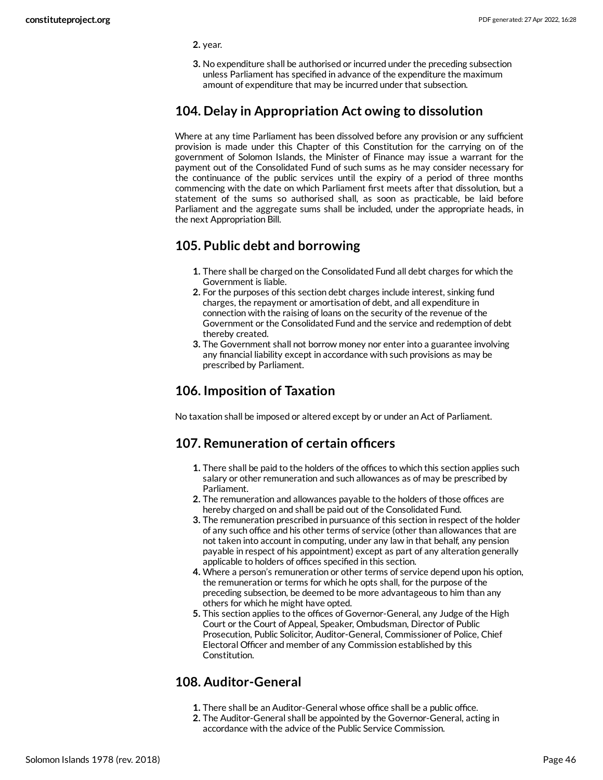- **2.** year.
- **3.** No expenditure shall be authorised or incurred under the preceding subsection unless Parliament has specified in advance of the expenditure the maximum amount of expenditure that may be incurred under that subsection.

### <span id="page-45-0"></span>**104. Delay in Appropriation Act owing to dissolution**

Where at any time Parliament has been dissolved before any provision or any sufficient provision is made under this Chapter of this Constitution for the carrying on of the government of Solomon Islands, the Minister of Finance may issue a warrant for the payment out of the Consolidated Fund of such sums as he may consider necessary for the continuance of the public services until the expiry of a period of three months commencing with the date on which Parliament first meets after that dissolution, but a statement of the sums so authorised shall, as soon as practicable, be laid before Parliament and the aggregate sums shall be included, under the appropriate heads, in the next Appropriation Bill.

### <span id="page-45-1"></span>**105. Public debt and borrowing**

- **1.** There shall be charged on the Consolidated Fund all debt charges for which the Government is liable.
- **2.** For the purposes of this section debt charges include interest, sinking fund charges, the repayment or amortisation of debt, and all expenditure in connection with the raising of loans on the security of the revenue of the Government or the Consolidated Fund and the service and redemption of debt thereby created.
- **3.** The Government shall not borrow money nor enter into a guarantee involving any financial liability except in accordance with such provisions as may be prescribed by Parliament.

## <span id="page-45-2"></span>**106. Imposition of Taxation**

No taxation shall be imposed or altered except by or under an Act of Parliament.

## <span id="page-45-3"></span>**107. Remuneration of certain officers**

- **1.** There shall be paid to the holders of the offices to which this section applies such salary or other remuneration and such allowances as of may be prescribed by Parliament.
- **2.** The remuneration and allowances payable to the holders of those offices are hereby charged on and shall be paid out of the Consolidated Fund.
- **3.** The remuneration prescribed in pursuance of this section in respect of the holder of any such office and his other terms of service (other than allowances that are not taken into account in computing, under any law in that behalf, any pension payable in respect of his appointment) except as part of any alteration generally applicable to holders of offices specified in this section.
- **4.** Where a person's remuneration or other terms of service depend upon his option, the remuneration or terms for which he opts shall, for the purpose of the preceding subsection, be deemed to be more advantageous to him than any others for which he might have opted.
- **5.** This section applies to the offices of Governor-General, any Judge of the High Court or the Court of Appeal, Speaker, Ombudsman, Director of Public Prosecution, Public Solicitor, Auditor-General, Commissioner of Police, Chief Electoral Officer and member of any Commission established by this Constitution.

## <span id="page-45-4"></span>**108. Auditor-General**

- **1.** There shall be an Auditor-General whose office shall be a public office.
- **2.** The Auditor-General shall be appointed by the Governor-General, acting in accordance with the advice of the Public Service Commission.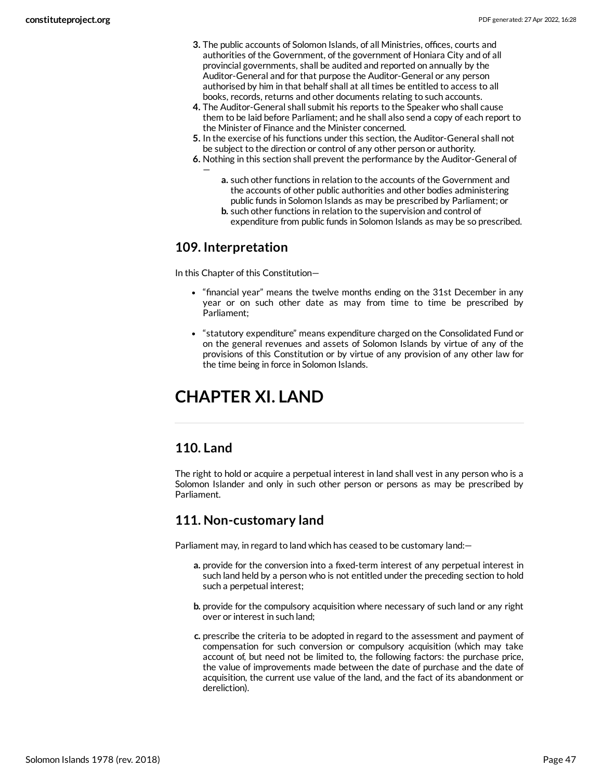- **3.** The public accounts of Solomon Islands, of all Ministries, offices, courts and authorities of the Government, of the government of Honiara City and of all provincial governments, shall be audited and reported on annually by the Auditor-General and for that purpose the Auditor-General or any person authorised by him in that behalf shall at all times be entitled to access to all books, records, returns and other documents relating to such accounts.
- **4.** The Auditor-General shall submit his reports to the Speaker who shall cause them to be laid before Parliament; and he shall also send a copy of each report to the Minister of Finance and the Minister concerned.
- **5.** In the exercise of his functions under this section, the Auditor-General shall not be subject to the direction or control of any other person or authority.
- **6.** Nothing in this section shall prevent the performance by the Auditor-General of
	- **a.** such other functions in relation to the accounts of the Government and the accounts of other public authorities and other bodies administering public funds in Solomon Islands as may be prescribed by Parliament; or **b.** such other functions in relation to the supervision and control of
	- expenditure from public funds in Solomon Islands as may be so prescribed.

### <span id="page-46-0"></span>**109. Interpretation**

—

In this Chapter of this Constitution—

- "financial year" means the twelve months ending on the 31st December in any year or on such other date as may from time to time be prescribed by Parliament;
- "statutory expenditure" means expenditure charged on the Consolidated Fund or on the general revenues and assets of Solomon Islands by virtue of any of the provisions of this Constitution or by virtue of any provision of any other law for the time being in force in Solomon Islands.

## <span id="page-46-1"></span>**CHAPTER XI. LAND**

### <span id="page-46-2"></span>**110. Land**

The right to hold or acquire a perpetual interest in land shall vest in any person who is a Solomon Islander and only in such other person or persons as may be prescribed by Parliament.

## <span id="page-46-3"></span>**111. Non-customary land**

Parliament may, in regard to land which has ceased to be customary land:—

- **a.** provide for the conversion into a fixed-term interest of any perpetual interest in such land held by a person who is not entitled under the preceding section to hold such a perpetual interest;
- **b.** provide for the compulsory acquisition where necessary of such land or any right over or interest in such land;
- **c.** prescribe the criteria to be adopted in regard to the assessment and payment of compensation for such conversion or compulsory acquisition (which may take account of, but need not be limited to, the following factors: the purchase price, the value of improvements made between the date of purchase and the date of acquisition, the current use value of the land, and the fact of its abandonment or dereliction).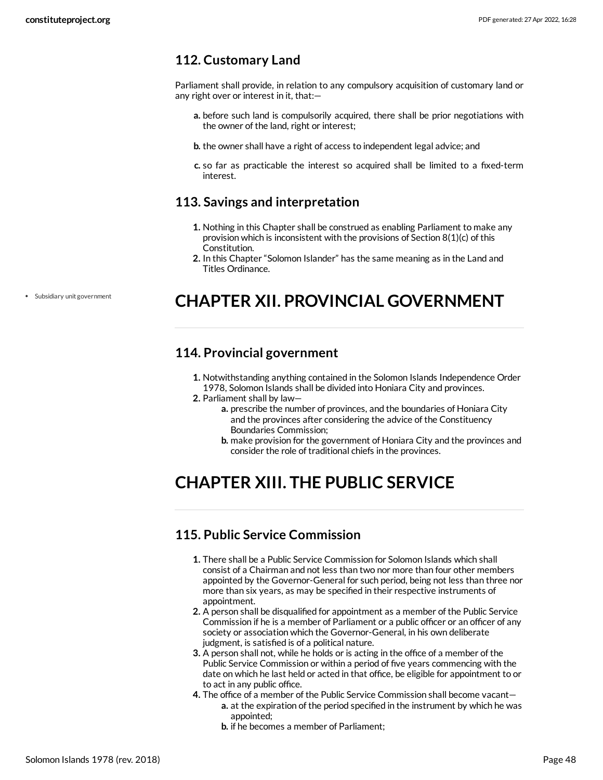### <span id="page-47-0"></span>**112. Customary Land**

Parliament shall provide, in relation to any compulsory acquisition of customary land or any right over or interest in it, that:—

- **a.** before such land is compulsorily acquired, there shall be prior negotiations with the owner of the land, right or interest;
- **b.** the owner shall have a right of access to independent legal advice; and
- **c.** so far as practicable the interest so acquired shall be limited to a fixed-term interest.

### <span id="page-47-1"></span>**113. Savings and interpretation**

- **1.** Nothing in this Chapter shall be construed as enabling Parliament to make any provision which is inconsistent with the provisions of Section 8(1)(c) of this Constitution.
- **2.** In this Chapter "Solomon Islander" has the same meaning as in the Land and Titles Ordinance.

## <span id="page-47-2"></span>**CHAPTER XII. PROVINCIAL GOVERNMENT**

## <span id="page-47-3"></span>**114. Provincial government**

- **1.** Notwithstanding anything contained in the Solomon Islands Independence Order 1978, Solomon Islands shall be divided into Honiara City and provinces.
- **2.** Parliament shall by law
	- **a.** prescribe the number of provinces, and the boundaries of Honiara City and the provinces after considering the advice of the Constituency Boundaries Commission;
	- **b.** make provision for the government of Honiara City and the provinces and consider the role of traditional chiefs in the provinces.

## <span id="page-47-4"></span>**CHAPTER XIII. THE PUBLIC SERVICE**

## <span id="page-47-5"></span>**115. Public Service Commission**

- **1.** There shall be a Public Service Commission for Solomon Islands which shall consist of a Chairman and not less than two nor more than four other members appointed by the Governor-General for such period, being not less than three nor more than six years, as may be specified in their respective instruments of appointment.
- **2.** A person shall be disqualified for appointment as a member of the Public Service Commission if he is a member of Parliament or a public officer or an officer of any society or association which the Governor-General, in his own deliberate judgment, is satisfied is of a political nature.
- **3.** A person shall not, while he holds or is acting in the office of a member of the Public Service Commission or within a period of five years commencing with the date on which he last held or acted in that office, be eligible for appointment to or to act in any public office.
- **4.** The office of a member of the Public Service Commission shall become vacant **a.** at the expiration of the period specified in the instrument by which he was appointed;
	- **b.** if he becomes a member of Parliament;

Subsidiary unit government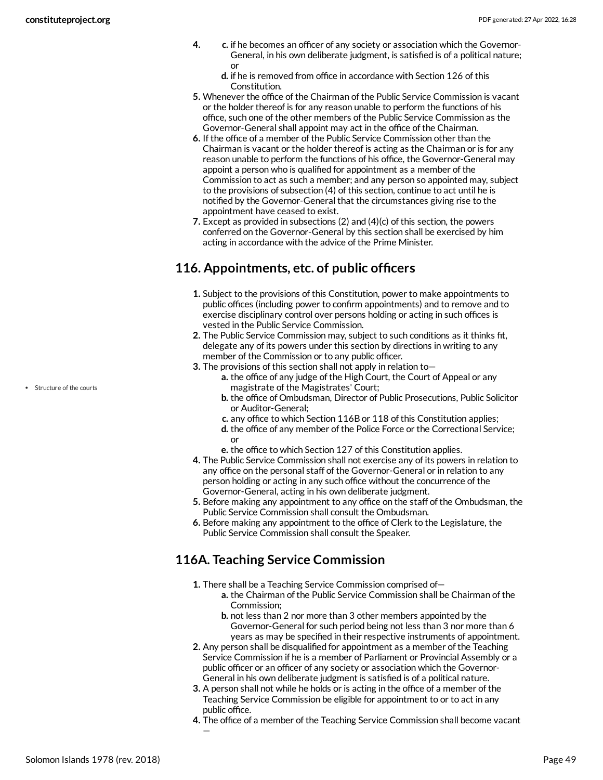- **4. c.** if he becomes an officer of any society or association which the Governor-General, in his own deliberate judgment, is satisfied is of a political nature; or
	- **d.** if he is removed from office in accordance with Section 126 of this Constitution.
- **5.** Whenever the office of the Chairman of the Public Service Commission is vacant or the holder thereof is for any reason unable to perform the functions of his office, such one of the other members of the Public Service Commission as the Governor-General shall appoint may act in the office of the Chairman.
- **6.** If the office of a member of the Public Service Commission other than the Chairman is vacant or the holder thereof is acting as the Chairman or is for any reason unable to perform the functions of his office, the Governor-General may appoint a person who is qualified for appointment as a member of the Commission to act as such a member; and any person so appointed may, subject to the provisions of subsection (4) of this section, continue to act until he is notified by the Governor-General that the circumstances giving rise to the appointment have ceased to exist.
- **7.** Except as provided in subsections (2) and (4)(c) of this section, the powers conferred on the Governor-General by this section shall be exercised by him acting in accordance with the advice of the Prime Minister.

## <span id="page-48-0"></span>**116. Appointments, etc. of public officers**

- **1.** Subject to the provisions of this Constitution, power to make appointments to public offices (including power to confirm appointments) and to remove and to exercise disciplinary control over persons holding or acting in such offices is vested in the Public Service Commission.
- **2.** The Public Service Commission may, subject to such conditions as it thinks fit, delegate any of its powers under this section by directions in writing to any member of the Commission or to any public officer.
- **3.** The provisions of this section shall not apply in relation to
	- **a.** the office of any judge of the High Court, the Court of Appeal or any magistrate of the Magistrates' Court;
	- **b.** the office of Ombudsman, Director of Public Prosecutions, Public Solicitor or Auditor-General;
	- **c.** any office to which Section 116B or 118 of this Constitution applies;
	- **d.** the office of any member of the Police Force or the Correctional Service; or
	- **e.** the office to which Section 127 of this Constitution applies.
- **4.** The Public Service Commission shall not exercise any of its powers in relation to any office on the personal staff of the Governor-General or in relation to any person holding or acting in any such office without the concurrence of the Governor-General, acting in his own deliberate judgment.
- **5.** Before making any appointment to any office on the staff of the Ombudsman, the Public Service Commission shall consult the Ombudsman.
- **6.** Before making any appointment to the office of Clerk to the Legislature, the Public Service Commission shall consult the Speaker.

## <span id="page-48-1"></span>**116A. Teaching Service Commission**

—

- **1.** There shall be a Teaching Service Commission comprised of
	- **a.** the Chairman of the Public Service Commission shall be Chairman of the Commission;
	- **b.** not less than 2 nor more than 3 other members appointed by the Governor-General for such period being not less than 3 nor more than 6 years as may be specified in their respective instruments of appointment.
- **2.** Any person shall be disqualified for appointment as a member of the Teaching Service Commission if he is a member of Parliament or Provincial Assembly or a public officer or an officer of any society or association which the Governor-General in his own deliberate judgment is satisfied is of a political nature.
- **3.** A person shall not while he holds or is acting in the office of a member of the Teaching Service Commission be eligible for appointment to or to act in any public office.
- **4.** The office of a member of the Teaching Service Commission shall become vacant

• Structure of the courts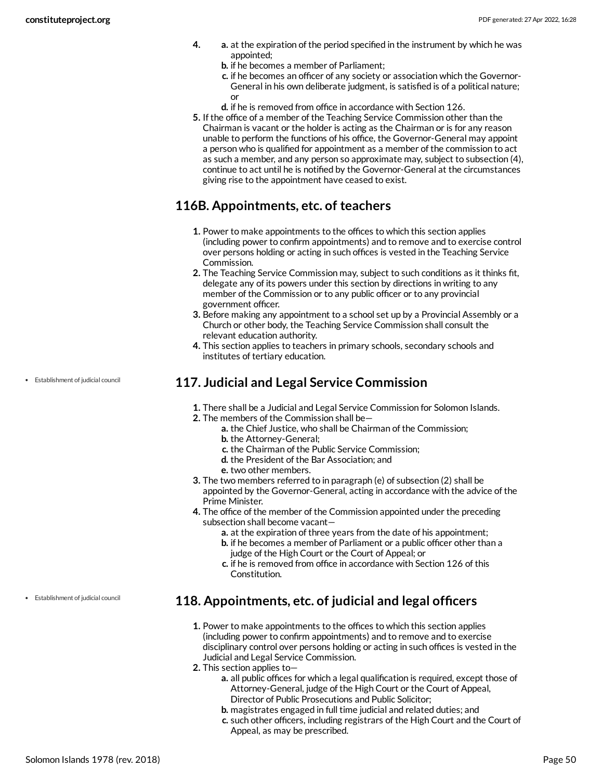- **4. a.** at the expiration of the period specified in the instrument by which he was appointed;
	- **b.** if he becomes a member of Parliament;
	- **c.** if he becomes an officer of any society or association which the Governor-General in his own deliberate judgment, is satisfied is of a political nature; or
	- **d.** if he is removed from office in accordance with Section 126.
- **5.** If the office of a member of the Teaching Service Commission other than the Chairman is vacant or the holder is acting as the Chairman or is for any reason unable to perform the functions of his office, the Governor-General may appoint a person who is qualified for appointment as a member of the commission to act as such a member, and any person so approximate may, subject to subsection (4), continue to act until he is notified by the Governor-General at the circumstances giving rise to the appointment have ceased to exist.

## <span id="page-49-0"></span>**116B. Appointments, etc. of teachers**

- **1.** Power to make appointments to the offices to which this section applies (including power to confirm appointments) and to remove and to exercise control over persons holding or acting in such offices is vested in the Teaching Service Commission.
- **2.** The Teaching Service Commission may, subject to such conditions as it thinks fit, delegate any of its powers under this section by directions in writing to any member of the Commission or to any public officer or to any provincial government officer.
- **3.** Before making any appointment to a school set up by a Provincial Assembly or a Church or other body, the Teaching Service Commission shall consult the relevant education authority.
- **4.** This section applies to teachers in primary schools, secondary schools and institutes of tertiary education.

### <span id="page-49-1"></span>**117. Judicial and Legal Service Commission**

- **1.** There shall be a Judicial and Legal Service Commission for Solomon Islands.
- **2.** The members of the Commission shall be
	- **a.** the Chief Justice, who shall be Chairman of the Commission;
	- **b.** the Attorney-General;
	- **c.** the Chairman of the Public Service Commission;
	- **d.** the President of the Bar Association; and
	- **e.** two other members.
- **3.** The two members referred to in paragraph (e) of subsection (2) shall be appointed by the Governor-General, acting in accordance with the advice of the Prime Minister.
- **4.** The office of the member of the Commission appointed under the preceding subsection shall become vacant
	- **a.** at the expiration of three years from the date of his appointment;
	- **b.** if he becomes a member of Parliament or a public officer other than a judge of the High Court or the Court of Appeal; or
	- **c.** if he is removed from office in accordance with Section 126 of this Constitution.

## <span id="page-49-2"></span>**118. Appointments, etc. of judicial and legal officers**

- **1.** Power to make appointments to the offices to which this section applies (including power to confirm appointments) and to remove and to exercise disciplinary control over persons holding or acting in such offices is vested in the Judicial and Legal Service Commission.
- **2.** This section applies to
	- **a.** all public offices for which a legal qualification is required, except those of Attorney-General, judge of the High Court or the Court of Appeal, Director of Public Prosecutions and Public Solicitor;
	- **b.** magistrates engaged in full time judicial and related duties; and
	- **c.** such other officers, including registrars of the High Court and the Court of Appeal, as may be prescribed.

Establishment of judicial council

Establishment of judicial council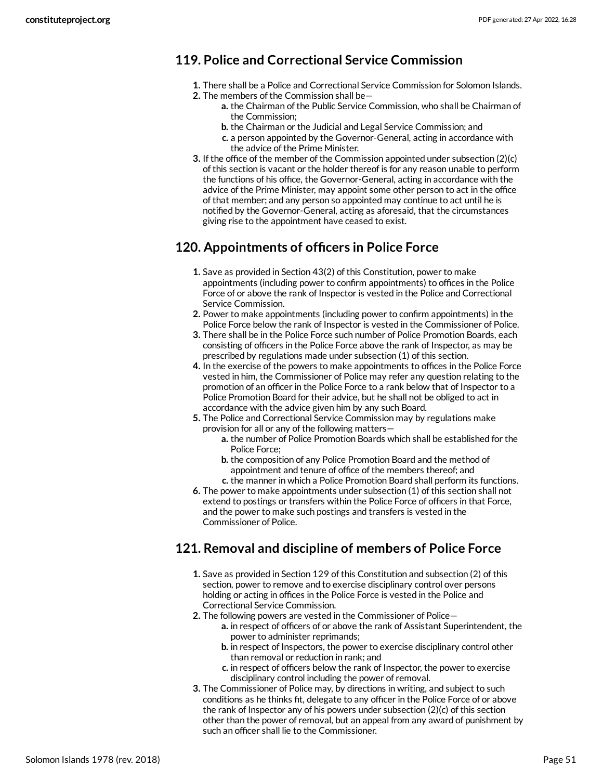## <span id="page-50-0"></span>**119. Police and Correctional Service Commission**

- **1.** There shall be a Police and Correctional Service Commission for Solomon Islands.
- **2.** The members of the Commission shall be
	- **a.** the Chairman of the Public Service Commission, who shall be Chairman of the Commission;
	- **b.** the Chairman or the Judicial and Legal Service Commission; and
	- **c.** a person appointed by the Governor-General, acting in accordance with the advice of the Prime Minister.
- **3.** If the office of the member of the Commission appointed under subsection (2)(c) of this section is vacant or the holder thereof is for any reason unable to perform the functions of his office, the Governor-General, acting in accordance with the advice of the Prime Minister, may appoint some other person to act in the office of that member; and any person so appointed may continue to act until he is notified by the Governor-General, acting as aforesaid, that the circumstances giving rise to the appointment have ceased to exist.

## <span id="page-50-1"></span>**120. Appointments of officers in Police Force**

- **1.** Save as provided in Section 43(2) of this Constitution, power to make appointments (including power to confirm appointments) to offices in the Police Force of or above the rank of Inspector is vested in the Police and Correctional Service Commission.
- **2.** Power to make appointments (including power to confirm appointments) in the Police Force below the rank of Inspector is vested in the Commissioner of Police.
- **3.** There shall be in the Police Force such number of Police Promotion Boards, each consisting of officers in the Police Force above the rank of Inspector, as may be prescribed by regulations made under subsection (1) of this section.
- **4.** In the exercise of the powers to make appointments to offices in the Police Force vested in him, the Commissioner of Police may refer any question relating to the promotion of an officer in the Police Force to a rank below that of Inspector to a Police Promotion Board for their advice, but he shall not be obliged to act in accordance with the advice given him by any such Board.
- **5.** The Police and Correctional Service Commission may by regulations make provision for all or any of the following matters
	- **a.** the number of Police Promotion Boards which shall be established for the Police Force;
	- **b.** the composition of any Police Promotion Board and the method of appointment and tenure of office of the members thereof; and
	- **c.** the manner in which a Police Promotion Board shall perform its functions.
- **6.** The power to make appointments under subsection (1) of this section shall not extend to postings or transfers within the Police Force of officers in that Force, and the power to make such postings and transfers is vested in the Commissioner of Police.

## <span id="page-50-2"></span>**121. Removal and discipline of members of Police Force**

- **1.** Save as provided in Section 129 of this Constitution and subsection (2) of this section, power to remove and to exercise disciplinary control over persons holding or acting in offices in the Police Force is vested in the Police and Correctional Service Commission.
- **2.** The following powers are vested in the Commissioner of Police
	- **a.** in respect of officers of or above the rank of Assistant Superintendent, the power to administer reprimands;
		- **b.** in respect of Inspectors, the power to exercise disciplinary control other than removal or reduction in rank; and
		- **c.** in respect of officers below the rank of Inspector, the power to exercise disciplinary control including the power of removal.
- **3.** The Commissioner of Police may, by directions in writing, and subject to such conditions as he thinks fit, delegate to any officer in the Police Force of or above the rank of Inspector any of his powers under subsection (2)(c) of this section other than the power of removal, but an appeal from any award of punishment by such an officer shall lie to the Commissioner.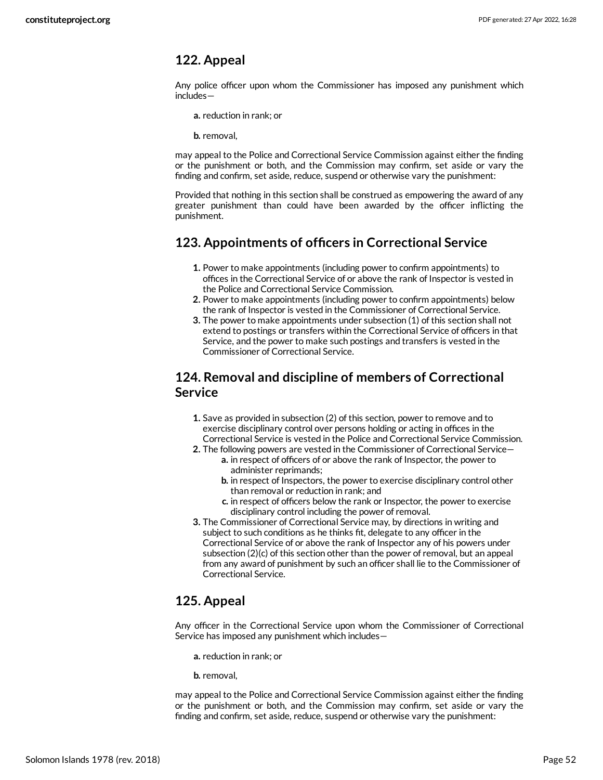### <span id="page-51-0"></span>**122. Appeal**

Any police officer upon whom the Commissioner has imposed any punishment which includes—

**a.** reduction in rank; or

**b.** removal,

may appeal to the Police and Correctional Service Commission against either the finding or the punishment or both, and the Commission may confirm, set aside or vary the finding and confirm, set aside, reduce, suspend or otherwise vary the punishment:

Provided that nothing in this section shall be construed as empowering the award of any greater punishment than could have been awarded by the officer inflicting the punishment.

### <span id="page-51-1"></span>**123. Appointments of officers in Correctional Service**

- **1.** Power to make appointments (including power to confirm appointments) to offices in the Correctional Service of or above the rank of Inspector is vested in the Police and Correctional Service Commission.
- **2.** Power to make appointments (including power to confirm appointments) below the rank of Inspector is vested in the Commissioner of Correctional Service.
- **3.** The power to make appointments under subsection (1) of this section shall not extend to postings or transfers within the Correctional Service of officers in that Service, and the power to make such postings and transfers is vested in the Commissioner of Correctional Service.

### <span id="page-51-2"></span>**124. Removal and discipline of members of Correctional Service**

- **1.** Save as provided in subsection (2) of this section, power to remove and to exercise disciplinary control over persons holding or acting in offices in the Correctional Service is vested in the Police and Correctional Service Commission.
- **2.** The following powers are vested in the Commissioner of Correctional Service
	- **a.** in respect of officers of or above the rank of Inspector, the power to administer reprimands;
	- **b.** in respect of Inspectors, the power to exercise disciplinary control other than removal or reduction in rank; and
	- **c.** in respect of officers below the rank or Inspector, the power to exercise disciplinary control including the power of removal.
- **3.** The Commissioner of Correctional Service may, by directions in writing and subject to such conditions as he thinks fit, delegate to any officer in the Correctional Service of or above the rank of Inspector any of his powers under subsection (2)(c) of this section other than the power of removal, but an appeal from any award of punishment by such an officer shall lie to the Commissioner of Correctional Service.

## <span id="page-51-3"></span>**125. Appeal**

Any officer in the Correctional Service upon whom the Commissioner of Correctional Service has imposed any punishment which includes—

- **a.** reduction in rank; or
- **b.** removal,

may appeal to the Police and Correctional Service Commission against either the finding or the punishment or both, and the Commission may confirm, set aside or vary the finding and confirm, set aside, reduce, suspend or otherwise vary the punishment: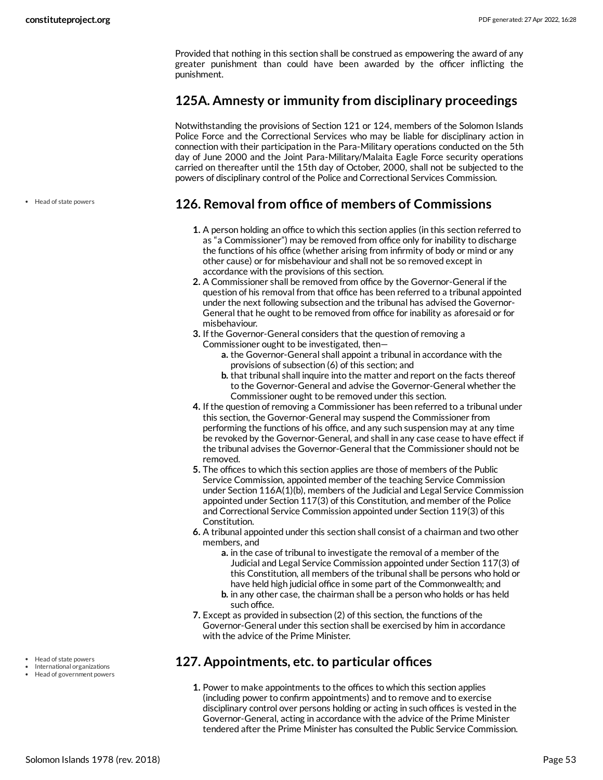Provided that nothing in this section shall be construed as empowering the award of any greater punishment than could have been awarded by the officer inflicting the punishment.

### <span id="page-52-0"></span>**125A. Amnesty or immunity from disciplinary proceedings**

Notwithstanding the provisions of Section 121 or 124, members of the Solomon Islands Police Force and the Correctional Services who may be liable for disciplinary action in connection with their participation in the Para-Military operations conducted on the 5th day of June 2000 and the Joint Para-Military/Malaita Eagle Force security operations carried on thereafter until the 15th day of October, 2000, shall not be subjected to the powers of disciplinary control of the Police and Correctional Services Commission.

### <span id="page-52-1"></span>**126. Removal from office of members of Commissions**

- **1.** A person holding an office to which this section applies (in this section referred to as "a Commissioner") may be removed from office only for inability to discharge the functions of his office (whether arising from infirmity of body or mind or any other cause) or for misbehaviour and shall not be so removed except in accordance with the provisions of this section.
- **2.** A Commissioner shall be removed from office by the Governor-General if the question of his removal from that office has been referred to a tribunal appointed under the next following subsection and the tribunal has advised the Governor-General that he ought to be removed from office for inability as aforesaid or for misbehaviour.
- **3.** If the Governor-General considers that the question of removing a Commissioner ought to be investigated, then
	- **a.** the Governor-General shall appoint a tribunal in accordance with the provisions of subsection (6) of this section; and
	- **b.** that tribunal shall inquire into the matter and report on the facts thereof to the Governor-General and advise the Governor-General whether the Commissioner ought to be removed under this section.
- **4.** If the question of removing a Commissioner has been referred to a tribunal under this section, the Governor-General may suspend the Commissioner from performing the functions of his office, and any such suspension may at any time be revoked by the Governor-General, and shall in any case cease to have effect if the tribunal advises the Governor-General that the Commissioner should not be removed.
- **5.** The offices to which this section applies are those of members of the Public Service Commission, appointed member of the teaching Service Commission under Section 116A(1)(b), members of the Judicial and Legal Service Commission appointed under Section 117(3) of this Constitution, and member of the Police and Correctional Service Commission appointed under Section 119(3) of this Constitution.
- **6.** A tribunal appointed under this section shall consist of a chairman and two other members, and
	- **a.** in the case of tribunal to investigate the removal of a member of the Judicial and Legal Service Commission appointed under Section 117(3) of this Constitution, all members of the tribunal shall be persons who hold or have held high judicial office in some part of the Commonwealth; and
	- **b.** in any other case, the chairman shall be a person who holds or has held such office.
- **7.** Except as provided in subsection (2) of this section, the functions of the Governor-General under this section shall be exercised by him in accordance with the advice of the Prime Minister.

### <span id="page-52-2"></span>**127. Appointments, etc. to particular offices**

**1.** Power to make appointments to the offices to which this section applies (including power to confirm appointments) and to remove and to exercise disciplinary control over persons holding or acting in such offices is vested in the Governor-General, acting in accordance with the advice of the Prime Minister tendered after the Prime Minister has consulted the Public Service Commission.

• Head of state powers

Head of state powers

International organizations

Head of government powers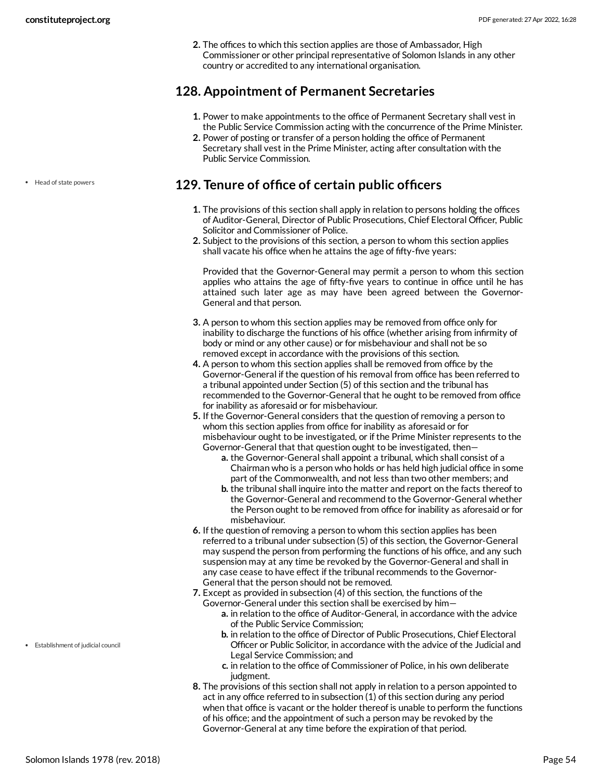**2.** The offices to which this section applies are those of Ambassador, High Commissioner or other principal representative of Solomon Islands in any other country or accredited to any international organisation.

## <span id="page-53-0"></span>**128. Appointment of Permanent Secretaries**

- **1.** Power to make appointments to the office of Permanent Secretary shall vest in the Public Service Commission acting with the concurrence of the Prime Minister.
- **2.** Power of posting or transfer of a person holding the office of Permanent Secretary shall vest in the Prime Minister, acting after consultation with the Public Service Commission.

## <span id="page-53-1"></span>**129. Tenure of office of certain public officers**

- **1.** The provisions of this section shall apply in relation to persons holding the offices of Auditor-General, Director of Public Prosecutions, Chief Electoral Officer, Public Solicitor and Commissioner of Police.
- **2.** Subject to the provisions of this section, a person to whom this section applies shall vacate his office when he attains the age of fifty-five years:

Provided that the Governor-General may permit a person to whom this section applies who attains the age of fifty-five years to continue in office until he has attained such later age as may have been agreed between the Governor-General and that person.

- **3.** A person to whom this section applies may be removed from office only for inability to discharge the functions of his office (whether arising from infirmity of body or mind or any other cause) or for misbehaviour and shall not be so removed except in accordance with the provisions of this section.
- **4.** A person to whom this section applies shall be removed from office by the Governor-General if the question of his removal from office has been referred to a tribunal appointed under Section (5) of this section and the tribunal has recommended to the Governor-General that he ought to be removed from office for inability as aforesaid or for misbehaviour.
- **5.** If the Governor-General considers that the question of removing a person to whom this section applies from office for inability as aforesaid or for misbehaviour ought to be investigated, or if the Prime Minister represents to the Governor-General that that question ought to be investigated, then
	- **a.** the Governor-General shall appoint a tribunal, which shall consist of a Chairman who is a person who holds or has held high judicial office in some part of the Commonwealth, and not less than two other members; and
	- **b.** the tribunal shall inquire into the matter and report on the facts thereof to the Governor-General and recommend to the Governor-General whether the Person ought to be removed from office for inability as aforesaid or for misbehaviour.
- **6.** If the question of removing a person to whom this section applies has been referred to a tribunal under subsection (5) of this section, the Governor-General may suspend the person from performing the functions of his office, and any such suspension may at any time be revoked by the Governor-General and shall in any case cease to have effect if the tribunal recommends to the Governor-General that the person should not be removed.
- **7.** Except as provided in subsection (4) of this section, the functions of the Governor-General under this section shall be exercised by him
	- **a.** in relation to the office of Auditor-General, in accordance with the advice of the Public Service Commission;
	- **b.** in relation to the office of Director of Public Prosecutions, Chief Electoral Officer or Public Solicitor, in accordance with the advice of the Judicial and Legal Service Commission; and
	- **c.** in relation to the office of Commissioner of Police, in his own deliberate judgment.
- **8.** The provisions of this section shall not apply in relation to a person appointed to act in any office referred to in subsection (1) of this section during any period when that office is vacant or the holder thereof is unable to perform the functions of his office; and the appointment of such a person may be revoked by the Governor-General at any time before the expiration of that period.

• Head of state powers

Establishment of judicial council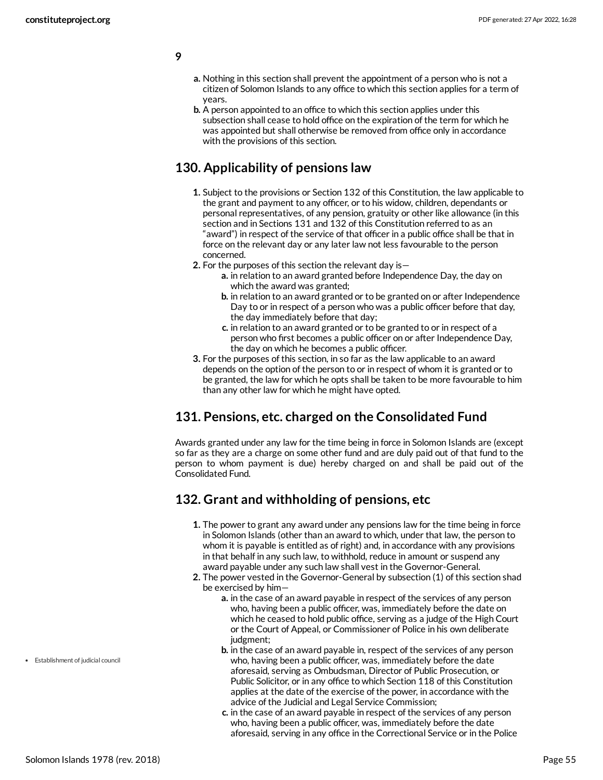**9**

- **a.** Nothing in this section shall prevent the appointment of a person who is not a citizen of Solomon Islands to any office to which this section applies for a term of years.
- **b.** A person appointed to an office to which this section applies under this subsection shall cease to hold office on the expiration of the term for which he was appointed but shall otherwise be removed from office only in accordance with the provisions of this section.

## <span id="page-54-0"></span>**130. Applicability of pensions law**

- **1.** Subject to the provisions or Section 132 of this Constitution, the law applicable to the grant and payment to any officer, or to his widow, children, dependants or personal representatives, of any pension, gratuity or other like allowance (in this section and in Sections 131 and 132 of this Constitution referred to as an "award") in respect of the service of that officer in a public office shall be that in force on the relevant day or any later law not less favourable to the person concerned.
- **2.** For the purposes of this section the relevant day is
	- **a.** in relation to an award granted before Independence Day, the day on which the award was granted;
	- **b.** in relation to an award granted or to be granted on or after Independence Day to or in respect of a person who was a public officer before that day, the day immediately before that day;
	- **c.** in relation to an award granted or to be granted to or in respect of a person who first becomes a public officer on or after Independence Day, the day on which he becomes a public officer.
- **3.** For the purposes of this section, in so far as the law applicable to an award depends on the option of the person to or in respect of whom it is granted or to be granted, the law for which he opts shall be taken to be more favourable to him than any other law for which he might have opted.

## <span id="page-54-1"></span>**131. Pensions, etc. charged on the Consolidated Fund**

Awards granted under any law for the time being in force in Solomon Islands are (except so far as they are a charge on some other fund and are duly paid out of that fund to the person to whom payment is due) hereby charged on and shall be paid out of the Consolidated Fund.

## <span id="page-54-2"></span>**132. Grant and withholding of pensions, etc**

- **1.** The power to grant any award under any pensions law for the time being in force in Solomon Islands (other than an award to which, under that law, the person to whom it is payable is entitled as of right) and, in accordance with any provisions in that behalf in any such law, to withhold, reduce in amount or suspend any award payable under any such law shall vest in the Governor-General.
- **2.** The power vested in the Governor-General by subsection (1) of this section shad be exercised by him
	- **a.** in the case of an award payable in respect of the services of any person who, having been a public officer, was, immediately before the date on which he ceased to hold public office, serving as a judge of the High Court or the Court of Appeal, or Commissioner of Police in his own deliberate judgment;
	- **b.** in the case of an award payable in, respect of the services of any person who, having been a public officer, was, immediately before the date aforesaid, serving as Ombudsman, Director of Public Prosecution, or Public Solicitor, or in any office to which Section 118 of this Constitution applies at the date of the exercise of the power, in accordance with the advice of the Judicial and Legal Service Commission;
	- **c.** in the case of an award payable in respect of the services of any person who, having been a public officer, was, immediately before the date aforesaid, serving in any office in the Correctional Service or in the Police

Establishment of judicial council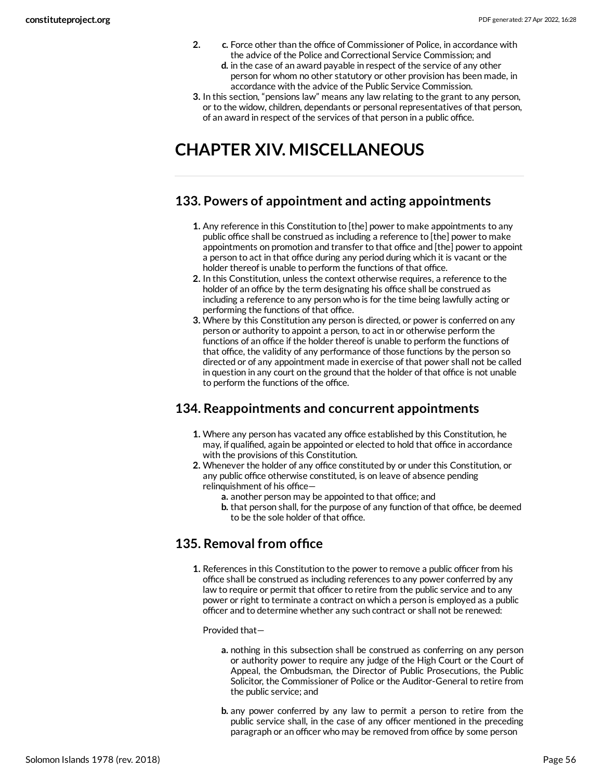- **2. c.** Force other than the office of Commissioner of Police, in accordance with the advice of the Police and Correctional Service Commission; and
	- **d.** in the case of an award payable in respect of the service of any other person for whom no other statutory or other provision has been made, in accordance with the advice of the Public Service Commission.
- **3.** In this section, "pensions law" means any law relating to the grant to any person, or to the widow, children, dependants or personal representatives of that person, of an award in respect of the services of that person in a public office.

## <span id="page-55-0"></span>**CHAPTER XIV. MISCELLANEOUS**

## <span id="page-55-1"></span>**133. Powers of appointment and acting appointments**

- **1.** Any reference in this Constitution to [the] power to make appointments to any public office shall be construed as including a reference to [the] power to make appointments on promotion and transfer to that office and [the] power to appoint a person to act in that office during any period during which it is vacant or the holder thereof is unable to perform the functions of that office.
- **2.** In this Constitution, unless the context otherwise requires, a reference to the holder of an office by the term designating his office shall be construed as including a reference to any person who is for the time being lawfully acting or performing the functions of that office.
- **3.** Where by this Constitution any person is directed, or power is conferred on any person or authority to appoint a person, to act in or otherwise perform the functions of an office if the holder thereof is unable to perform the functions of that office, the validity of any performance of those functions by the person so directed or of any appointment made in exercise of that power shall not be called in question in any court on the ground that the holder of that office is not unable to perform the functions of the office.

## <span id="page-55-2"></span>**134. Reappointments and concurrent appointments**

- **1.** Where any person has vacated any office established by this Constitution, he may, if qualified, again be appointed or elected to hold that office in accordance with the provisions of this Constitution.
- **2.** Whenever the holder of any office constituted by or under this Constitution, or any public office otherwise constituted, is on leave of absence pending relinquishment of his office
	- **a.** another person may be appointed to that office; and
		- **b.** that person shall, for the purpose of any function of that office, be deemed to be the sole holder of that office.

## <span id="page-55-3"></span>**135. Removal from office**

**1.** References in this Constitution to the power to remove a public officer from his office shall be construed as including references to any power conferred by any law to require or permit that officer to retire from the public service and to any power or right to terminate a contract on which a person is employed as a public officer and to determine whether any such contract or shall not be renewed:

### Provided that—

- **a.** nothing in this subsection shall be construed as conferring on any person or authority power to require any judge of the High Court or the Court of Appeal, the Ombudsman, the Director of Public Prosecutions, the Public Solicitor, the Commissioner of Police or the Auditor-General to retire from the public service; and
- **b.** any power conferred by any law to permit a person to retire from the public service shall, in the case of any officer mentioned in the preceding paragraph or an officer who may be removed from office by some person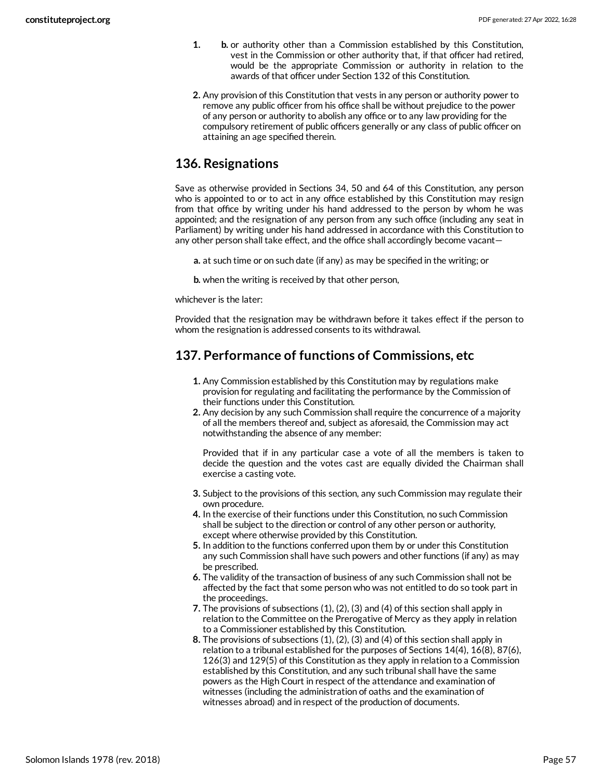- **1. b.** or authority other than a Commission established by this Constitution, vest in the Commission or other authority that, if that officer had retired, would be the appropriate Commission or authority in relation to the awards of that officer under Section 132 of this Constitution.
- **2.** Any provision of this Constitution that vests in any person or authority power to remove any public officer from his office shall be without prejudice to the power of any person or authority to abolish any office or to any law providing for the compulsory retirement of public officers generally or any class of public officer on attaining an age specified therein.

## <span id="page-56-0"></span>**136. Resignations**

Save as otherwise provided in Sections 34, 50 and 64 of this Constitution, any person who is appointed to or to act in any office established by this Constitution may resign from that office by writing under his hand addressed to the person by whom he was appointed; and the resignation of any person from any such office (including any seat in Parliament) by writing under his hand addressed in accordance with this Constitution to any other person shall take effect, and the office shall accordingly become vacant—

**a.** at such time or on such date (if any) as may be specified in the writing; or

**b.** when the writing is received by that other person,

whichever is the later:

Provided that the resignation may be withdrawn before it takes effect if the person to whom the resignation is addressed consents to its withdrawal.

## <span id="page-56-1"></span>**137. Performance of functions of Commissions, etc**

- **1.** Any Commission established by this Constitution may by regulations make provision for regulating and facilitating the performance by the Commission of their functions under this Constitution.
- **2.** Any decision by any such Commission shall require the concurrence of a majority of all the members thereof and, subject as aforesaid, the Commission may act notwithstanding the absence of any member:

Provided that if in any particular case a vote of all the members is taken to decide the question and the votes cast are equally divided the Chairman shall exercise a casting vote.

- **3.** Subject to the provisions of this section, any such Commission may regulate their own procedure.
- **4.** In the exercise of their functions under this Constitution, no such Commission shall be subject to the direction or control of any other person or authority, except where otherwise provided by this Constitution.
- **5.** In addition to the functions conferred upon them by or under this Constitution any such Commission shall have such powers and other functions (if any) as may be prescribed.
- **6.** The validity of the transaction of business of any such Commission shall not be affected by the fact that some person who was not entitled to do so took part in the proceedings.
- **7.** The provisions of subsections (1), (2), (3) and (4) of this section shall apply in relation to the Committee on the Prerogative of Mercy as they apply in relation to a Commissioner established by this Constitution.
- **8.** The provisions of subsections (1), (2), (3) and (4) of this section shall apply in relation to a tribunal established for the purposes of Sections 14(4), 16(8), 87(6), 126(3) and 129(5) of this Constitution as they apply in relation to a Commission established by this Constitution, and any such tribunal shall have the same powers as the High Court in respect of the attendance and examination of witnesses (including the administration of oaths and the examination of witnesses abroad) and in respect of the production of documents.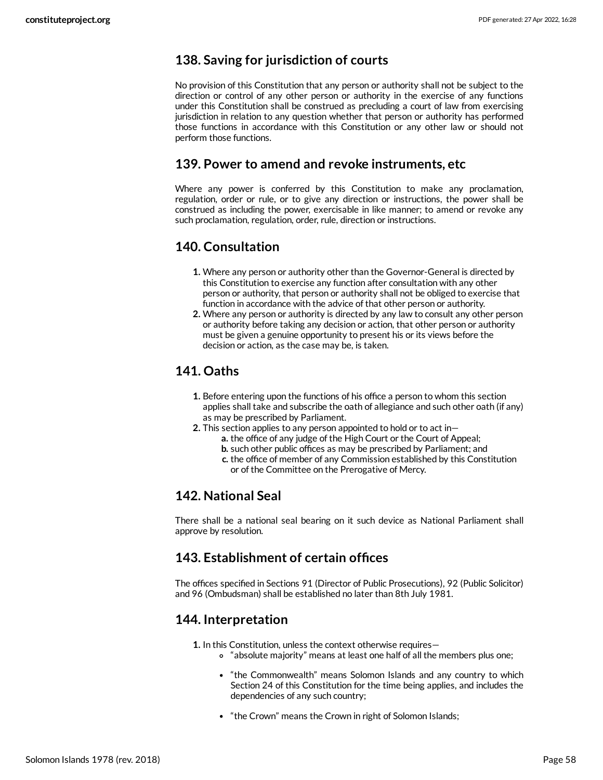## <span id="page-57-0"></span>**138. Saving for jurisdiction of courts**

No provision of this Constitution that any person or authority shall not be subject to the direction or control of any other person or authority in the exercise of any functions under this Constitution shall be construed as precluding a court of law from exercising jurisdiction in relation to any question whether that person or authority has performed those functions in accordance with this Constitution or any other law or should not perform those functions.

### <span id="page-57-1"></span>**139. Power to amend and revoke instruments, etc**

Where any power is conferred by this Constitution to make any proclamation, regulation, order or rule, or to give any direction or instructions, the power shall be construed as including the power, exercisable in like manner; to amend or revoke any such proclamation, regulation, order, rule, direction or instructions.

### <span id="page-57-2"></span>**140. Consultation**

- **1.** Where any person or authority other than the Governor-General is directed by this Constitution to exercise any function after consultation with any other person or authority, that person or authority shall not be obliged to exercise that function in accordance with the advice of that other person or authority.
- **2.** Where any person or authority is directed by any law to consult any other person or authority before taking any decision or action, that other person or authority must be given a genuine opportunity to present his or its views before the decision or action, as the case may be, is taken.

### <span id="page-57-3"></span>**141. Oaths**

- **1.** Before entering upon the functions of his office a person to whom this section applies shall take and subscribe the oath of allegiance and such other oath (if any) as may be prescribed by Parliament.
- **2.** This section applies to any person appointed to hold or to act in
	- **a.** the office of any judge of the High Court or the Court of Appeal;
	- **b.** such other public offices as may be prescribed by Parliament; and
	- **c.** the office of member of any Commission established by this Constitution or of the Committee on the Prerogative of Mercy.

## <span id="page-57-4"></span>**142. National Seal**

There shall be a national seal bearing on it such device as National Parliament shall approve by resolution.

## <span id="page-57-5"></span>**143. Establishment of certain offices**

The offices specified in Sections 91 (Director of Public Prosecutions), 92 (Public Solicitor) and 96 (Ombudsman) shall be established no later than 8th July 1981.

### <span id="page-57-6"></span>**144. Interpretation**

- **1.** In this Constitution, unless the context otherwise requires—
	- "absolute majority" means at least one half of all the members plus one;
	- "the Commonwealth" means Solomon Islands and any country to which Section 24 of this Constitution for the time being applies, and includes the dependencies of any such country;
	- "the Crown" means the Crown in right of Solomon Islands;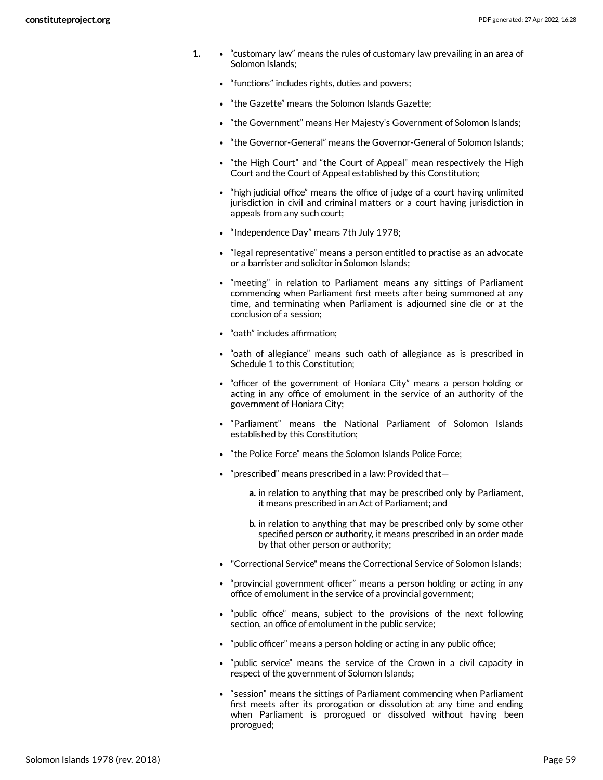- **1.** "customary law" means the rules of customary law prevailing in an area of Solomon Islands;
	- "functions" includes rights, duties and powers;
	- "the Gazette" means the Solomon Islands Gazette;
	- "the Government" means Her Majesty's Government of Solomon Islands;
	- "the Governor-General" means the Governor-General of Solomon Islands;
	- "the High Court" and "the Court of Appeal" mean respectively the High Court and the Court of Appeal established by this Constitution;
	- "high judicial office" means the office of judge of a court having unlimited jurisdiction in civil and criminal matters or a court having jurisdiction in appeals from any such court;
	- "Independence Day" means 7th July 1978;
	- "legal representative" means a person entitled to practise as an advocate or a barrister and solicitor in Solomon Islands;
	- "meeting" in relation to Parliament means any sittings of Parliament commencing when Parliament first meets after being summoned at any time, and terminating when Parliament is adjourned sine die or at the conclusion of a session;
	- "oath" includes affirmation;
	- "oath of allegiance" means such oath of allegiance as is prescribed in Schedule 1 to this Constitution;
	- "officer of the government of Honiara City" means a person holding or acting in any office of emolument in the service of an authority of the government of Honiara City;
	- "Parliament" means the National Parliament of Solomon Islands established by this Constitution;
	- "the Police Force" means the Solomon Islands Police Force;
	- "prescribed" means prescribed in a law: Provided that
		- **a.** in relation to anything that may be prescribed only by Parliament, it means prescribed in an Act of Parliament; and
		- **b.** in relation to anything that may be prescribed only by some other specified person or authority, it means prescribed in an order made by that other person or authority;
	- "Correctional Service" means the Correctional Service of Solomon Islands;
	- "provincial government officer" means a person holding or acting in any office of emolument in the service of a provincial government;
	- "public office" means, subject to the provisions of the next following section, an office of emolument in the public service;
	- "public officer" means a person holding or acting in any public office;
	- "public service" means the service of the Crown in a civil capacity in respect of the government of Solomon Islands;
	- "session" means the sittings of Parliament commencing when Parliament first meets after its prorogation or dissolution at any time and ending when Parliament is prorogued or dissolved without having been prorogued;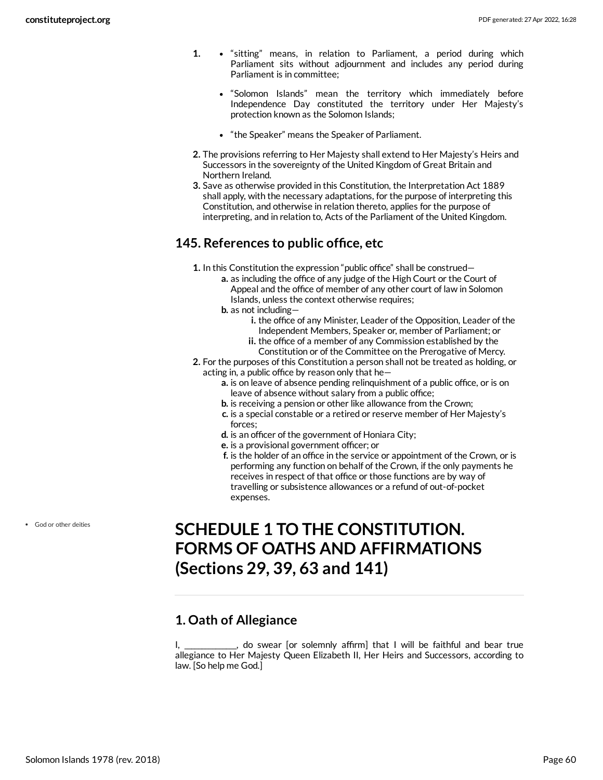- 1. "sitting" means, in relation to Parliament, a period during which Parliament sits without adjournment and includes any period during Parliament is in committee;
	- "Solomon Islands" mean the territory which immediately before Independence Day constituted the territory under Her Majesty's protection known as the Solomon Islands;
	- "the Speaker" means the Speaker of Parliament.
- **2.** The provisions referring to Her Majesty shall extend to Her Majesty's Heirs and Successors in the sovereignty of the United Kingdom of Great Britain and Northern Ireland.
- **3.** Save as otherwise provided in this Constitution, the Interpretation Act 1889 shall apply, with the necessary adaptations, for the purpose of interpreting this Constitution, and otherwise in relation thereto, applies for the purpose of interpreting, and in relation to, Acts of the Parliament of the United Kingdom.

### <span id="page-59-0"></span>**145. References to public office, etc**

- **1.** In this Constitution the expression "public office" shall be construed
	- **a.** as including the office of any judge of the High Court or the Court of Appeal and the office of member of any other court of law in Solomon Islands, unless the context otherwise requires;
	- **b.** as not including
		- **i.** the office of any Minister, Leader of the Opposition, Leader of the Independent Members, Speaker or, member of Parliament; or
		- **ii.** the office of a member of any Commission established by the Constitution or of the Committee on the Prerogative of Mercy.
- **2.** For the purposes of this Constitution a person shall not be treated as holding, or acting in, a public office by reason only that he
	- **a.** is on leave of absence pending relinquishment of a public office, or is on leave of absence without salary from a public office;
	- **b.** is receiving a pension or other like allowance from the Crown;
	- **c.** is a special constable or a retired or reserve member of Her Majesty's forces;
	- **d.** is an officer of the government of Honiara City;
	- **e.** is a provisional government officer; or
	- **f.** is the holder of an office in the service or appointment of the Crown, or is performing any function on behalf of the Crown, if the only payments he receives in respect of that office or those functions are by way of travelling or subsistence allowances or a refund of out-of-pocket expenses.

God or other deities

## <span id="page-59-1"></span>**SCHEDULE 1 TO THE CONSTITUTION. FORMS OF OATHS AND AFFIRMATIONS (Sections 29, 39, 63 and 141)**

### <span id="page-59-2"></span>**1. Oath of Allegiance**

I, \_\_\_\_\_\_\_\_\_\_\_, do swear [or solemnly affirm] that I will be faithful and bear true allegiance to Her Majesty Queen Elizabeth II, Her Heirs and Successors, according to law. [So help me God.]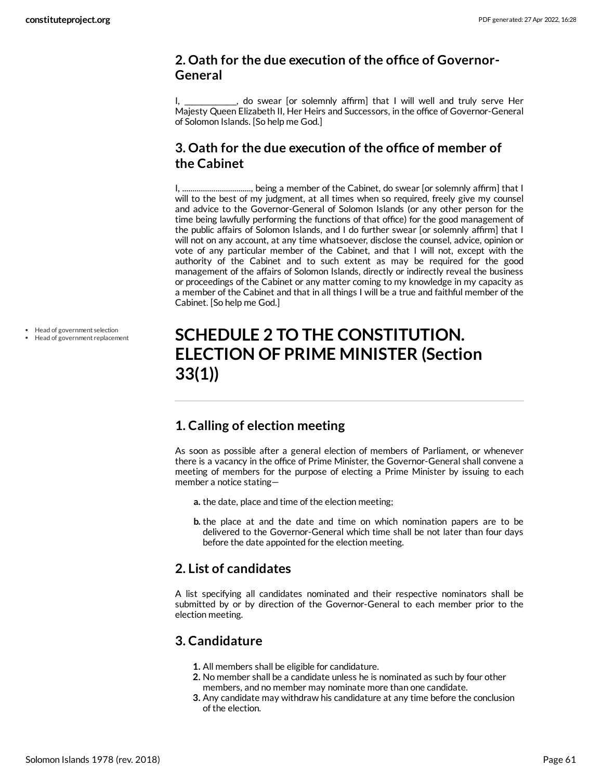### <span id="page-60-0"></span>**2. Oath for the due execution of the office of Governor-General**

I, \_\_\_\_\_\_\_\_\_\_\_\_\_\_\_, do swear [or solemnly affirm] that I will well and truly serve Her Majesty Queen Elizabeth II, Her Heirs and Successors, in the office of Governor-General of Solomon Islands. [So help me God.]

### <span id="page-60-1"></span>**3. Oath for the due execution of the office of member of the Cabinet**

I, ................................., being a member of the Cabinet, do swear [or solemnly affirm] that I will to the best of my judgment, at all times when so required, freely give my counsel and advice to the Governor-General of Solomon Islands (or any other person for the time being lawfully performing the functions of that office) for the good management of the public affairs of Solomon Islands, and I do further swear [or solemnly affirm] that I will not on any account, at any time whatsoever, disclose the counsel, advice, opinion or vote of any particular member of the Cabinet, and that I will not, except with the authority of the Cabinet and to such extent as may be required for the good management of the affairs of Solomon Islands, directly or indirectly reveal the business or proceedings of the Cabinet or any matter coming to my knowledge in my capacity as a member of the Cabinet and that in all things I will be a true and faithful member of the Cabinet. [So help me God.]

- Head of government selection
- Head of government replacement

## <span id="page-60-2"></span>**SCHEDULE 2 TO THE CONSTITUTION. ELECTION OF PRIME MINISTER (Section 33(1))**

## <span id="page-60-3"></span>**1. Calling of election meeting**

As soon as possible after a general election of members of Parliament, or whenever there is a vacancy in the office of Prime Minister, the Governor-General shall convene a meeting of members for the purpose of electing a Prime Minister by issuing to each member a notice stating—

- **a.** the date, place and time of the election meeting;
- **b.** the place at and the date and time on which nomination papers are to be delivered to the Governor-General which time shall be not later than four days before the date appointed for the election meeting.

## <span id="page-60-4"></span>**2. List of candidates**

A list specifying all candidates nominated and their respective nominators shall be submitted by or by direction of the Governor-General to each member prior to the election meeting.

## <span id="page-60-5"></span>**3. Candidature**

- **1.** All members shall be eligible for candidature.
- **2.** No member shall be a candidate unless he is nominated as such by four other members, and no member may nominate more than one candidate.
- **3.** Any candidate may withdraw his candidature at any time before the conclusion of the election.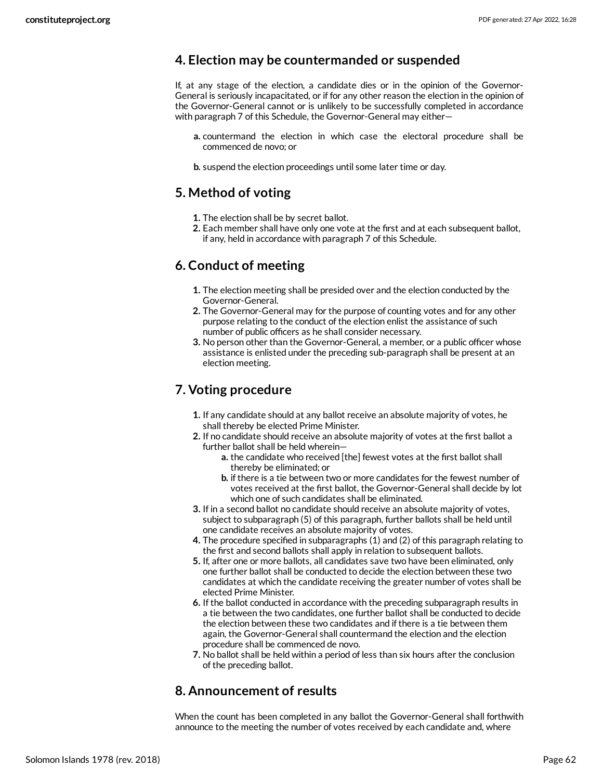### <span id="page-61-0"></span>**4. Election may be countermanded or suspended**

If, at any stage of the election, a candidate dies or in the opinion of the Governor-General is seriously incapacitated, or if for any other reason the election in the opinion of the Governor-General cannot or is unlikely to be successfully completed in accordance with paragraph 7 of this Schedule, the Governor-General may either—

- **a.** countermand the election in which case the electoral procedure shall be commenced de novo; or
- **b.** suspend the election proceedings until some later time or day.

### <span id="page-61-1"></span>**5. Method of voting**

- **1.** The election shall be by secret ballot.
- **2.** Each member shall have only one vote at the first and at each subsequent ballot, if any, held in accordance with paragraph 7 of this Schedule.

### <span id="page-61-2"></span>**6. Conduct of meeting**

- **1.** The election meeting shall be presided over and the election conducted by the Governor-General.
- **2.** The Governor-General may for the purpose of counting votes and for any other purpose relating to the conduct of the election enlist the assistance of such number of public officers as he shall consider necessary.
- **3.** No person other than the Governor-General, a member, or a public officer whose assistance is enlisted under the preceding sub-paragraph shall be present at an election meeting.

### <span id="page-61-3"></span>**7. Voting procedure**

- **1.** If any candidate should at any ballot receive an absolute majority of votes, he shall thereby be elected Prime Minister.
- **2.** If no candidate should receive an absolute majority of votes at the first ballot a further ballot shall be held wherein
	- **a.** the candidate who received [the] fewest votes at the first ballot shall thereby be eliminated; or
	- **b.** if there is a tie between two or more candidates for the fewest number of votes received at the first ballot, the Governor-General shall decide by lot which one of such candidates shall be eliminated.
- **3.** If in a second ballot no candidate should receive an absolute majority of votes, subject to subparagraph (5) of this paragraph, further ballots shall be held until one candidate receives an absolute majority of votes.
- **4.** The procedure specified in subparagraphs (1) and (2) of this paragraph relating to the first and second ballots shall apply in relation to subsequent ballots.
- **5.** If, after one or more ballots, all candidates save two have been eliminated, only one further ballot shall be conducted to decide the election between these two candidates at which the candidate receiving the greater number of votes shall be elected Prime Minister.
- **6.** If the ballot conducted in accordance with the preceding subparagraph results in a tie between the two candidates, one further ballot shall be conducted to decide the election between these two candidates and if there is a tie between them again, the Governor-General shall countermand the election and the election procedure shall be commenced de novo.
- **7.** No ballot shall be held within a period of less than six hours after the conclusion of the preceding ballot.

## <span id="page-61-4"></span>**8. Announcement of results**

When the count has been completed in any ballot the Governor-General shall forthwith announce to the meeting the number of votes received by each candidate and, where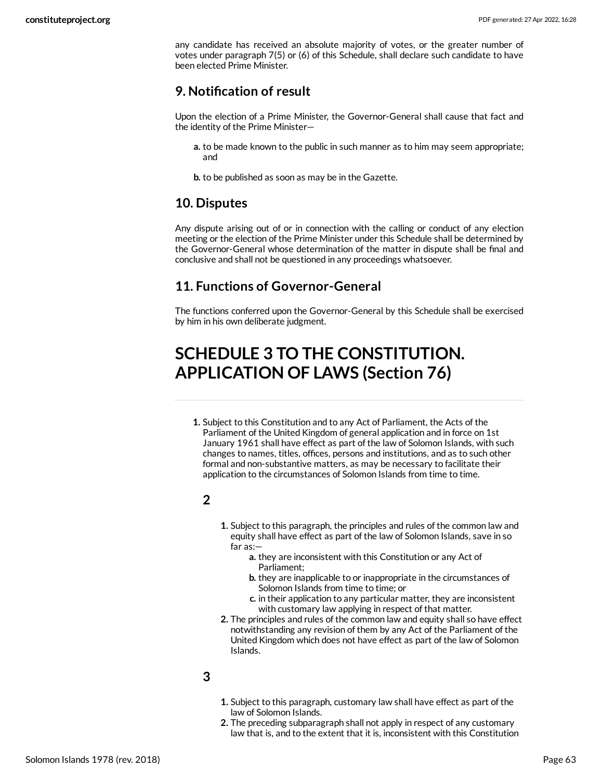any candidate has received an absolute majority of votes, or the greater number of votes under paragraph 7(5) or (6) of this Schedule, shall declare such candidate to have been elected Prime Minister.

### <span id="page-62-0"></span>**9. Notification of result**

Upon the election of a Prime Minister, the Governor-General shall cause that fact and the identity of the Prime Minister—

- **a.** to be made known to the public in such manner as to him may seem appropriate; and
- **b.** to be published as soon as may be in the Gazette.

### <span id="page-62-1"></span>**10. Disputes**

Any dispute arising out of or in connection with the calling or conduct of any election meeting or the election of the Prime Minister under this Schedule shall be determined by the Governor-General whose determination of the matter in dispute shall be final and conclusive and shall not be questioned in any proceedings whatsoever.

### <span id="page-62-2"></span>**11. Functions of Governor-General**

The functions conferred upon the Governor-General by this Schedule shall be exercised by him in his own deliberate judgment.

## <span id="page-62-3"></span>**SCHEDULE 3 TO THE CONSTITUTION. APPLICATION OF LAWS (Section 76)**

**1.** Subject to this Constitution and to any Act of Parliament, the Acts of the Parliament of the United Kingdom of general application and in force on 1st January 1961 shall have effect as part of the law of Solomon Islands, with such changes to names, titles, offices, persons and institutions, and as to such other formal and non-substantive matters, as may be necessary to facilitate their application to the circumstances of Solomon Islands from time to time.

### <span id="page-62-4"></span>**2**

- **1.** Subject to this paragraph, the principles and rules of the common law and equity shall have effect as part of the law of Solomon Islands, save in so far as:
	- **a.** they are inconsistent with this Constitution or any Act of Parliament;
	- **b.** they are inapplicable to or inappropriate in the circumstances of Solomon Islands from time to time; or
	- **c.** in their application to any particular matter, they are inconsistent with customary law applying in respect of that matter.
- **2.** The principles and rules of the common law and equity shall so have effect notwithstanding any revision of them by any Act of the Parliament of the United Kingdom which does not have effect as part of the law of Solomon Islands.

### <span id="page-62-5"></span>**3**

- **1.** Subject to this paragraph, customary law shall have effect as part of the law of Solomon Islands.
- **2.** The preceding subparagraph shall not apply in respect of any customary law that is, and to the extent that it is, inconsistent with this Constitution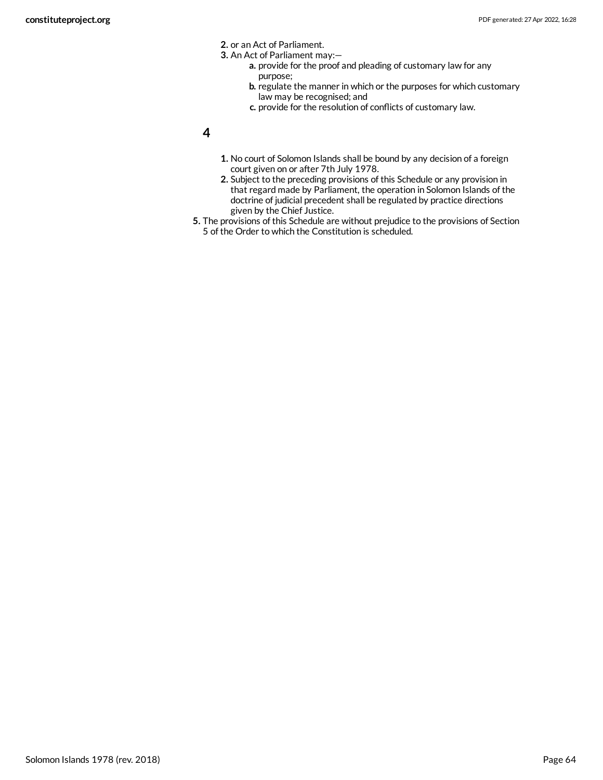- **2.** or an Act of Parliament.
- **3.** An Act of Parliament may:
	- **a.** provide for the proof and pleading of customary law for any purpose;
	- **b.** regulate the manner in which or the purposes for which customary law may be recognised; and
	- **c.** provide for the resolution of conflicts of customary law.

### **4**

- **1.** No court of Solomon Islands shall be bound by any decision of a foreign court given on or after 7th July 1978.
- **2.** Subject to the preceding provisions of this Schedule or any provision in that regard made by Parliament, the operation in Solomon Islands of the doctrine of judicial precedent shall be regulated by practice directions given by the Chief Justice.
- **5.** The provisions of this Schedule are without prejudice to the provisions of Section 5 of the Order to which the Constitution is scheduled.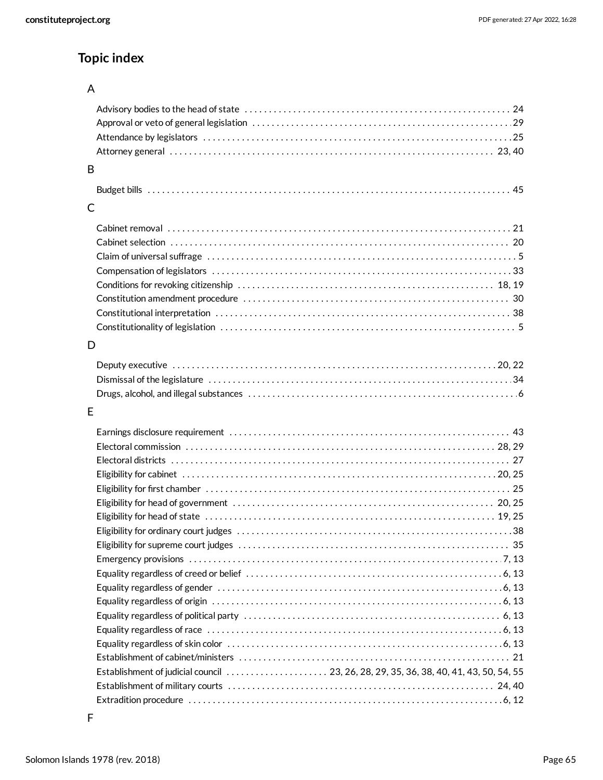## **Topic index**

### A

| B |  |
|---|--|
|   |  |
|   |  |
| C |  |
|   |  |
|   |  |
|   |  |
|   |  |
|   |  |
|   |  |
|   |  |
|   |  |
| D |  |
|   |  |
|   |  |
|   |  |
|   |  |
|   |  |
| E |  |
|   |  |
|   |  |
|   |  |
|   |  |
|   |  |
|   |  |
|   |  |
|   |  |
|   |  |
|   |  |
|   |  |
|   |  |
|   |  |
|   |  |
|   |  |
|   |  |
|   |  |
|   |  |
|   |  |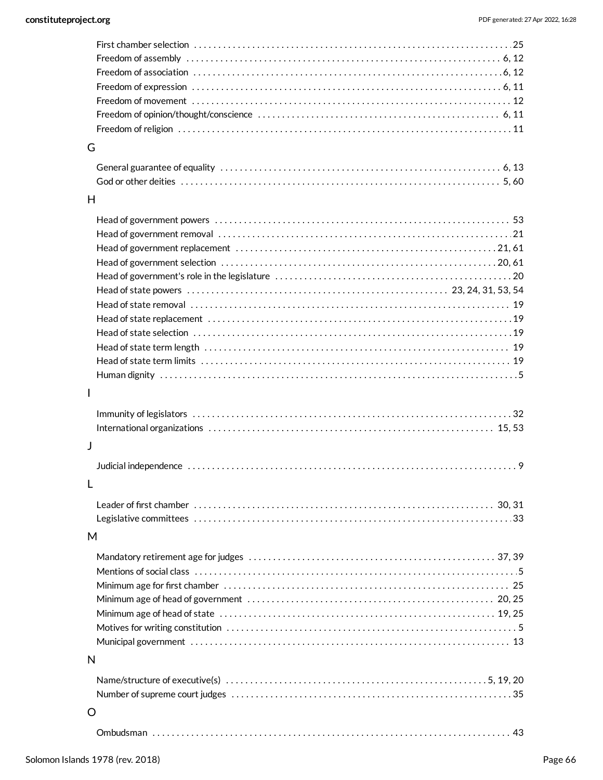### G

### H

### J

[15,](#page-14-2) [53](#page-52-2) International organizations . . . . . . . . . . . . . . . . . . . . . . . . . . . . . . . . . . . . . . . . . . . . . . . . . . . . . . . . . . .

### M

### N

| $\Omega$ |  |
|----------|--|

| Ombudsma <sub>u</sub> |  | ுப |
|-----------------------|--|----|
|-----------------------|--|----|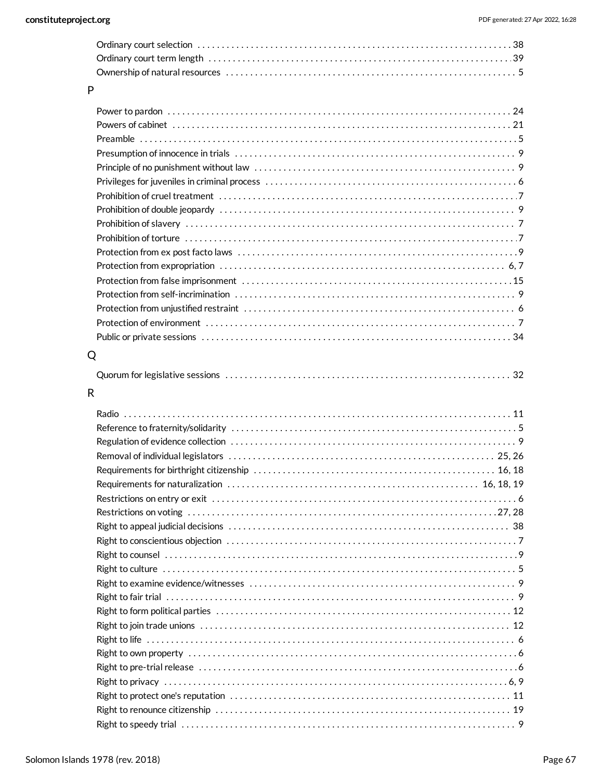#### P

| Q |  |
|---|--|
|   |  |
|   |  |
| R |  |
|   |  |
|   |  |
|   |  |
|   |  |
|   |  |
|   |  |
|   |  |
|   |  |
|   |  |
|   |  |
|   |  |
|   |  |
|   |  |
|   |  |
|   |  |
|   |  |
|   |  |
|   |  |
|   |  |
|   |  |

, [9](#page-8-0) Right to privacy . . . . . . . . . . . . . . . . . . . . . . . . . . . . . . . . . . . . . . . . . . . . . . . . . . . . . . . . . . . . . . . . . . . . . . . Right to protect one's reputation . . . . . . . . . . . . . . . . . . . . . . . . . . . . . . . . . . . . . . . . . . . . . . . . . . . . . . . . . . Right to renounce citizenship . . . . . . . . . . . . . . . . . . . . . . . . . . . . . . . . . . . . . . . . . . . . . . . . . . . . . . . . . . . . . Right to speedy trial . . . . . . . . . . . . . . . . . . . . . . . . . . . . . . . . . . . . . . . . . . . . . . . . . . . . . . . . . . . . . . . . . . . . .